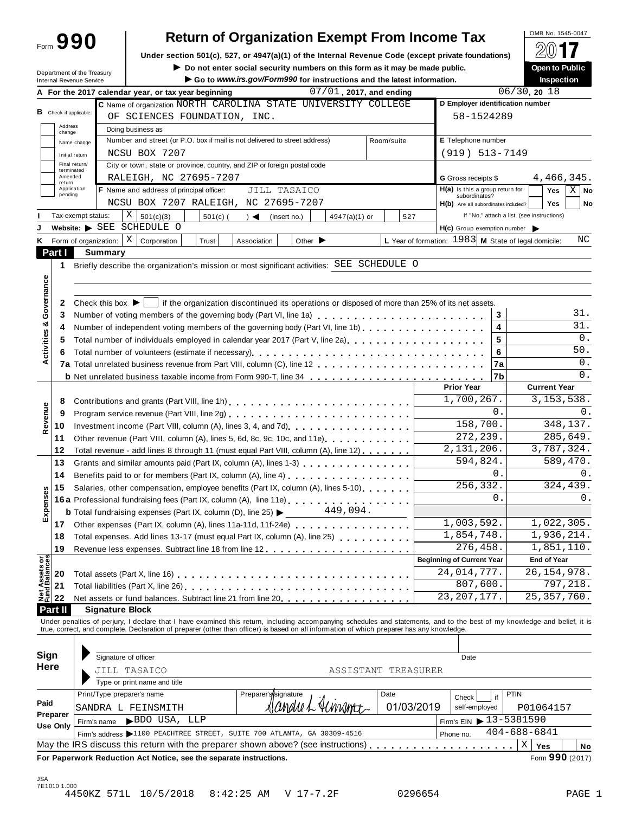| Form 990 |  |  |  |
|----------|--|--|--|
|          |  |  |  |

# **Return of Organization Exempt From Income Tax**<br> **COMB No. 1545-0047**<br> **Return 501(a)** 537 or 4047(a)(4) of the Internal Bayanua Cade (avecat prints foundational)

Under section 501(c), 527, or 4947(a)(1) of the Internal Revenue Code (except private foundations)

**IDENT THE SOCIETY CONFIDENT CONFIDENTIAL CONFIDENT CONFIDENT CONFIDENT CONFIDENT CONFIDENT CONFIDENT CONFIDENT<br>Inspectic** 

| )pen to Public | œ |
|----------------|---|

| Department of the Treasury<br>Internal Revenue Service |                             |                                                                                                                                                                      |                                                                                            |            |                      |                                                                                                                | $\blacktriangleright$ Do not enter social security numbers on this form as it may be made public.<br>Go to www.irs.gov/Form990 for instructions and the latest information. |                     |                        |                                                      |            | <b>Open to Public</b><br><b>Inspection</b>                                                                                                                                                                                     |  |
|--------------------------------------------------------|-----------------------------|----------------------------------------------------------------------------------------------------------------------------------------------------------------------|--------------------------------------------------------------------------------------------|------------|----------------------|----------------------------------------------------------------------------------------------------------------|-----------------------------------------------------------------------------------------------------------------------------------------------------------------------------|---------------------|------------------------|------------------------------------------------------|------------|--------------------------------------------------------------------------------------------------------------------------------------------------------------------------------------------------------------------------------|--|
|                                                        |                             |                                                                                                                                                                      | A For the 2017 calendar year, or tax year beginning                                        |            |                      |                                                                                                                | $07/01$ , 2017, and ending                                                                                                                                                  |                     |                        |                                                      |            | 06/30, 2018                                                                                                                                                                                                                    |  |
|                                                        |                             |                                                                                                                                                                      | C Name of organization NORTH CAROLINA STATE UNIVERSITY COLLEGE                             |            |                      |                                                                                                                |                                                                                                                                                                             |                     |                        |                                                      |            | D Employer identification number                                                                                                                                                                                               |  |
| <b>B</b> Check if applicable:                          |                             | OF SCIENCES FOUNDATION, INC.                                                                                                                                         |                                                                                            |            |                      |                                                                                                                |                                                                                                                                                                             |                     | 58-1524289             |                                                      |            |                                                                                                                                                                                                                                |  |
| Address<br>change                                      |                             | Doing business as                                                                                                                                                    |                                                                                            |            |                      |                                                                                                                |                                                                                                                                                                             |                     |                        |                                                      |            |                                                                                                                                                                                                                                |  |
|                                                        | Name change                 |                                                                                                                                                                      | Number and street (or P.O. box if mail is not delivered to street address)                 |            |                      |                                                                                                                |                                                                                                                                                                             | Room/suite          |                        | E Telephone number                                   |            |                                                                                                                                                                                                                                |  |
|                                                        | Initial return              |                                                                                                                                                                      | NCSU BOX 7207                                                                              |            |                      |                                                                                                                |                                                                                                                                                                             |                     |                        | $(919) 513 - 7149$                                   |            |                                                                                                                                                                                                                                |  |
|                                                        | Final return/<br>terminated |                                                                                                                                                                      | City or town, state or province, country, and ZIP or foreign postal code                   |            |                      |                                                                                                                |                                                                                                                                                                             |                     |                        |                                                      |            |                                                                                                                                                                                                                                |  |
| return                                                 | Amended                     |                                                                                                                                                                      | RALEIGH, NC 27695-7207                                                                     |            |                      |                                                                                                                |                                                                                                                                                                             |                     |                        | G Gross receipts \$                                  |            | 4,466,345.                                                                                                                                                                                                                     |  |
| pending                                                | Application                 |                                                                                                                                                                      | F Name and address of principal officer:                                                   |            |                      | JILL TASAICO                                                                                                   |                                                                                                                                                                             |                     |                        | $H(a)$ is this a group return for                    |            | $X \mid$ No<br>Yes                                                                                                                                                                                                             |  |
|                                                        |                             |                                                                                                                                                                      | NCSU BOX 7207 RALEIGH, NC 27695-7207                                                       |            |                      |                                                                                                                |                                                                                                                                                                             |                     |                        | subordinates?<br>H(b) Are all subordinates included? |            | <b>Yes</b><br>No                                                                                                                                                                                                               |  |
|                                                        | Tax-exempt status:          |                                                                                                                                                                      | $\mathbf{X}$<br>501(c)(3)                                                                  | $501(c)$ ( | $\rightarrow$        | (insert no.)                                                                                                   | 4947(a)(1) or                                                                                                                                                               | 527                 |                        |                                                      |            | If "No," attach a list. (see instructions)                                                                                                                                                                                     |  |
|                                                        |                             |                                                                                                                                                                      | Website: SEE SCHEDULE O                                                                    |            |                      |                                                                                                                |                                                                                                                                                                             |                     |                        | H(c) Group exemption number                          |            |                                                                                                                                                                                                                                |  |
|                                                        | Form of organization:       |                                                                                                                                                                      | $X \mid$<br>Corporation                                                                    | Trust      | Association          | Other $\blacktriangleright$                                                                                    |                                                                                                                                                                             |                     |                        |                                                      |            | L Year of formation: $1983$ M State of legal domicile:<br>ΝC                                                                                                                                                                   |  |
| Part I                                                 |                             | <b>Summary</b>                                                                                                                                                       |                                                                                            |            |                      |                                                                                                                |                                                                                                                                                                             |                     |                        |                                                      |            |                                                                                                                                                                                                                                |  |
| 1                                                      |                             |                                                                                                                                                                      | Briefly describe the organization's mission or most significant activities: SEE SCHEDULE O |            |                      |                                                                                                                |                                                                                                                                                                             |                     |                        |                                                      |            |                                                                                                                                                                                                                                |  |
|                                                        |                             |                                                                                                                                                                      |                                                                                            |            |                      |                                                                                                                |                                                                                                                                                                             |                     |                        |                                                      |            |                                                                                                                                                                                                                                |  |
| Governance                                             |                             |                                                                                                                                                                      |                                                                                            |            |                      |                                                                                                                |                                                                                                                                                                             |                     |                        |                                                      |            |                                                                                                                                                                                                                                |  |
| 2                                                      |                             | Check this box $\blacktriangleright$                                                                                                                                 |                                                                                            |            |                      |                                                                                                                | if the organization discontinued its operations or disposed of more than 25% of its net assets.                                                                             |                     |                        |                                                      |            |                                                                                                                                                                                                                                |  |
| 3                                                      |                             |                                                                                                                                                                      | Number of voting members of the governing body (Part VI, line 1a)                          |            |                      |                                                                                                                |                                                                                                                                                                             |                     |                        |                                                      | 3          | 31.                                                                                                                                                                                                                            |  |
| Activities &<br>4                                      |                             |                                                                                                                                                                      | Number of independent voting members of the governing body (Part VI, line 1b)              |            |                      |                                                                                                                |                                                                                                                                                                             |                     |                        |                                                      | 4          | 31.                                                                                                                                                                                                                            |  |
| 5                                                      |                             |                                                                                                                                                                      | Total number of individuals employed in calendar year 2017 (Part V, line 2a)               |            |                      |                                                                                                                |                                                                                                                                                                             |                     |                        |                                                      | 5          | 0.                                                                                                                                                                                                                             |  |
| 6                                                      |                             |                                                                                                                                                                      |                                                                                            |            |                      |                                                                                                                |                                                                                                                                                                             |                     |                        |                                                      | 6          | $50.$                                                                                                                                                                                                                          |  |
|                                                        |                             |                                                                                                                                                                      |                                                                                            |            |                      |                                                                                                                |                                                                                                                                                                             |                     |                        |                                                      | 7a         | 0.                                                                                                                                                                                                                             |  |
|                                                        |                             | <b>b</b> Net unrelated business taxable income from Form 990-T, line 34                                                                                              |                                                                                            |            |                      |                                                                                                                |                                                                                                                                                                             |                     | 7b                     | 0.                                                   |            |                                                                                                                                                                                                                                |  |
|                                                        |                             |                                                                                                                                                                      |                                                                                            |            |                      |                                                                                                                |                                                                                                                                                                             |                     |                        | <b>Prior Year</b>                                    |            | <b>Current Year</b>                                                                                                                                                                                                            |  |
| 8                                                      |                             |                                                                                                                                                                      |                                                                                            |            |                      |                                                                                                                |                                                                                                                                                                             |                     |                        | 1,700,267.                                           |            | 3, 153, 538.                                                                                                                                                                                                                   |  |
| 9                                                      |                             |                                                                                                                                                                      |                                                                                            |            |                      |                                                                                                                |                                                                                                                                                                             |                     |                        |                                                      | 0.         | 0.                                                                                                                                                                                                                             |  |
| Revenue<br>10                                          |                             |                                                                                                                                                                      |                                                                                            |            |                      |                                                                                                                |                                                                                                                                                                             |                     |                        | 158,700.                                             |            | 348,137.                                                                                                                                                                                                                       |  |
| 11                                                     |                             | Other revenue (Part VIII, column (A), lines 5, 6d, 8c, 9c, 10c, and 11e)                                                                                             |                                                                                            |            |                      |                                                                                                                |                                                                                                                                                                             |                     | 272, 239.              |                                                      | 285,649.   |                                                                                                                                                                                                                                |  |
| 12                                                     |                             |                                                                                                                                                                      | Total revenue - add lines 8 through 11 (must equal Part VIII, column (A), line 12)         |            |                      |                                                                                                                |                                                                                                                                                                             |                     |                        | 2,131,206.                                           |            | 3,787,324.                                                                                                                                                                                                                     |  |
| 13                                                     |                             |                                                                                                                                                                      | Grants and similar amounts paid (Part IX, column (A), lines 1-3)                           |            |                      |                                                                                                                |                                                                                                                                                                             |                     |                        | 594,824.                                             |            | 589,470.                                                                                                                                                                                                                       |  |
| 14                                                     |                             |                                                                                                                                                                      |                                                                                            |            |                      | Benefits paid to or for members (Part IX, column (A), line 4) [10] cases is a contract to or formula and the s |                                                                                                                                                                             |                     |                        |                                                      | 0.         | 0.                                                                                                                                                                                                                             |  |
| 15                                                     |                             | Salaries, other compensation, employee benefits (Part IX, column (A), lines 5-10)                                                                                    |                                                                                            |            |                      |                                                                                                                |                                                                                                                                                                             |                     | $2\overline{56,332}$ . |                                                      | 324,439.   |                                                                                                                                                                                                                                |  |
| Expenses                                               |                             | 16a Professional fundraising fees (Part IX, column (A), line 11e)                                                                                                    |                                                                                            |            |                      |                                                                                                                |                                                                                                                                                                             |                     |                        | 0.                                                   | 0.         |                                                                                                                                                                                                                                |  |
|                                                        |                             | 449,094.<br><b>b</b> Total fundraising expenses (Part IX, column (D), line 25) $\blacktriangleright$<br>Other expenses (Part IX, column (A), lines 11a-11d, 11f-24e) |                                                                                            |            |                      |                                                                                                                |                                                                                                                                                                             |                     |                        |                                                      |            |                                                                                                                                                                                                                                |  |
| 17 <sub>1</sub>                                        |                             |                                                                                                                                                                      |                                                                                            |            |                      |                                                                                                                |                                                                                                                                                                             |                     | 1,003,592.             |                                                      | 1,022,305. |                                                                                                                                                                                                                                |  |
| 18                                                     |                             |                                                                                                                                                                      | Total expenses. Add lines 13-17 (must equal Part IX, column (A), line 25) [100]            |            |                      |                                                                                                                |                                                                                                                                                                             |                     | 1,854,748.             |                                                      |            | 1,936,214.                                                                                                                                                                                                                     |  |
| 19                                                     |                             |                                                                                                                                                                      |                                                                                            |            |                      |                                                                                                                |                                                                                                                                                                             |                     |                        | 276,458.                                             |            | 1,851,110.                                                                                                                                                                                                                     |  |
|                                                        |                             |                                                                                                                                                                      |                                                                                            |            |                      |                                                                                                                |                                                                                                                                                                             |                     |                        | <b>Beginning of Current Year</b>                     |            | <b>End of Year</b>                                                                                                                                                                                                             |  |
| 20                                                     |                             |                                                                                                                                                                      |                                                                                            |            |                      |                                                                                                                |                                                                                                                                                                             |                     |                        | 24,014,777.                                          |            | $\overline{26}$ , 154, 978.                                                                                                                                                                                                    |  |
| Net Assets or<br>Fund Balances<br>21                   |                             |                                                                                                                                                                      |                                                                                            |            |                      |                                                                                                                |                                                                                                                                                                             |                     |                        | 807,600.                                             |            | 797,218.                                                                                                                                                                                                                       |  |
| 22                                                     |                             |                                                                                                                                                                      | Net assets or fund balances. Subtract line 21 from line 20.                                |            |                      |                                                                                                                |                                                                                                                                                                             |                     |                        | 23, 207, 177.                                        |            | 25, 357, 760.                                                                                                                                                                                                                  |  |
| Part II                                                |                             | <b>Signature Block</b>                                                                                                                                               |                                                                                            |            |                      |                                                                                                                |                                                                                                                                                                             |                     |                        |                                                      |            |                                                                                                                                                                                                                                |  |
|                                                        |                             |                                                                                                                                                                      |                                                                                            |            |                      |                                                                                                                |                                                                                                                                                                             |                     |                        |                                                      |            | Under penalties of perjury, I declare that I have examined this return, including accompanying schedules and statements, and to the best of my knowledge and belief, it is true, correct, and complete. Declaration of prepare |  |
|                                                        |                             |                                                                                                                                                                      |                                                                                            |            |                      |                                                                                                                |                                                                                                                                                                             |                     |                        |                                                      |            |                                                                                                                                                                                                                                |  |
| Sign                                                   |                             |                                                                                                                                                                      |                                                                                            |            |                      |                                                                                                                |                                                                                                                                                                             |                     |                        |                                                      |            |                                                                                                                                                                                                                                |  |
| <b>Here</b>                                            |                             | Signature of officer                                                                                                                                                 |                                                                                            |            |                      |                                                                                                                |                                                                                                                                                                             |                     |                        | Date                                                 |            |                                                                                                                                                                                                                                |  |
|                                                        |                             |                                                                                                                                                                      | JILL TASAICO                                                                               |            |                      |                                                                                                                |                                                                                                                                                                             | ASSISTANT TREASURER |                        |                                                      |            |                                                                                                                                                                                                                                |  |
|                                                        |                             |                                                                                                                                                                      | Type or print name and title                                                               |            |                      |                                                                                                                |                                                                                                                                                                             |                     |                        |                                                      |            |                                                                                                                                                                                                                                |  |
| Paid                                                   |                             |                                                                                                                                                                      | Print/Type preparer's name                                                                 |            | Preparer's/signature |                                                                                                                |                                                                                                                                                                             | Date                |                        | Check                                                | if         | PTIN                                                                                                                                                                                                                           |  |
| Preparer                                               |                             |                                                                                                                                                                      | SANDRA L FEINSMITH                                                                         |            |                      |                                                                                                                |                                                                                                                                                                             | 01/03/2019          |                        | self-employed                                        |            | P01064157                                                                                                                                                                                                                      |  |
| Use Only                                               |                             | Firm's name                                                                                                                                                          | BDO USA, LLP                                                                               |            |                      |                                                                                                                |                                                                                                                                                                             |                     |                        | Firm's EIN $\triangleright$ 13-5381590               |            |                                                                                                                                                                                                                                |  |
|                                                        |                             |                                                                                                                                                                      | Firm's address >1100 PEACHTREE STREET, SUITE 700 ATLANTA, GA 30309-4516                    |            |                      |                                                                                                                |                                                                                                                                                                             |                     |                        | Phone no.                                            |            | $404 - 688 - 6841$                                                                                                                                                                                                             |  |
|                                                        |                             |                                                                                                                                                                      | May the IRS discuss this return with the preparer shown above? (see instructions)          |            |                      |                                                                                                                |                                                                                                                                                                             |                     |                        |                                                      |            | $\mathbf X$<br>Yes<br>No                                                                                                                                                                                                       |  |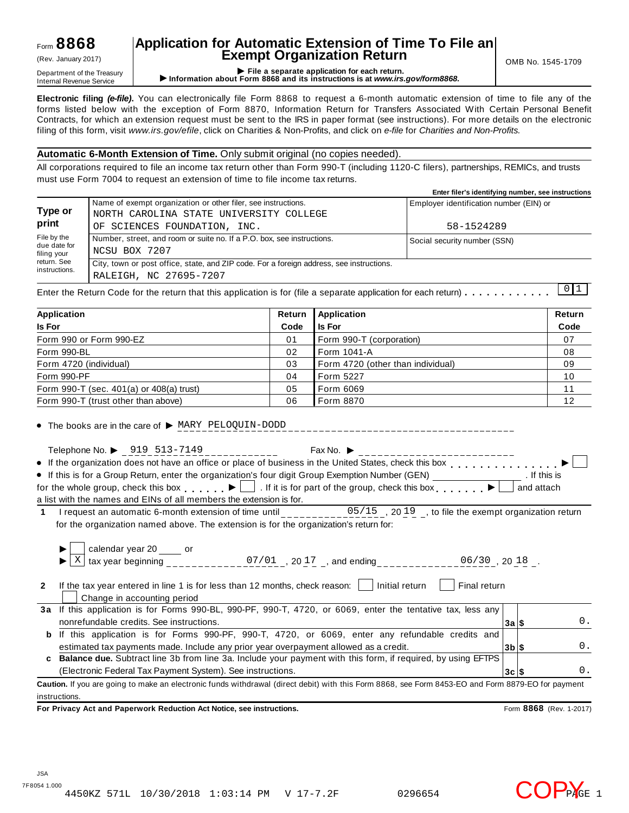## Form **8868**

# **Application for Automatic Extension of Time To File an Exempt Organization Return** (Rev. January 2017) OMB No. 1545-1709

Department of the Treasury<br>Department of the Treasury<br>Internal Revenue Service **CONFICE 1999 File a separate application for each return.**<br>Internal Revenue Service **CONFICE 1999 File a separate application for each return.** 

**Electronic filing** *(e-file)***.** You can electronically file Form 8868 to request a 6-month automatic extension of time to file any of the forms listed below with the exception of Form 8870, Information Return for Transfers Associated With Certain Personal Benefit Contracts, for which an extension request must be sent to the IRS in paper format (see instructions). For more details on the electronic filing of this form, visit *www.irs.gov/efile*, click on Charities & Non-Profits, and click on *e-file* for *Charities and Non-Profits.*

#### **Automatic 6-Month Extension of Time.** Only submit original (no copies needed).

All corporations required to file an income tax return other than Form 990-T (including 1120-C filers), partnerships, REMICs, and trusts must use Form 7004 to request an extension of time to file income tax returns.

|                                            |                                                                                                                    | Enter filer's identifying number, see instructions |
|--------------------------------------------|--------------------------------------------------------------------------------------------------------------------|----------------------------------------------------|
| Type or                                    | Name of exempt organization or other filer, see instructions.<br>NORTH CAROLINA STATE UNIVERSITY COLLEGE           | Employer identification number (EIN) or            |
| print                                      | OF SCIENCES FOUNDATION, INC.                                                                                       | 58-1524289                                         |
| File by the<br>due date for<br>filing your | Number, street, and room or suite no. If a P.O. box, see instructions.<br>NCSU BOX 7207                            | Social security number (SSN)                       |
| return. See<br>instructions.               | City, town or post office, state, and ZIP code. For a foreign address, see instructions.<br>RALEIGH, NC 27695-7207 |                                                    |

Enter the Return Code for the return that this application is for (file a separate application for each return)  $\dots \dots \dots$  $\begin{bmatrix} 0 & 1 \end{bmatrix}$ 

| Application                              |      | <b>Application</b>                | Return |
|------------------------------------------|------|-----------------------------------|--------|
| <b>Is For</b>                            | Code | <b>Is For</b>                     | Code   |
| Form 990 or Form 990-EZ                  | 01   | Form 990-T (corporation)          | 07     |
| Form 990-BL                              | 02   | l Form 1041-A                     | 08     |
| Form 4720 (individual)                   | 03   | Form 4720 (other than individual) | 09     |
| Form 990-PF                              | 04   | <b>Form 5227</b>                  | 10     |
| Form 990-T (sec. 401(a) or 408(a) trust) | 05   | Form 6069                         | 11     |
| Form 990-T (trust other than above)      | 06   | Form 8870                         | 12     |

 $\bullet$  The books are in the care of  $\triangleright$  MARY PELOQUIN-DODD

Telephone No.  $\triangleright$  919 513-7149<br>If the experiments of the state of the state of the state of the limit of  $\cdot$ If the organization does not have an office or place of business in the United States, check this box  $\Box$ If this is for a Group Return, enter the organization's four digit Group Exemption Number (GEN)  $\overline{\phantom{a}}$  for the organization's four digit Group Exemption Number (GEN) . If this is for the whole group, check this box  $\Box$ . If it is for part of the group, check this box  $\Box$  and attach a list with the names and EINs of all members the extension is for.

**1** I request an automatic 6-month extension of time until \_\_\_\_\_\_\_\_\_\_ for the organization named above. The extension is for the organization's return for: 05/15, 2019, to file the exempt organization return

|              | calendar year 20 _____ or<br>tax year beginning<br>07/01, 2017, and ending<br>$06/30$ , 20 18.                                                     |                 |  |    |  |  |  |
|--------------|----------------------------------------------------------------------------------------------------------------------------------------------------|-----------------|--|----|--|--|--|
| $\mathbf{2}$ | If the tax year entered in line 1 is for less than 12 months, check reason:<br>Initial return<br>Final return<br>Change in accounting period       |                 |  |    |  |  |  |
| За           | If this application is for Forms 990-BL, 990-PF, 990-T, 4720, or 6069, enter the tentative tax, less any                                           |                 |  |    |  |  |  |
|              | nonrefundable credits. See instructions.                                                                                                           | 3a S            |  | 0. |  |  |  |
| b            | If this application is for Forms 990-PF, 990-T, 4720, or 6069, enter any refundable credits and                                                    |                 |  |    |  |  |  |
|              | estimated tax payments made. Include any prior year overpayment allowed as a credit.                                                               | $3b$ $\vert$ \$ |  | 0. |  |  |  |
| C.           | <b>Balance due.</b> Subtract line 3b from line 3a. Include your payment with this form, if required, by using EFTPS                                |                 |  |    |  |  |  |
|              | (Electronic Federal Tax Payment System). See instructions.                                                                                         | $3c$ $s$        |  | 0. |  |  |  |
|              | Caution. If you are going to make an electronic funds withdrawal (direct debit) with this Form 8868, see Form 8453-EO and Form 8879-EO for payment |                 |  |    |  |  |  |

instructions.

**For Privacy Act and Paperwork Reduction Act Notice, see instructions.** Form **8868** (Rev. 1-2017)

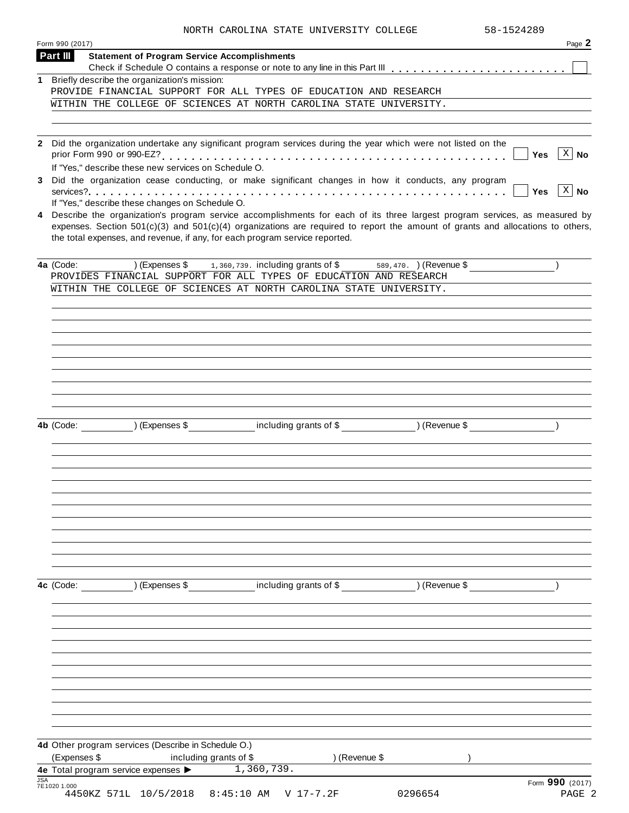|  | NORTH CAROLINA STATE UNIVERSITY COLLEGE | 58-1524289 |
|--|-----------------------------------------|------------|
|  |                                         |            |

|            | Form 990 (2017)                                                                                                                                                                                                                                                                                                                                   | Page 2                              |
|------------|---------------------------------------------------------------------------------------------------------------------------------------------------------------------------------------------------------------------------------------------------------------------------------------------------------------------------------------------------|-------------------------------------|
|            | Part III<br><b>Statement of Program Service Accomplishments</b>                                                                                                                                                                                                                                                                                   |                                     |
|            | 1 Briefly describe the organization's mission:                                                                                                                                                                                                                                                                                                    |                                     |
|            | PROVIDE FINANCIAL SUPPORT FOR ALL TYPES OF EDUCATION AND RESEARCH                                                                                                                                                                                                                                                                                 |                                     |
|            | WITHIN THE COLLEGE OF SCIENCES AT NORTH CAROLINA STATE UNIVERSITY.                                                                                                                                                                                                                                                                                |                                     |
|            |                                                                                                                                                                                                                                                                                                                                                   |                                     |
|            | Did the organization undertake any significant program services during the year which were not listed on the<br>If "Yes," describe these new services on Schedule O.<br>Did the organization cease conducting, or make significant changes in how it conducts, any program                                                                        | $ X $ No<br>Yes                     |
|            | If "Yes," describe these changes on Schedule O.                                                                                                                                                                                                                                                                                                   | $\lceil x \rceil$ No<br><b>Yes</b>  |
|            | 4 Describe the organization's program service accomplishments for each of its three largest program services, as measured by<br>expenses. Section $501(c)(3)$ and $501(c)(4)$ organizations are required to report the amount of grants and allocations to others,<br>the total expenses, and revenue, if any, for each program service reported. |                                     |
|            | 4a (Code:<br>) (Expenses $\$\$ 1, 360, 739. including grants of $\$$<br>PROVIDES FINANCIAL SUPPORT FOR ALL TYPES OF EDUCATION AND RESEARCH                                                                                                                                                                                                        | 589, 470. ) (Revenue \$             |
|            | WITHIN THE COLLEGE OF SCIENCES AT NORTH CAROLINA STATE UNIVERSITY.                                                                                                                                                                                                                                                                                |                                     |
|            |                                                                                                                                                                                                                                                                                                                                                   |                                     |
|            |                                                                                                                                                                                                                                                                                                                                                   |                                     |
|            |                                                                                                                                                                                                                                                                                                                                                   |                                     |
|            |                                                                                                                                                                                                                                                                                                                                                   |                                     |
|            |                                                                                                                                                                                                                                                                                                                                                   |                                     |
|            |                                                                                                                                                                                                                                                                                                                                                   |                                     |
|            |                                                                                                                                                                                                                                                                                                                                                   |                                     |
|            | 4b (Code: ) (Expenses \$                                                                                                                                                                                                                                                                                                                          | including grants of \$ (Revenue \$) |
|            |                                                                                                                                                                                                                                                                                                                                                   |                                     |
|            |                                                                                                                                                                                                                                                                                                                                                   |                                     |
|            |                                                                                                                                                                                                                                                                                                                                                   |                                     |
|            |                                                                                                                                                                                                                                                                                                                                                   |                                     |
|            |                                                                                                                                                                                                                                                                                                                                                   |                                     |
|            |                                                                                                                                                                                                                                                                                                                                                   |                                     |
|            |                                                                                                                                                                                                                                                                                                                                                   |                                     |
|            |                                                                                                                                                                                                                                                                                                                                                   |                                     |
|            |                                                                                                                                                                                                                                                                                                                                                   |                                     |
|            | 4c (Code: ) (Expenses \$ including grants of \$ _ _ _ _ _ _ _ _ ) (Revenue \$                                                                                                                                                                                                                                                                     |                                     |
|            |                                                                                                                                                                                                                                                                                                                                                   |                                     |
|            |                                                                                                                                                                                                                                                                                                                                                   |                                     |
|            |                                                                                                                                                                                                                                                                                                                                                   |                                     |
|            |                                                                                                                                                                                                                                                                                                                                                   |                                     |
|            |                                                                                                                                                                                                                                                                                                                                                   |                                     |
|            |                                                                                                                                                                                                                                                                                                                                                   |                                     |
|            |                                                                                                                                                                                                                                                                                                                                                   |                                     |
|            |                                                                                                                                                                                                                                                                                                                                                   |                                     |
|            |                                                                                                                                                                                                                                                                                                                                                   |                                     |
|            | 4d Other program services (Describe in Schedule O.)                                                                                                                                                                                                                                                                                               |                                     |
|            | (Expenses \$<br>including grants of \$<br>4e Total program service expenses > 1,360,739.                                                                                                                                                                                                                                                          | ) (Revenue \$                       |
| <b>JSA</b> | 7E1020 1.000                                                                                                                                                                                                                                                                                                                                      | Form 990 (2017)                     |
|            | 4450KZ 571L 10/5/2018<br>8:45:10 AM V 17-7.2F                                                                                                                                                                                                                                                                                                     | 0296654<br>PAGE 2                   |
|            |                                                                                                                                                                                                                                                                                                                                                   |                                     |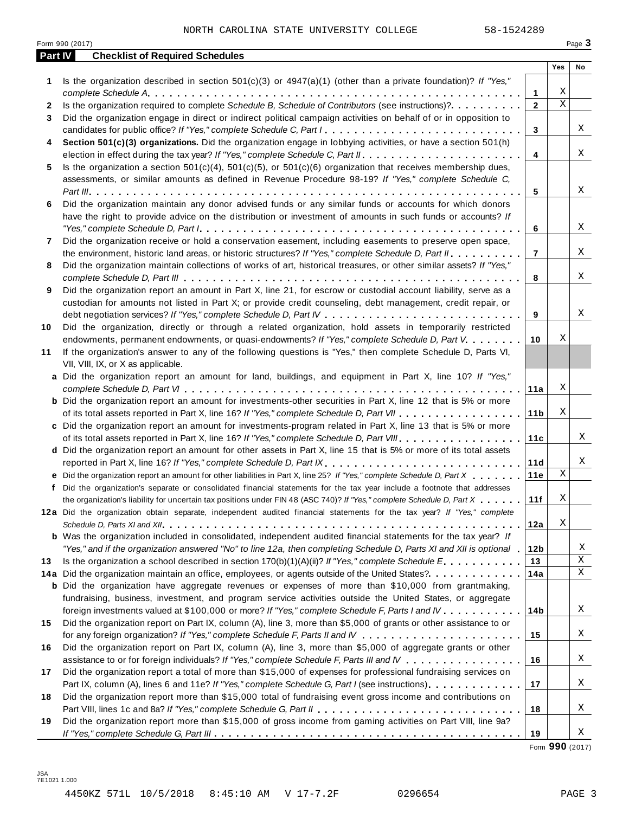|         | Form 990 (2017)                                                                                                                                                                                                                                                                                                                                                                               |                 |             | Page 3 |
|---------|-----------------------------------------------------------------------------------------------------------------------------------------------------------------------------------------------------------------------------------------------------------------------------------------------------------------------------------------------------------------------------------------------|-----------------|-------------|--------|
| Part IV | <b>Checklist of Required Schedules</b>                                                                                                                                                                                                                                                                                                                                                        |                 |             |        |
|         |                                                                                                                                                                                                                                                                                                                                                                                               |                 | Yes         | No     |
| 1       | Is the organization described in section $501(c)(3)$ or $4947(a)(1)$ (other than a private foundation)? If "Yes,"                                                                                                                                                                                                                                                                             |                 |             |        |
|         |                                                                                                                                                                                                                                                                                                                                                                                               | 1               | Χ           |        |
| 2       | Is the organization required to complete Schedule B, Schedule of Contributors (see instructions)?.                                                                                                                                                                                                                                                                                            | $\mathbf{2}$    | $\mathbf X$ |        |
| 3       | Did the organization engage in direct or indirect political campaign activities on behalf of or in opposition to                                                                                                                                                                                                                                                                              |                 |             |        |
|         | candidates for public office? If "Yes," complete Schedule C, Part I.                                                                                                                                                                                                                                                                                                                          | 3               |             | Χ      |
| 4       | Section 501(c)(3) organizations. Did the organization engage in lobbying activities, or have a section 501(h)                                                                                                                                                                                                                                                                                 |                 |             |        |
|         |                                                                                                                                                                                                                                                                                                                                                                                               | $\overline{4}$  |             | Χ      |
| 5       | Is the organization a section $501(c)(4)$ , $501(c)(5)$ , or $501(c)(6)$ organization that receives membership dues,                                                                                                                                                                                                                                                                          |                 |             |        |
|         | assessments, or similar amounts as defined in Revenue Procedure 98-19? If "Yes," complete Schedule C,                                                                                                                                                                                                                                                                                         |                 |             |        |
|         |                                                                                                                                                                                                                                                                                                                                                                                               | 5               |             | Χ      |
| 6       | Did the organization maintain any donor advised funds or any similar funds or accounts for which donors                                                                                                                                                                                                                                                                                       |                 |             |        |
|         | have the right to provide advice on the distribution or investment of amounts in such funds or accounts? If                                                                                                                                                                                                                                                                                   |                 |             |        |
|         | "Yes," complete Schedule D, Part $l_1, \ldots, l_k, \ldots, l_k, \ldots, l_k, \ldots, l_k, \ldots, l_k, \ldots, l_k, \ldots, l_k, \ldots, l_k, \ldots, l_k, \ldots, l_k, \ldots, l_k, \ldots, l_k, \ldots, l_k, \ldots, l_k, \ldots, l_k, \ldots, l_k, \ldots, l_k, \ldots, l_k, \ldots, l_k, \ldots, l_k, \ldots, l_k, \ldots, l_k, \ldots, l_k, \ldots, l_k, \ldots, l_k, \ldots, l_k, \ld$ | 6               |             | Χ      |
| 7       | Did the organization receive or hold a conservation easement, including easements to preserve open space,                                                                                                                                                                                                                                                                                     |                 |             |        |
|         | the environment, historic land areas, or historic structures? If "Yes," complete Schedule D, Part II.                                                                                                                                                                                                                                                                                         | $\overline{7}$  |             | Χ      |
| 8       | Did the organization maintain collections of works of art, historical treasures, or other similar assets? If "Yes,"                                                                                                                                                                                                                                                                           |                 |             |        |
|         |                                                                                                                                                                                                                                                                                                                                                                                               | 8               |             | Χ      |
| 9       | Did the organization report an amount in Part X, line 21, for escrow or custodial account liability, serve as a                                                                                                                                                                                                                                                                               |                 |             |        |
|         | custodian for amounts not listed in Part X; or provide credit counseling, debt management, credit repair, or                                                                                                                                                                                                                                                                                  |                 |             |        |
|         |                                                                                                                                                                                                                                                                                                                                                                                               | 9               |             | Χ      |
| 10      | Did the organization, directly or through a related organization, hold assets in temporarily restricted                                                                                                                                                                                                                                                                                       |                 |             |        |
|         | endowments, permanent endowments, or quasi-endowments? If "Yes," complete Schedule D, Part V.                                                                                                                                                                                                                                                                                                 | 10              | Χ           |        |
| 11      | If the organization's answer to any of the following questions is "Yes," then complete Schedule D, Parts VI,                                                                                                                                                                                                                                                                                  |                 |             |        |
|         | VII, VIII, IX, or X as applicable.                                                                                                                                                                                                                                                                                                                                                            |                 |             |        |
|         | a Did the organization report an amount for land, buildings, and equipment in Part X, line 10? If "Yes,"                                                                                                                                                                                                                                                                                      |                 |             |        |
|         |                                                                                                                                                                                                                                                                                                                                                                                               | 11a             | Χ           |        |
|         | <b>b</b> Did the organization report an amount for investments-other securities in Part X, line 12 that is 5% or more                                                                                                                                                                                                                                                                         |                 |             |        |
|         |                                                                                                                                                                                                                                                                                                                                                                                               | 11 <sub>b</sub> | Χ           |        |
|         | c Did the organization report an amount for investments-program related in Part X, line 13 that is 5% or more                                                                                                                                                                                                                                                                                 |                 |             |        |
|         |                                                                                                                                                                                                                                                                                                                                                                                               | 11c             |             | Χ      |
|         | d Did the organization report an amount for other assets in Part X, line 15 that is 5% or more of its total assets                                                                                                                                                                                                                                                                            |                 |             |        |
|         | reported in Part X, line 16? If "Yes," complete Schedule D, Part IX.                                                                                                                                                                                                                                                                                                                          | 11d             |             | Χ      |
|         | e Did the organization report an amount for other liabilities in Part X, line 25? If "Yes," complete Schedule D, Part X                                                                                                                                                                                                                                                                       | 11e             | Χ           |        |
|         | f Did the organization's separate or consolidated financial statements for the tax year include a footnote that addresses                                                                                                                                                                                                                                                                     |                 |             |        |
|         | the organization's liability for uncertain tax positions under FIN 48 (ASC 740)? If "Yes," complete Schedule D, Part X                                                                                                                                                                                                                                                                        | 11f             | Χ           |        |
|         | 12a Did the organization obtain separate, independent audited financial statements for the tax year? If "Yes," complete                                                                                                                                                                                                                                                                       |                 |             |        |
|         |                                                                                                                                                                                                                                                                                                                                                                                               | 12a             | Χ           |        |
|         | <b>b</b> Was the organization included in consolidated, independent audited financial statements for the tax year? If                                                                                                                                                                                                                                                                         |                 |             |        |
|         | "Yes," and if the organization answered "No" to line 12a, then completing Schedule D, Parts XI and XII is optional .                                                                                                                                                                                                                                                                          | 12 <sub>b</sub> |             | Χ      |
| 13      | Is the organization a school described in section $170(b)(1)(A)(ii)?$ If "Yes," complete Schedule E.                                                                                                                                                                                                                                                                                          | 13              |             | Χ      |
|         | 14a Did the organization maintain an office, employees, or agents outside of the United States?.                                                                                                                                                                                                                                                                                              | 14a             |             | X      |
|         | <b>b</b> Did the organization have aggregate revenues or expenses of more than \$10,000 from grantmaking,                                                                                                                                                                                                                                                                                     |                 |             |        |
|         | fundraising, business, investment, and program service activities outside the United States, or aggregate                                                                                                                                                                                                                                                                                     |                 |             |        |
|         | foreign investments valued at \$100,000 or more? If "Yes," complete Schedule F, Parts I and IV                                                                                                                                                                                                                                                                                                | 14 <sub>b</sub> |             | Χ      |
| 15      | Did the organization report on Part IX, column (A), line 3, more than \$5,000 of grants or other assistance to or                                                                                                                                                                                                                                                                             |                 |             |        |
|         |                                                                                                                                                                                                                                                                                                                                                                                               | 15              |             | Χ      |
| 16      | Did the organization report on Part IX, column (A), line 3, more than \$5,000 of aggregate grants or other                                                                                                                                                                                                                                                                                    |                 |             |        |
|         | assistance to or for foreign individuals? If "Yes," complete Schedule F, Parts III and IV                                                                                                                                                                                                                                                                                                     | 16              |             | Χ      |
| 17      | Did the organization report a total of more than \$15,000 of expenses for professional fundraising services on                                                                                                                                                                                                                                                                                |                 |             |        |
|         | Part IX, column (A), lines 6 and 11e? If "Yes," complete Schedule G, Part I (see instructions)                                                                                                                                                                                                                                                                                                | 17              |             | Χ      |
| 18      | Did the organization report more than \$15,000 total of fundraising event gross income and contributions on                                                                                                                                                                                                                                                                                   |                 |             |        |
|         |                                                                                                                                                                                                                                                                                                                                                                                               | 18              |             | Χ      |
| 19      | Did the organization report more than \$15,000 of gross income from gaming activities on Part VIII, line 9a?                                                                                                                                                                                                                                                                                  |                 |             |        |
|         |                                                                                                                                                                                                                                                                                                                                                                                               | 19              |             | Χ      |

Form **990** (2017)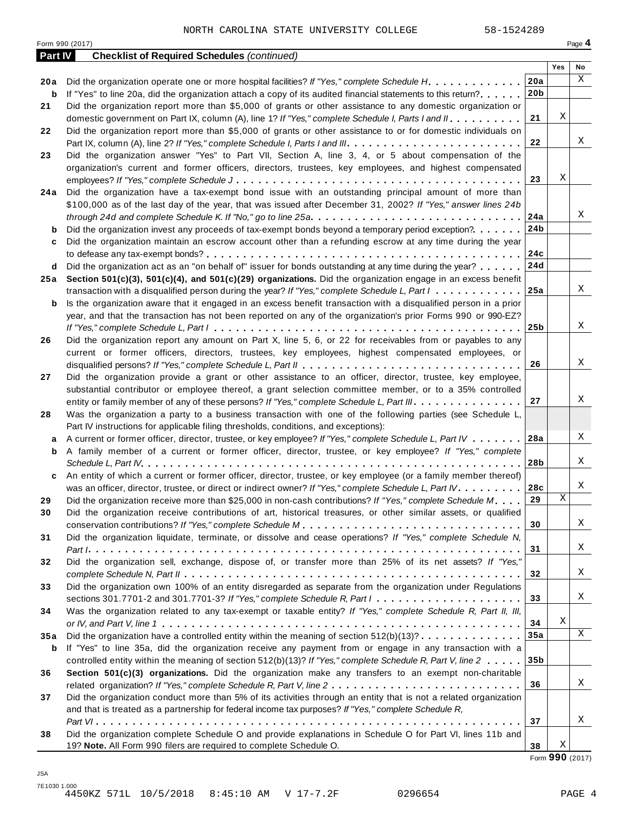Form <sup>990</sup> (2017) Page **4**

| Part IV | <b>Checklist of Required Schedules (continued)</b>                                                                                  |                 |     |    |
|---------|-------------------------------------------------------------------------------------------------------------------------------------|-----------------|-----|----|
|         |                                                                                                                                     |                 | Yes | No |
| 20a     | Did the organization operate one or more hospital facilities? If "Yes," complete Schedule H.                                        | 20a             |     | X  |
| b       | If "Yes" to line 20a, did the organization attach a copy of its audited financial statements to this return?                        | 20 <sub>b</sub> |     |    |
| 21      | Did the organization report more than \$5,000 of grants or other assistance to any domestic organization or                         |                 |     |    |
|         | domestic government on Part IX, column (A), line 1? If "Yes," complete Schedule I, Parts I and II.                                  | 21              | Χ   |    |
| 22      | Did the organization report more than \$5,000 of grants or other assistance to or for domestic individuals on                       |                 |     |    |
|         | Part IX, column (A), line 2? If "Yes," complete Schedule I, Parts I and III.                                                        | 22              |     | X  |
| 23      | Did the organization answer "Yes" to Part VII, Section A, line 3, 4, or 5 about compensation of the                                 |                 |     |    |
|         | organization's current and former officers, directors, trustees, key employees, and highest compensated                             |                 |     |    |
|         |                                                                                                                                     | 23              | Χ   |    |
| 24 a    | Did the organization have a tax-exempt bond issue with an outstanding principal amount of more than                                 |                 |     |    |
|         | \$100,000 as of the last day of the year, that was issued after December 31, 2002? If "Yes," answer lines 24b                       |                 |     |    |
|         | through 24d and complete Schedule K. If "No," go to line 25a                                                                        | 24a             |     | Χ  |
| b       | Did the organization invest any proceeds of tax-exempt bonds beyond a temporary period exception?                                   | 24b             |     |    |
| c       | Did the organization maintain an escrow account other than a refunding escrow at any time during the year                           |                 |     |    |
|         |                                                                                                                                     | 24c             |     |    |
| d       | Did the organization act as an "on behalf of" issuer for bonds outstanding at any time during the year?                             | 24d             |     |    |
| 25 a    | Section 501(c)(3), 501(c)(4), and 501(c)(29) organizations. Did the organization engage in an excess benefit                        |                 |     |    |
|         | transaction with a disqualified person during the year? If "Yes," complete Schedule L, Part $l_1, \ldots, l_l, l_l$                 | 25a             |     | Χ  |
| b       | Is the organization aware that it engaged in an excess benefit transaction with a disqualified person in a prior                    |                 |     |    |
|         | year, and that the transaction has not been reported on any of the organization's prior Forms 990 or 990-EZ?                        |                 |     |    |
|         |                                                                                                                                     | 25 <sub>b</sub> |     | X  |
| 26      | Did the organization report any amount on Part X, line 5, 6, or 22 for receivables from or payables to any                          |                 |     |    |
|         | current or former officers, directors, trustees, key employees, highest compensated employees, or                                   |                 |     |    |
|         |                                                                                                                                     | 26              |     | X  |
| 27      | Did the organization provide a grant or other assistance to an officer, director, trustee, key employee,                            |                 |     |    |
|         | substantial contributor or employee thereof, a grant selection committee member, or to a 35% controlled                             |                 |     |    |
|         | entity or family member of any of these persons? If "Yes," complete Schedule L, Part III.                                           | 27              |     | Χ  |
| 28      | Was the organization a party to a business transaction with one of the following parties (see Schedule L,                           |                 |     |    |
|         | Part IV instructions for applicable filing thresholds, conditions, and exceptions):                                                 |                 |     |    |
| а       | A current or former officer, director, trustee, or key employee? If "Yes," complete Schedule L, Part IV                             | 28a             |     | Χ  |
| b       | A family member of a current or former officer, director, trustee, or key employee? If "Yes," complete                              |                 |     |    |
|         |                                                                                                                                     | 28b             |     | Χ  |
| c       | An entity of which a current or former officer, director, trustee, or key employee (or a family member thereof)                     |                 |     |    |
|         | was an officer, director, trustee, or direct or indirect owner? If "Yes," complete Schedule L, Part IV.                             | 28c             |     | Χ  |
| 29      | Did the organization receive more than \$25,000 in non-cash contributions? If "Yes," complete Schedule M.                           | 29              | Χ   |    |
| 30      | Did the organization receive contributions of art, historical treasures, or other similar assets, or qualified                      |                 |     |    |
|         |                                                                                                                                     | 30              |     | Χ  |
| 31      | Did the organization liquidate, terminate, or dissolve and cease operations? If "Yes," complete Schedule N,                         |                 |     |    |
|         |                                                                                                                                     | 31              |     | Χ  |
| 32      | Did the organization sell, exchange, dispose of, or transfer more than 25% of its net assets? If "Yes,"                             |                 |     |    |
|         |                                                                                                                                     | 32              |     | Χ  |
| 33      | Did the organization own 100% of an entity disregarded as separate from the organization under Regulations                          |                 |     |    |
|         | sections 301.7701-2 and 301.7701-3? If "Yes," complete Schedule R, Part $l_1, \ldots, l_l, l_l, \ldots, l_l, l_l, \ldots, l_l, l_l$ | 33              |     | Χ  |
| 34      | Was the organization related to any tax-exempt or taxable entity? If "Yes," complete Schedule R, Part II, III,                      |                 |     |    |
|         |                                                                                                                                     | 34              | Χ   |    |
| 35a     | Did the organization have a controlled entity within the meaning of section $512(b)(13)? \ldots \ldots \ldots \ldots$               | 35a             |     | X  |
| b       | If "Yes" to line 35a, did the organization receive any payment from or engage in any transaction with a                             |                 |     |    |
|         | controlled entity within the meaning of section 512(b)(13)? If "Yes," complete Schedule R, Part V, line 2                           | 35 <sub>b</sub> |     |    |
| 36      | Section 501(c)(3) organizations. Did the organization make any transfers to an exempt non-charitable                                |                 |     |    |
|         |                                                                                                                                     | 36              |     | Χ  |
| 37      | Did the organization conduct more than 5% of its activities through an entity that is not a related organization                    |                 |     |    |
|         | and that is treated as a partnership for federal income tax purposes? If "Yes," complete Schedule R,                                |                 |     |    |
|         |                                                                                                                                     | 37              |     | Χ  |
| 38      | Did the organization complete Schedule O and provide explanations in Schedule O for Part VI, lines 11b and                          |                 |     |    |
|         | 19? Note. All Form 990 filers are required to complete Schedule O.                                                                  | 38              | Χ   |    |

Form **990** (2017)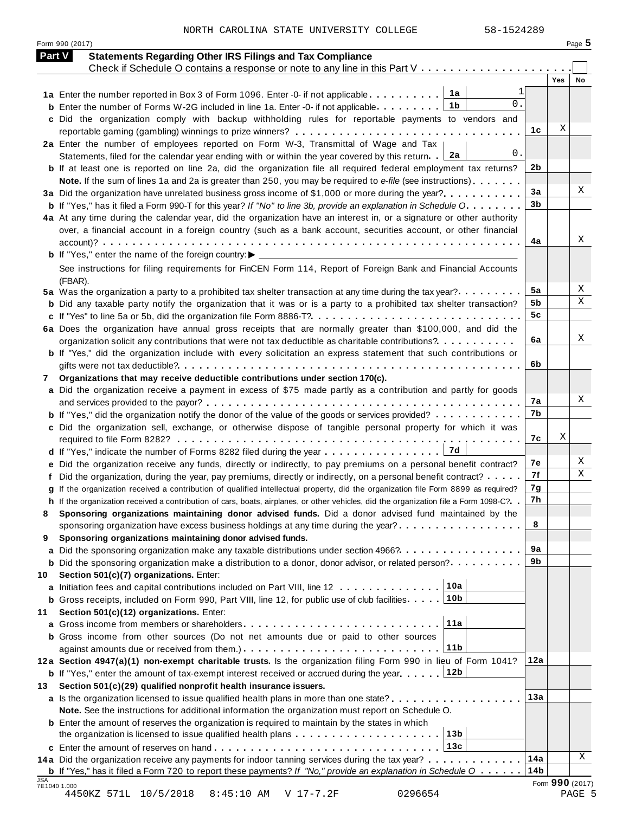NORTH CAROLINA STATE UNIVERSITY COLLEGE 58-1524289

Form <sup>990</sup> (2017) Page **5**

| <b>Part V</b> | <b>Statements Regarding Other IRS Filings and Tax Compliance</b>                                                                        |                |                 |    |
|---------------|-----------------------------------------------------------------------------------------------------------------------------------------|----------------|-----------------|----|
|               | Check if Schedule O contains a response or note to any line in this Part $V_1, \ldots, V_k, \ldots, V_k, \ldots$                        |                |                 |    |
|               |                                                                                                                                         |                | Yes             | No |
|               | 1a<br>1a Enter the number reported in Box 3 of Form 1096. Enter -0- if not applicable<br>$0$ .                                          |                |                 |    |
|               | 1b<br><b>b</b> Enter the number of Forms W-2G included in line 1a. Enter -0- if not applicable                                          |                |                 |    |
|               | c Did the organization comply with backup withholding rules for reportable payments to vendors and                                      |                |                 |    |
|               |                                                                                                                                         | 1c             | Χ               |    |
|               | 2a Enter the number of employees reported on Form W-3, Transmittal of Wage and Tax                                                      |                |                 |    |
|               | 0.<br>2a<br>Statements, filed for the calendar year ending with or within the year covered by this return.                              |                |                 |    |
|               | <b>b</b> If at least one is reported on line 2a, did the organization file all required federal employment tax returns?                 | 2b             |                 |    |
|               | Note. If the sum of lines 1a and 2a is greater than 250, you may be required to e-file (see instructions)                               |                |                 |    |
|               | 3a Did the organization have unrelated business gross income of \$1,000 or more during the year?                                        | 3a             |                 | Χ  |
|               | <b>b</b> If "Yes," has it filed a Form 990-T for this year? If "No" to line 3b, provide an explanation in Schedule O                    | 3 <sub>b</sub> |                 |    |
|               | 4a At any time during the calendar year, did the organization have an interest in, or a signature or other authority                    |                |                 |    |
|               | over, a financial account in a foreign country (such as a bank account, securities account, or other financial                          |                |                 |    |
|               |                                                                                                                                         | 4a             |                 | Χ  |
|               | <b>b</b> If "Yes," enter the name of the foreign country: $\blacktriangleright$ _____________________                                   |                |                 |    |
|               | See instructions for filing requirements for FinCEN Form 114, Report of Foreign Bank and Financial Accounts                             |                |                 |    |
|               | (FBAR).                                                                                                                                 |                |                 |    |
|               | 5a Was the organization a party to a prohibited tax shelter transaction at any time during the tax year?                                | 5a             |                 | Χ  |
|               | <b>b</b> Did any taxable party notify the organization that it was or is a party to a prohibited tax shelter transaction?               | 5b             |                 | Χ  |
|               |                                                                                                                                         | 5 <sub>c</sub> |                 |    |
|               | 6a Does the organization have annual gross receipts that are normally greater than \$100,000, and did the                               |                |                 |    |
|               | organization solicit any contributions that were not tax deductible as charitable contributions?                                        | 6a             |                 | Χ  |
|               | <b>b</b> If "Yes," did the organization include with every solicitation an express statement that such contributions or                 |                |                 |    |
|               |                                                                                                                                         | 6b             |                 |    |
| 7             | Organizations that may receive deductible contributions under section 170(c).                                                           |                |                 |    |
|               | a Did the organization receive a payment in excess of \$75 made partly as a contribution and partly for goods                           |                |                 |    |
|               |                                                                                                                                         | 7a             |                 | Χ  |
|               | <b>b</b> If "Yes," did the organization notify the donor of the value of the goods or services provided?                                | 7b             |                 |    |
|               | c Did the organization sell, exchange, or otherwise dispose of tangible personal property for which it was                              |                |                 |    |
|               |                                                                                                                                         | 7c             | Χ               |    |
|               |                                                                                                                                         |                |                 |    |
|               | e Did the organization receive any funds, directly or indirectly, to pay premiums on a personal benefit contract?                       | 7e             |                 | Χ  |
|               | f Did the organization, during the year, pay premiums, directly or indirectly, on a personal benefit contract?                          | 7f             |                 | Χ  |
|               | g If the organization received a contribution of qualified intellectual property, did the organization file Form 8899 as required?      | 7g             |                 |    |
|               | h If the organization received a contribution of cars, boats, airplanes, or other vehicles, did the organization file a Form 1098-C?. . | 7h             |                 |    |
|               | Sponsoring organizations maintaining donor advised funds. Did a donor advised fund maintained by the                                    |                |                 |    |
|               | sponsoring organization have excess business holdings at any time during the year?                                                      | 8              |                 |    |
|               | Sponsoring organizations maintaining donor advised funds.                                                                               |                |                 |    |
| 9             |                                                                                                                                         | 9a             |                 |    |
|               | a Did the sponsoring organization make any taxable distributions under section 4966?                                                    | 9b             |                 |    |
|               | <b>b</b> Did the sponsoring organization make a distribution to a donor, donor advisor, or related person?                              |                |                 |    |
| 10            | Section 501(c)(7) organizations. Enter:<br>10a                                                                                          |                |                 |    |
|               | a Initiation fees and capital contributions included on Part VIII, line 12<br>10b                                                       |                |                 |    |
|               | <b>b</b> Gross receipts, included on Form 990, Part VIII, line 12, for public use of club facilities.                                   |                |                 |    |
| 11            | Section 501(c)(12) organizations. Enter:                                                                                                |                |                 |    |
|               | 11a<br>a Gross income from members or shareholders                                                                                      |                |                 |    |
|               | <b>b</b> Gross income from other sources (Do not net amounts due or paid to other sources                                               |                |                 |    |
|               | 11b                                                                                                                                     |                |                 |    |
|               | 12a Section 4947(a)(1) non-exempt charitable trusts. Is the organization filing Form 990 in lieu of Form 1041?                          | 12a            |                 |    |
|               | 12b<br><b>b</b> If "Yes," enter the amount of tax-exempt interest received or accrued during the year                                   |                |                 |    |
| 13            | Section 501(c)(29) qualified nonprofit health insurance issuers.                                                                        |                |                 |    |
|               | a Is the organization licensed to issue qualified health plans in more than one state?                                                  | 13a            |                 |    |
|               | Note. See the instructions for additional information the organization must report on Schedule O.                                       |                |                 |    |
|               | <b>b</b> Enter the amount of reserves the organization is required to maintain by the states in which                                   |                |                 |    |
|               | 13 <sub>b</sub><br>the organization is licensed to issue qualified health plans                                                         |                |                 |    |
|               | 13c                                                                                                                                     |                |                 |    |
|               | 14a Did the organization receive any payments for indoor tanning services during the tax year?                                          | 14a            |                 | Χ  |
|               | <b>b</b> If "Yes," has it filed a Form 720 to report these payments? If "No," provide an explanation in Schedule $0 \ldots \ldots$      | 14b            |                 |    |
| JSA           | 7E1040 1.000                                                                                                                            |                | Form 990 (2017) |    |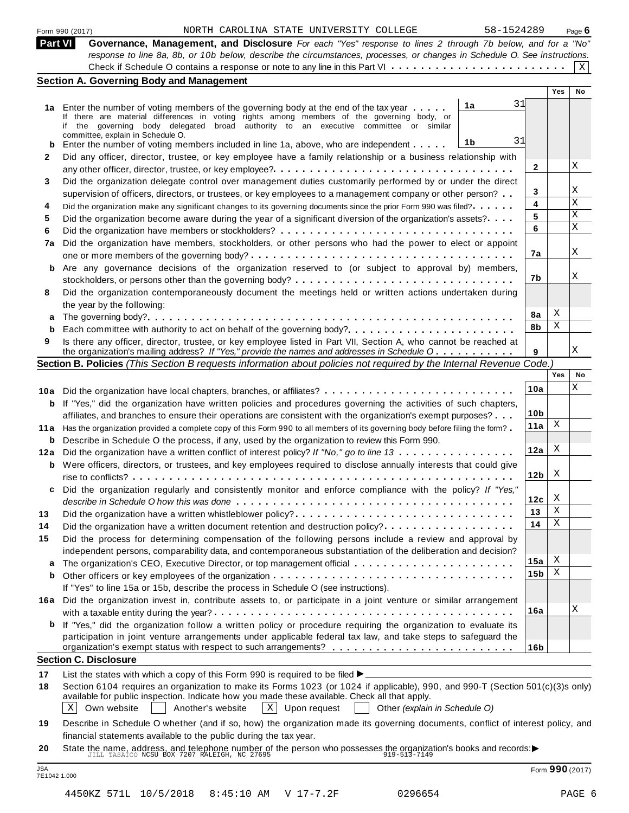|  | Form 990 (2017) |
|--|-----------------|
|  |                 |

#### Form 990 (2017) Page **6** NORTH CAROLINA STATE UNIVERSITY COLLEGE 58-1524289

| Form 990 (2017) |                                                                                                                                                                                                                                         |  | NORTH CAROLINA STATE UNIVERSITY COLLEGE | 58-1524289 | Page $6$ |
|-----------------|-----------------------------------------------------------------------------------------------------------------------------------------------------------------------------------------------------------------------------------------|--|-----------------------------------------|------------|----------|
| Part VI         | Governance, Management, and Disclosure For each "Yes" response to lines 2 through 7b below, and for a "No"<br>response to line 8a, 8b, or 10b below, describe the circumstances, processes, or changes in Schedule O. See instructions. |  |                                         |            |          |
|                 | <b>Section A. Governing Body and Management</b>                                                                                                                                                                                         |  |                                         |            |          |
|                 |                                                                                                                                                                                                                                         |  |                                         |            |          |

| <b>Part VI</b> | Governance, Management, and Disclosure For each "Yes" response to lines 2 through 7b below, and for a "No"                                                                                                                      |                 |            |             |
|----------------|---------------------------------------------------------------------------------------------------------------------------------------------------------------------------------------------------------------------------------|-----------------|------------|-------------|
|                | response to line 8a, 8b, or 10b below, describe the circumstances, processes, or changes in Schedule O. See instructions.                                                                                                       |                 |            |             |
|                |                                                                                                                                                                                                                                 |                 |            | $X \vert$   |
|                | <b>Section A. Governing Body and Management</b>                                                                                                                                                                                 |                 |            |             |
|                |                                                                                                                                                                                                                                 |                 | Yes        | No          |
| 1a             | 31<br>1a<br>Enter the number of voting members of the governing body at the end of the tax year                                                                                                                                 |                 |            |             |
|                | If there are material differences in voting rights among members of the governing body, or<br>if the governing body delegated broad authority to an executive committee or similar                                              |                 |            |             |
|                | committee, explain in Schedule O.                                                                                                                                                                                               |                 |            |             |
| b              | 31<br>1b<br>Enter the number of voting members included in line 1a, above, who are independent                                                                                                                                  |                 |            |             |
| 2              | Did any officer, director, trustee, or key employee have a family relationship or a business relationship with                                                                                                                  |                 |            |             |
|                |                                                                                                                                                                                                                                 | $\mathbf{2}$    |            | Χ           |
| 3              | Did the organization delegate control over management duties customarily performed by or under the direct                                                                                                                       |                 |            |             |
|                | supervision of officers, directors, or trustees, or key employees to a management company or other person?                                                                                                                      | 3               |            | Χ           |
| 4              | Did the organization make any significant changes to its governing documents since the prior Form 990 was filed?                                                                                                                | 4               |            | $\mathbf X$ |
| 5              | Did the organization become aware during the year of a significant diversion of the organization's assets?                                                                                                                      | 5               |            | Χ           |
| 6              |                                                                                                                                                                                                                                 | 6               |            | X           |
| 7a             | Did the organization have members, stockholders, or other persons who had the power to elect or appoint                                                                                                                         |                 |            |             |
|                |                                                                                                                                                                                                                                 | 7a              |            | Χ           |
| b              | Are any governance decisions of the organization reserved to (or subject to approval by) members,                                                                                                                               |                 |            |             |
|                |                                                                                                                                                                                                                                 | 7b              |            | Χ           |
| 8              | Did the organization contemporaneously document the meetings held or written actions undertaken during                                                                                                                          |                 |            |             |
|                | the year by the following:                                                                                                                                                                                                      |                 |            |             |
| а              |                                                                                                                                                                                                                                 | 8a              | Χ          |             |
| b              | Each committee with authority to act on behalf of the governing body?                                                                                                                                                           | 8b              | Χ          |             |
| 9              | Is there any officer, director, trustee, or key employee listed in Part VII, Section A, who cannot be reached at                                                                                                                |                 |            |             |
|                | the organization's mailing address? If "Yes," provide the names and addresses in Schedule O                                                                                                                                     | 9               |            | Χ           |
|                | Section B. Policies (This Section B requests information about policies not required by the Internal Revenue Code.)                                                                                                             |                 |            |             |
|                |                                                                                                                                                                                                                                 |                 | <b>Yes</b> | No          |
|                | 10a Did the organization have local chapters, branches, or affiliates?                                                                                                                                                          | 10a             |            | Χ           |
| b              | If "Yes," did the organization have written policies and procedures governing the activities of such chapters,                                                                                                                  |                 |            |             |
|                | affiliates, and branches to ensure their operations are consistent with the organization's exempt purposes?                                                                                                                     | 10 <sub>b</sub> |            |             |
|                | 11a Has the organization provided a complete copy of this Form 990 to all members of its governing body before filing the form?                                                                                                 | 11a             | Χ          |             |
| b              | Describe in Schedule O the process, if any, used by the organization to review this Form 990.                                                                                                                                   |                 |            |             |
| 12a            | Did the organization have a written conflict of interest policy? If "No," go to line 13                                                                                                                                         | 12a             | Χ          |             |
|                | <b>b</b> Were officers, directors, or trustees, and key employees required to disclose annually interests that could give                                                                                                       |                 |            |             |
|                |                                                                                                                                                                                                                                 | 12 <sub>b</sub> | X          |             |
| c              | Did the organization regularly and consistently monitor and enforce compliance with the policy? If "Yes,"                                                                                                                       |                 |            |             |
|                |                                                                                                                                                                                                                                 | 12c             | х          |             |
| 13             |                                                                                                                                                                                                                                 | 13              | Χ          |             |
| 14             | Did the organization have a written document retention and destruction policy?                                                                                                                                                  | 14              | Χ          |             |
| 15             | Did the process for determining compensation of the following persons include a review and approval by                                                                                                                          |                 |            |             |
|                | independent persons, comparability data, and contemporaneous substantiation of the deliberation and decision?                                                                                                                   |                 |            |             |
| a              |                                                                                                                                                                                                                                 | 15a             | X          |             |
| b              |                                                                                                                                                                                                                                 | 15 <sub>b</sub> | Χ          |             |
|                | If "Yes" to line 15a or 15b, describe the process in Schedule O (see instructions).                                                                                                                                             |                 |            |             |
| 16a            | Did the organization invest in, contribute assets to, or participate in a joint venture or similar arrangement                                                                                                                  |                 |            |             |
|                |                                                                                                                                                                                                                                 | 16a             |            | Χ           |
| b              | If "Yes," did the organization follow a written policy or procedure requiring the organization to evaluate its                                                                                                                  |                 |            |             |
|                | participation in joint venture arrangements under applicable federal tax law, and take steps to safeguard the                                                                                                                   |                 |            |             |
|                |                                                                                                                                                                                                                                 | 16 <sub>b</sub> |            |             |
|                | <b>Section C. Disclosure</b>                                                                                                                                                                                                    |                 |            |             |
| 17             | List the states with which a copy of this Form 990 is required to be filed $\blacktriangleright$                                                                                                                                |                 |            |             |
| 18             | Section 6104 requires an organization to make its Forms 1023 (or 1024 if applicable), 990, and 990-T (Section 501(c)(3)s only)<br>available for public inspection. Indicate how you made these available. Check all that apply. |                 |            |             |

Own website Another's website Upon request Other *(explain in Schedule O)* Another's website

**19** Describe in Schedule O whether (and if so, how) the organization made its governing documents, conflict of interest policy, and financial statements available to the public during the tax year.

**20** Imancial statements available to the public during the tax year.<br>State the name, address, and telephone number of the person who possesses the organization's books and records:<br> $\frac{J\text{ILL} \text{TSAICO NCSU BOX} \text{ROX } 7207 \text{ RALEIGH}, \text{NC }$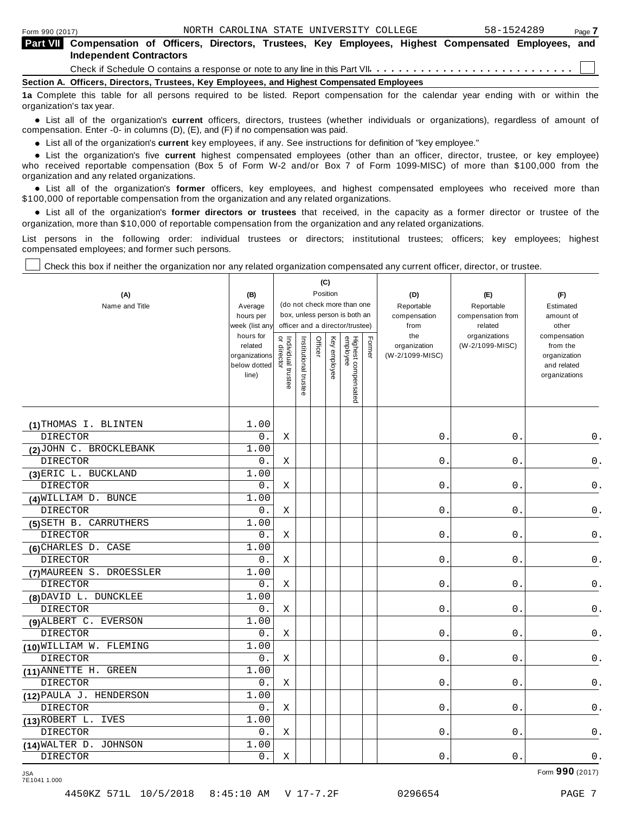|                          | <b>Part VII</b> Compensation of Officers, Directors, Trustees, Key Employees, Highest Compensated Employees, and<br><b>Independent Contractors</b> |  |
|--------------------------|----------------------------------------------------------------------------------------------------------------------------------------------------|--|
|                          |                                                                                                                                                    |  |
|                          | Section A. Officers, Directors, Trustees, Key Employees, and Highest Compensated Employees                                                         |  |
| organization's tax year. | 1a Complete this table for all persons required to be listed. Report compensation for the calendar year ending with or within the                  |  |

anization's lax year.<br>● List all of the organization's **current** officers, directors, trustees (whether individuals or organizations), regardless of amount of<br>nnensation Enter -0- in columns (D) (E) and (E) if no compensa compensation. Enter -0- in columns (D), (E), and (F) if no compensation was paid.

• List all of the organization's **current** key employees, if any. See instructions for definition of "key employee."<br>● List the experientials five expect highest expressed explores (other than an efficer director of

**Example in the organization's current** key employees, if any. See instructions for definition of key employee.<br>• List the organization's five **current** highest compensated employees (other than an officer, director, trust who received reportable compensation (Box 5 of Form W-2 and/or Box 7 of Form 1099-MISC) of more than \$100,000 from the

organization and any related organizations.<br>• List all of the organization's **former** officers, key employees, and highest compensated employees who received more than<br>\$1.00.000 of reportable componention from the erganiza \$100,000 of reportable compensation from the organization and any related organizations.

% List all of the organization's **former directors or trustees** that received, in the capacity as a former director or trustee of the organization, more than \$10,000 of reportable compensation from the organization and any related organizations.

List persons in the following order: individual trustees or directors; institutional trustees; officers; key employees; highest compensated employees; and former such persons.

┰

Check this box if neither the organization nor any related organization compensated any current officer, director, or trustee.

| (A)<br>Name and Title    | (B)<br>Average<br>hours per<br>week (list any                  |                                   |                       |         | (C)<br>Position | (do not check more than one<br>box, unless person is both an<br>officer and a director/trustee) |        | (D)<br>Reportable<br>compensation<br>from | (E)<br>Reportable<br>compensation from<br>related | (F)<br>Estimated<br>amount of<br>other                                   |
|--------------------------|----------------------------------------------------------------|-----------------------------------|-----------------------|---------|-----------------|-------------------------------------------------------------------------------------------------|--------|-------------------------------------------|---------------------------------------------------|--------------------------------------------------------------------------|
|                          | hours for<br>related<br>organizations<br>below dotted<br>line) | Individual trustee<br>or director | Institutional trustee | Officer | Key employee    | Highest compensated<br>employee                                                                 | Former | the<br>organization<br>(W-2/1099-MISC)    | organizations<br>(W-2/1099-MISC)                  | compensation<br>from the<br>organization<br>and related<br>organizations |
| (1) THOMAS I. BLINTEN    | 1.00                                                           |                                   |                       |         |                 |                                                                                                 |        |                                           |                                                   |                                                                          |
| <b>DIRECTOR</b>          | 0.                                                             | Χ                                 |                       |         |                 |                                                                                                 |        | 0.                                        | 0.                                                | 0.                                                                       |
| (2) JOHN C. BROCKLEBANK  | 1.00                                                           |                                   |                       |         |                 |                                                                                                 |        |                                           |                                                   |                                                                          |
| <b>DIRECTOR</b>          | 0.                                                             | Χ                                 |                       |         |                 |                                                                                                 |        | $0$ .                                     | $0$ .                                             | $\mathsf 0$ .                                                            |
| (3) ERIC L. BUCKLAND     | 1.00                                                           |                                   |                       |         |                 |                                                                                                 |        |                                           |                                                   |                                                                          |
| <b>DIRECTOR</b>          | $0$ .                                                          | Χ                                 |                       |         |                 |                                                                                                 |        | 0.                                        | $0$ .                                             | $\mathsf 0$ .                                                            |
| (4) WILLIAM D. BUNCE     | 1.00                                                           |                                   |                       |         |                 |                                                                                                 |        |                                           |                                                   |                                                                          |
| <b>DIRECTOR</b>          | 0.                                                             | Χ                                 |                       |         |                 |                                                                                                 |        | 0.                                        | 0.                                                | $\mathsf 0$ .                                                            |
| (5) SETH B. CARRUTHERS   | 1.00                                                           |                                   |                       |         |                 |                                                                                                 |        |                                           |                                                   |                                                                          |
| <b>DIRECTOR</b>          | 0.                                                             | X                                 |                       |         |                 |                                                                                                 |        | 0.                                        | 0.                                                | $\mathsf 0$ .                                                            |
| (6) CHARLES D. CASE      | 1.00                                                           |                                   |                       |         |                 |                                                                                                 |        |                                           |                                                   |                                                                          |
| <b>DIRECTOR</b>          | 0.                                                             | Χ                                 |                       |         |                 |                                                                                                 |        | $0$ .                                     | $0$ .                                             | 0.                                                                       |
| (7) MAUREEN S. DROESSLER | 1.00                                                           |                                   |                       |         |                 |                                                                                                 |        |                                           |                                                   |                                                                          |
| <b>DIRECTOR</b>          | 0.                                                             | Χ                                 |                       |         |                 |                                                                                                 |        | 0.                                        | 0.                                                | 0.                                                                       |
| (8) DAVID L. DUNCKLEE    | 1.00                                                           |                                   |                       |         |                 |                                                                                                 |        |                                           |                                                   |                                                                          |
| <b>DIRECTOR</b>          | 0.                                                             | Χ                                 |                       |         |                 |                                                                                                 |        | $\mathsf{O}$ .                            | 0.                                                | 0.                                                                       |
| (9) ALBERT C. EVERSON    | 1.00                                                           |                                   |                       |         |                 |                                                                                                 |        |                                           |                                                   |                                                                          |
| <b>DIRECTOR</b>          | $0$ .                                                          | Χ                                 |                       |         |                 |                                                                                                 |        | $0$ .                                     | $0$ .                                             | 0.                                                                       |
| (10) WILLIAM W. FLEMING  | 1.00                                                           |                                   |                       |         |                 |                                                                                                 |        |                                           |                                                   |                                                                          |
| <b>DIRECTOR</b>          | 0.                                                             | Χ                                 |                       |         |                 |                                                                                                 |        | 0.                                        | 0.                                                | $0$ .                                                                    |
| (11) ANNETTE H. GREEN    | 1.00                                                           |                                   |                       |         |                 |                                                                                                 |        |                                           |                                                   |                                                                          |
| <b>DIRECTOR</b>          | $0$ .                                                          | Χ                                 |                       |         |                 |                                                                                                 |        | $0$ .                                     | 0.                                                | $0$ .                                                                    |
| (12) PAULA J. HENDERSON  | 1.00                                                           |                                   |                       |         |                 |                                                                                                 |        |                                           |                                                   |                                                                          |
| <b>DIRECTOR</b>          | $0$ .                                                          | Χ                                 |                       |         |                 |                                                                                                 |        | $0$ .                                     | 0.                                                | 0.                                                                       |
| (13) ROBERT L. IVES      | 1.00                                                           |                                   |                       |         |                 |                                                                                                 |        |                                           |                                                   |                                                                          |
| <b>DIRECTOR</b>          | 0.                                                             | Χ                                 |                       |         |                 |                                                                                                 |        | 0.                                        | $\boldsymbol{0}$ .                                | 0.                                                                       |
| (14) WALTER D. JOHNSON   | 1.00                                                           |                                   |                       |         |                 |                                                                                                 |        |                                           |                                                   |                                                                          |
| <b>DIRECTOR</b>          | $0$ .                                                          | Χ                                 |                       |         |                 |                                                                                                 |        | 0.                                        | $0$ .                                             | $0$ .                                                                    |

7E1041 1.000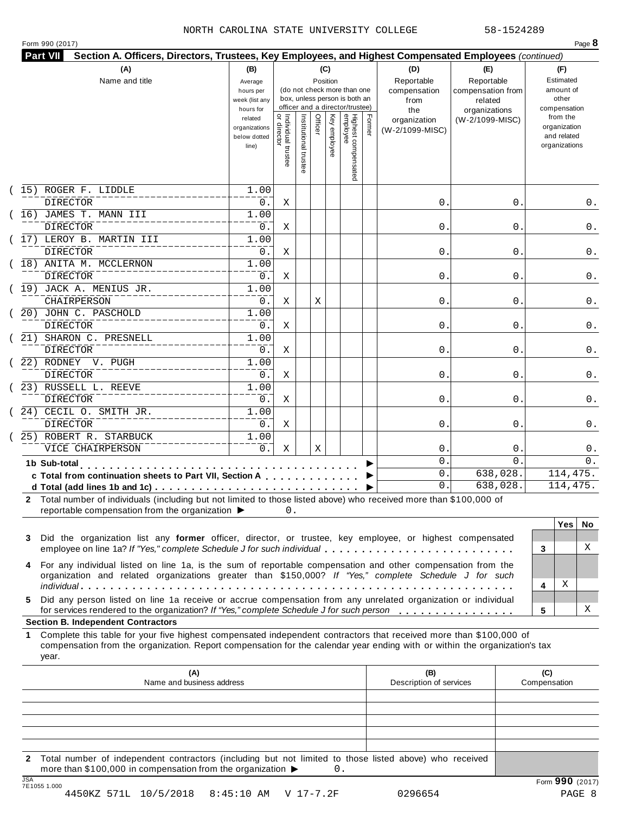#### NORTH CAROLINA STATE UNIVERSITY COLLEGE 58-1524289

| (A)<br>(B)<br>(C)<br>(D)<br>(E)<br>Reportable<br>Reportable<br>Name and title<br>Position<br>Average<br>(do not check more than one<br>compensation<br>compensation from<br>hours per<br>box, unless person is both an<br>week (list any<br>from<br>related<br>officer and a director/trustee)<br>hours for<br>the<br>organizations |                                                         |                                           |                       |         |                                                 |        |                                 |                 |                     | (F)<br>Estimated<br>amount of<br>other<br>compensation   |       |
|-------------------------------------------------------------------------------------------------------------------------------------------------------------------------------------------------------------------------------------------------------------------------------------------------------------------------------------|---------------------------------------------------------|-------------------------------------------|-----------------------|---------|-------------------------------------------------|--------|---------------------------------|-----------------|---------------------|----------------------------------------------------------|-------|
|                                                                                                                                                                                                                                                                                                                                     | related<br>organizations<br>below dotted<br>line)       | <br>  Individual trustee<br>  or director | Institutional trustee | Officer | Highest compensated<br>employee<br>Key employee | Former | organization<br>(W-2/1099-MISC) | (W-2/1099-MISC) |                     | from the<br>organization<br>and related<br>organizations |       |
| 15) ROGER F. LIDDLE                                                                                                                                                                                                                                                                                                                 | 1.00                                                    |                                           |                       |         |                                                 |        |                                 |                 |                     |                                                          |       |
| <b>DIRECTOR</b>                                                                                                                                                                                                                                                                                                                     | 0.                                                      | Χ                                         |                       |         |                                                 |        | 0.                              | 0               |                     |                                                          | 0.    |
| (16) JAMES T. MANN III                                                                                                                                                                                                                                                                                                              | 1.00                                                    |                                           |                       |         |                                                 |        |                                 |                 |                     |                                                          |       |
| <b>DIRECTOR</b>                                                                                                                                                                                                                                                                                                                     | 0.                                                      | Χ                                         |                       |         |                                                 |        | 0.                              | 0               |                     |                                                          | 0.    |
| (17) LEROY B. MARTIN III                                                                                                                                                                                                                                                                                                            | 1.00                                                    |                                           |                       |         |                                                 |        |                                 |                 |                     |                                                          |       |
| <b>DIRECTOR</b>                                                                                                                                                                                                                                                                                                                     | 0.                                                      | Χ                                         |                       |         |                                                 |        | 0.                              | 0               |                     |                                                          | 0.    |
| (18) ANITA M. MCCLERNON                                                                                                                                                                                                                                                                                                             | 1.00                                                    |                                           |                       |         |                                                 |        |                                 |                 |                     |                                                          |       |
| <b>DIRECTOR</b><br>(19) JACK A. MENIUS JR.                                                                                                                                                                                                                                                                                          | 0.<br>1.00                                              | Χ                                         |                       |         |                                                 |        | 0.                              | 0               |                     |                                                          | 0.    |
| CHAIRPERSON                                                                                                                                                                                                                                                                                                                         | 0.                                                      | Χ                                         |                       |         |                                                 |        | 0.                              | 0               |                     |                                                          | 0.    |
| 20) JOHN C. PASCHOLD                                                                                                                                                                                                                                                                                                                | 1.00                                                    |                                           |                       | Χ       |                                                 |        |                                 |                 |                     |                                                          |       |
| <b>DIRECTOR</b>                                                                                                                                                                                                                                                                                                                     | 0.                                                      | Χ                                         |                       |         |                                                 |        | 0.                              | 0               |                     |                                                          | 0.    |
| 21) SHARON C. PRESNELL                                                                                                                                                                                                                                                                                                              | 1.00                                                    |                                           |                       |         |                                                 |        |                                 |                 |                     |                                                          |       |
| <b>DIRECTOR</b>                                                                                                                                                                                                                                                                                                                     | 0.                                                      | Χ                                         |                       |         |                                                 |        | 0.                              | 0               |                     |                                                          | 0.    |
| 22) RODNEY V. PUGH                                                                                                                                                                                                                                                                                                                  | 1.00                                                    |                                           |                       |         |                                                 |        |                                 |                 |                     |                                                          |       |
| <b>DIRECTOR</b>                                                                                                                                                                                                                                                                                                                     | 0.                                                      | Χ                                         |                       |         |                                                 |        | 0.                              | 0               |                     |                                                          | 0.    |
| (23) RUSSELL L. REEVE                                                                                                                                                                                                                                                                                                               | 1.00                                                    |                                           |                       |         |                                                 |        |                                 |                 |                     |                                                          |       |
| <b>DIRECTOR</b>                                                                                                                                                                                                                                                                                                                     | 0.                                                      |                                           |                       |         |                                                 |        | 0.                              |                 |                     |                                                          | 0.    |
| Χ<br>0                                                                                                                                                                                                                                                                                                                              |                                                         |                                           |                       |         |                                                 |        |                                 |                 |                     |                                                          |       |
| <b>DIRECTOR</b>                                                                                                                                                                                                                                                                                                                     | 24) CECIL O. SMITH JR.<br>1.00<br>$0$ .<br>0.<br>0<br>Χ |                                           |                       |         |                                                 |        |                                 |                 |                     |                                                          | 0.    |
| 25) ROBERT R. STARBUCK                                                                                                                                                                                                                                                                                                              | 1.00                                                    |                                           |                       |         |                                                 |        |                                 |                 |                     |                                                          |       |
| VICE CHAIRPERSON                                                                                                                                                                                                                                                                                                                    | 0.                                                      | Χ                                         |                       | Χ       |                                                 |        | 0.                              | 0               |                     |                                                          | $0$ . |
|                                                                                                                                                                                                                                                                                                                                     |                                                         |                                           |                       |         |                                                 |        | 0.                              | $\mathbf 0$     |                     |                                                          | 0.    |
| 1b Sub-total<br>.<br>c Total from continuation sheets to Part VII, Section A                                                                                                                                                                                                                                                        |                                                         |                                           |                       |         |                                                 |        | 0.                              | 638,028.        |                     | 114,475.                                                 |       |
|                                                                                                                                                                                                                                                                                                                                     |                                                         |                                           |                       |         |                                                 |        | 0.                              | 638,028.        |                     | 114,475.                                                 |       |
| 2 Total number of individuals (including but not limited to those listed above) who received more than \$100,000 of<br>reportable compensation from the organization ▶                                                                                                                                                              |                                                         | 0.                                        |                       |         |                                                 |        |                                 |                 |                     | <b>Yes</b>                                               | No.   |
| Did the organization list any former officer, director, or trustee, key employee, or highest compensated<br>3<br>employee on line 1a? If "Yes," complete Schedule J for such individual                                                                                                                                             |                                                         |                                           |                       |         |                                                 |        |                                 |                 | 3                   |                                                          | X     |
| For any individual listed on line 1a, is the sum of reportable compensation and other compensation from the<br>4<br>organization and related organizations greater than \$150,000? If "Yes," complete Schedule J for such                                                                                                           |                                                         |                                           |                       |         |                                                 |        | 4                               | Χ               |                     |                                                          |       |
| Did any person listed on line 1a receive or accrue compensation from any unrelated organization or individual<br>5.<br>for services rendered to the organization? If "Yes," complete Schedule J for such person                                                                                                                     |                                                         |                                           |                       |         |                                                 |        |                                 |                 | 5                   |                                                          | X     |
| <b>Section B. Independent Contractors</b>                                                                                                                                                                                                                                                                                           |                                                         |                                           |                       |         |                                                 |        |                                 |                 |                     |                                                          |       |
| Complete this table for your five highest compensated independent contractors that received more than \$100,000 of<br>1.<br>compensation from the organization. Report compensation for the calendar year ending with or within the organization's tax<br>year.                                                                     |                                                         |                                           |                       |         |                                                 |        |                                 |                 |                     |                                                          |       |
| (A)                                                                                                                                                                                                                                                                                                                                 |                                                         |                                           |                       |         |                                                 |        | (B)<br>Description of services  |                 | (C)<br>Compensation |                                                          |       |
| Name and business address                                                                                                                                                                                                                                                                                                           |                                                         |                                           |                       |         |                                                 |        |                                 |                 |                     |                                                          |       |
|                                                                                                                                                                                                                                                                                                                                     |                                                         |                                           |                       |         |                                                 |        |                                 |                 |                     |                                                          |       |
|                                                                                                                                                                                                                                                                                                                                     |                                                         |                                           |                       |         |                                                 |        |                                 |                 |                     |                                                          |       |

**2** Total number of independent contractors (including but not limited to those listed above) who received more than \$100,000 in compensation from the organization  $\triangleright$  0.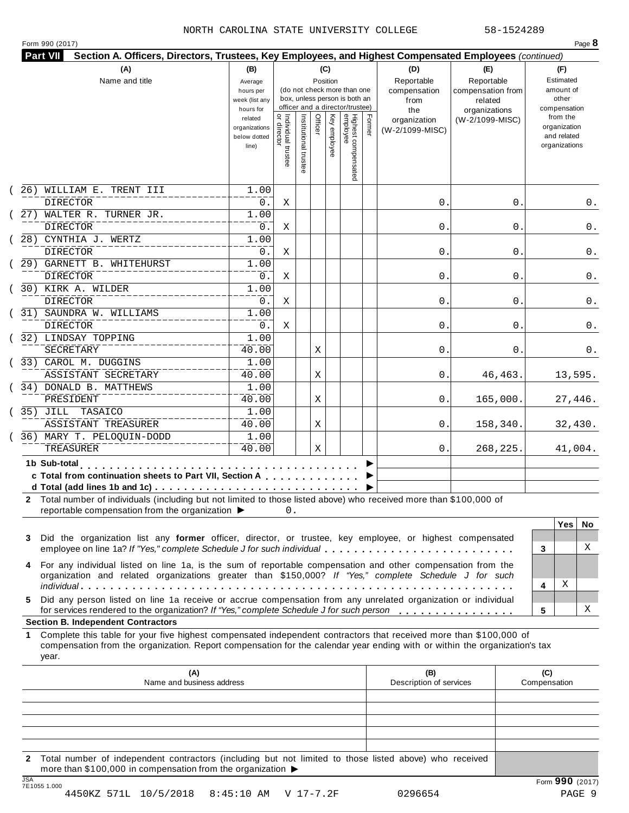#### NORTH CAROLINA STATE UNIVERSITY COLLEGE 58-1524289

| Form 990 (2017) |
|-----------------|
|-----------------|

|     | (A)                                                                                                                                                                                                                                                                                                    | (B)                                                            |                                           |                       |         | (C)          |                                                                    |        | (D)                                    | (E)                              | (F)                                                                      |
|-----|--------------------------------------------------------------------------------------------------------------------------------------------------------------------------------------------------------------------------------------------------------------------------------------------------------|----------------------------------------------------------------|-------------------------------------------|-----------------------|---------|--------------|--------------------------------------------------------------------|--------|----------------------------------------|----------------------------------|--------------------------------------------------------------------------|
|     | Name and title<br>Reportable<br>Reportable<br>Position<br>Average<br>(do not check more than one<br>compensation<br>compensation from<br>hours per<br>box, unless person is both an<br>week (list any<br>from<br>related                                                                               |                                                                |                                           |                       |         |              |                                                                    |        | Estimated<br>amount of<br>other        |                                  |                                                                          |
|     |                                                                                                                                                                                                                                                                                                        | hours for<br>related<br>organizations<br>below dotted<br>line) | <br>  Individual trustee<br>  or director | Institutional trustee | Officer | Key employee | officer and a director/trustee)<br>Highest compensated<br>employee | Former | the<br>organization<br>(W-2/1099-MISC) | organizations<br>(W-2/1099-MISC) | compensation<br>from the<br>organization<br>and related<br>organizations |
| 26) | WILLIAM E. TRENT III<br><b>DIRECTOR</b>                                                                                                                                                                                                                                                                | 1.00                                                           |                                           |                       |         |              |                                                                    |        | 0.                                     | $\mathbf 0$ .                    |                                                                          |
|     | 27) WALTER R. TURNER JR.<br><b>DIRECTOR</b>                                                                                                                                                                                                                                                            | 0.<br>1.00<br>0.                                               | Χ<br>Χ                                    |                       |         |              |                                                                    |        | 0.                                     | 0                                | 0.<br>0.                                                                 |
|     | 28) CYNTHIA J. WERTZ<br><b>DIRECTOR</b>                                                                                                                                                                                                                                                                | 1.00<br>0.                                                     | Χ                                         |                       |         |              |                                                                    |        | 0.                                     | 0                                | 0.                                                                       |
|     | 29) GARNETT B. WHITEHURST<br>DIRECTOR                                                                                                                                                                                                                                                                  | 1.00<br>0.                                                     | Χ                                         |                       |         |              |                                                                    |        | 0.                                     | 0                                | 0.                                                                       |
|     | 30) KIRK A. WILDER<br>DIRECTOR                                                                                                                                                                                                                                                                         | 1.00<br>0.                                                     | Χ                                         |                       |         |              |                                                                    |        | 0.                                     | 0                                | 0.                                                                       |
|     | (31) SAUNDRA W. WILLIAMS<br><b>DIRECTOR</b>                                                                                                                                                                                                                                                            | 1.00<br>$0$ .                                                  | Χ                                         |                       |         |              |                                                                    |        | 0.                                     | 0                                | 0.                                                                       |
|     | (32) LINDSAY TOPPING<br>SECRETARY                                                                                                                                                                                                                                                                      | 1.00<br>40.00                                                  |                                           |                       | Χ       |              |                                                                    |        | 0.                                     | 0                                | 0.                                                                       |
|     | (33) CAROL M. DUGGINS<br>ASSISTANT SECRETARY                                                                                                                                                                                                                                                           | 1.00<br>40.00                                                  |                                           |                       | Χ       |              |                                                                    |        | 0.                                     | 46, 463.                         | 13,595.                                                                  |
|     | (34) DONALD B. MATTHEWS<br>PRESIDENT                                                                                                                                                                                                                                                                   | 1.00<br>40.00                                                  |                                           |                       | Χ       |              |                                                                    |        | 0.                                     | 165,000.                         | 27,446.                                                                  |
|     | (35) JILL TASAICO<br>ASSISTANT TREASURER<br>36) MARY T. PELOQUIN-DODD                                                                                                                                                                                                                                  | 1.00<br>40.00<br>1.00                                          |                                           |                       | Χ       |              |                                                                    |        | 0.                                     | 158,340.                         | 32,430.                                                                  |
|     | TREASURER                                                                                                                                                                                                                                                                                              | 40.00                                                          |                                           |                       | Χ       |              |                                                                    |        | 0.                                     | 268,225.                         | 41,004.                                                                  |
|     | 1b Sub-total<br>c Total from continuation sheets to Part VII, Section A<br>2 Total number of individuals (including but not limited to those listed above) who received more than \$100,000 of<br>reportable compensation from the organization ▶                                                      |                                                                | 0.                                        |                       |         |              |                                                                    |        |                                        |                                  |                                                                          |
| 3   | Did the organization list any former officer, director, or trustee, key employee, or highest compensated<br>employee on line 1a? If "Yes," complete Schedule J for such individual                                                                                                                     |                                                                |                                           |                       |         |              |                                                                    |        |                                        |                                  | <b>Yes</b><br>No.<br>X<br>3                                              |
| 4   | For any individual listed on line 1a, is the sum of reportable compensation and other compensation from the<br>organization and related organizations greater than \$150,000? If "Yes," complete Schedule J for such                                                                                   |                                                                |                                           |                       |         |              |                                                                    |        |                                        |                                  | Χ<br>4                                                                   |
| 5.  | Did any person listed on line 1a receive or accrue compensation from any unrelated organization or individual<br>for services rendered to the organization? If "Yes," complete Schedule J for such person                                                                                              |                                                                |                                           |                       |         |              |                                                                    |        |                                        |                                  | х<br>5                                                                   |
| 1.  | <b>Section B. Independent Contractors</b><br>Complete this table for your five highest compensated independent contractors that received more than \$100,000 of<br>compensation from the organization. Report compensation for the calendar year ending with or within the organization's tax<br>year. |                                                                |                                           |                       |         |              |                                                                    |        |                                        |                                  |                                                                          |
|     | (A)<br>Name and business address                                                                                                                                                                                                                                                                       |                                                                |                                           |                       |         |              |                                                                    |        | (B)<br>Description of services         |                                  | (C)<br>Compensation                                                      |
|     |                                                                                                                                                                                                                                                                                                        |                                                                |                                           |                       |         |              |                                                                    |        |                                        |                                  |                                                                          |

JSA Form **990** (2017) 7E1055 1.000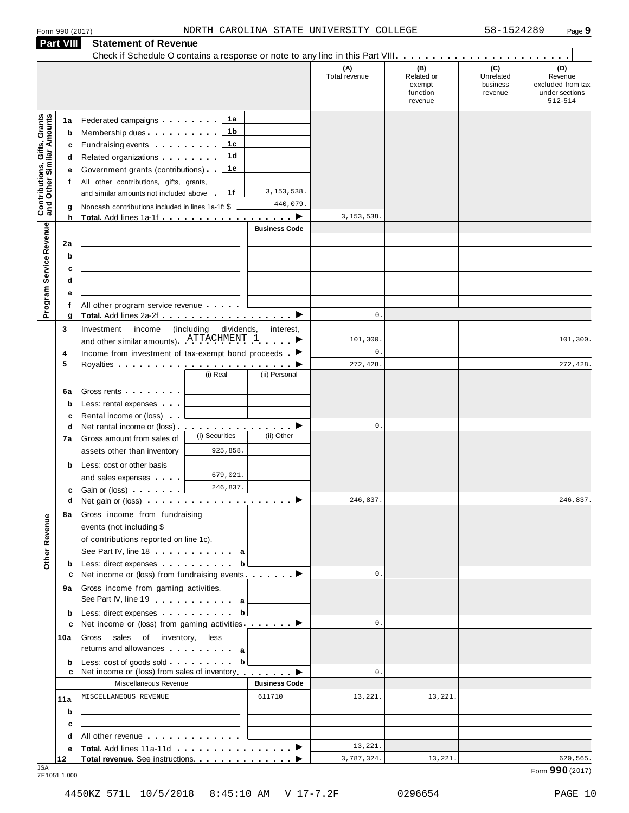|  | Form 990 (2017 |
|--|----------------|
|  |                |

| <b>Part VIII</b>                                                 |                                  | <b>Statement of Revenue</b>                                                                                                                                                                                                                                                                                                                                                                                                                                                                                                      |                                   |                           |                      |                                                    |                                         |                                                                  |
|------------------------------------------------------------------|----------------------------------|----------------------------------------------------------------------------------------------------------------------------------------------------------------------------------------------------------------------------------------------------------------------------------------------------------------------------------------------------------------------------------------------------------------------------------------------------------------------------------------------------------------------------------|-----------------------------------|---------------------------|----------------------|----------------------------------------------------|-----------------------------------------|------------------------------------------------------------------|
|                                                                  |                                  |                                                                                                                                                                                                                                                                                                                                                                                                                                                                                                                                  |                                   |                           | (A)<br>Total revenue | (B)<br>Related or<br>exempt<br>function<br>revenue | (C)<br>Unrelated<br>business<br>revenue | (D)<br>Revenue<br>excluded from tax<br>under sections<br>512-514 |
| <b>Contributions, Gifts, Grants</b><br>and Other Similar Amounts | 1а<br>b<br>c<br>d<br>е<br>f<br>g | Federated campaigns <b>Federated</b><br>Membership dues<br>Fundraising events <b>Fundraising</b><br>Related organizations <b>contains</b> and <b>Related</b> organizations <b>and</b> a set of the set of the set of the set of the set of the set of the set of the set of the set of the set of the set of the set of the set of the set of the<br>Government grants (contributions)<br>All other contributions, gifts, grants,<br>and similar amounts not included above<br>Noncash contributions included in lines 1a-1f: \$ | 1а<br>1 b<br>1c<br>1d<br>1е<br>1f | 3, 153, 538.<br>440,079.  |                      |                                                    |                                         |                                                                  |
|                                                                  | h<br>2a<br>b                     |                                                                                                                                                                                                                                                                                                                                                                                                                                                                                                                                  |                                   | <b>Business Code</b>      | 3, 153, 538          |                                                    |                                         |                                                                  |
| Program Service Revenue                                          | c<br>d<br>е                      |                                                                                                                                                                                                                                                                                                                                                                                                                                                                                                                                  |                                   |                           |                      |                                                    |                                         |                                                                  |
|                                                                  | f<br>g                           | All other program service revenue<br>Total. Add lines 2a-2f ▶                                                                                                                                                                                                                                                                                                                                                                                                                                                                    |                                   |                           | $\mathsf{0}$ .       |                                                    |                                         |                                                                  |
| Revenue<br>Other                                                 | 3<br>4                           | (including<br>Investment<br>income<br>and other similar amounts). ATTACHMENT 1<br>Income from investment of tax-exempt bond proceeds $\blacksquare$                                                                                                                                                                                                                                                                                                                                                                              | dividends,<br>interest,           | 101,300<br>$\mathsf{0}$ . |                      |                                                    | 101,300.                                |                                                                  |
|                                                                  | 5                                |                                                                                                                                                                                                                                                                                                                                                                                                                                                                                                                                  | (i) Real                          | (ii) Personal             | 272,428              |                                                    |                                         | 272,428.                                                         |
|                                                                  | 6a<br>b<br>c                     | Gross rents <b>contains a container</b><br>Less: rental expenses<br>Rental income or (loss)                                                                                                                                                                                                                                                                                                                                                                                                                                      |                                   |                           |                      |                                                    |                                         |                                                                  |
|                                                                  | d<br>7a                          | Net rental income or (loss) ▶<br>Gross amount from sales of<br>assets other than inventory                                                                                                                                                                                                                                                                                                                                                                                                                                       | (i) Securities<br>925,858.        | (ii) Other                | 0.                   |                                                    |                                         |                                                                  |
|                                                                  | b<br>c<br>d                      | Less: cost or other basis<br>and sales expenses<br>Gain or (loss)                                                                                                                                                                                                                                                                                                                                                                                                                                                                | 679,021.<br>246,837.              |                           | 246,837.             |                                                    |                                         | 246,837.                                                         |
|                                                                  | 8а                               | Gross income from fundraising<br>events (not including \$<br>of contributions reported on line 1c).<br>See Part IV, line 18 <b>can be a set of the See Part IV</b> , line 18                                                                                                                                                                                                                                                                                                                                                     |                                   |                           |                      |                                                    |                                         |                                                                  |
|                                                                  | b<br>с                           | Less: direct expenses<br>Net income or (loss) from fundraising events. $\blacksquare$                                                                                                                                                                                                                                                                                                                                                                                                                                            | b                                 |                           | $\mathsf{0}$ .       |                                                    |                                         |                                                                  |
|                                                                  | 9а                               | Gross income from gaming activities.<br>See Part IV, line 19 a                                                                                                                                                                                                                                                                                                                                                                                                                                                                   |                                   |                           |                      |                                                    |                                         |                                                                  |
|                                                                  | b                                | Less: direct expenses b                                                                                                                                                                                                                                                                                                                                                                                                                                                                                                          |                                   |                           |                      |                                                    |                                         |                                                                  |
|                                                                  | c<br>10a                         | Net income or (loss) from gaming activities ________<br>Gross sales of inventory,<br>returns and allowances and allowances                                                                                                                                                                                                                                                                                                                                                                                                       | less                              |                           | $\mathsf{0}$ .       |                                                    |                                         |                                                                  |
|                                                                  | b<br>c                           | Less: cost of goods sold<br>Net income or (loss) from sales of inventory                                                                                                                                                                                                                                                                                                                                                                                                                                                         | b                                 |                           | $\mathsf{O}\,$ .     |                                                    |                                         |                                                                  |
|                                                                  |                                  | Miscellaneous Revenue                                                                                                                                                                                                                                                                                                                                                                                                                                                                                                            |                                   | <b>Business Code</b>      |                      |                                                    |                                         |                                                                  |
|                                                                  | 11a<br>b                         | MISCELLANEOUS REVENUE<br>the control of the control of the control of the control of the control of the control of                                                                                                                                                                                                                                                                                                                                                                                                               |                                   | 611710                    | 13,221.              | 13,221.                                            |                                         |                                                                  |
|                                                                  | c                                | the contract of the contract of the contract of the contract of the                                                                                                                                                                                                                                                                                                                                                                                                                                                              |                                   |                           |                      |                                                    |                                         |                                                                  |
|                                                                  | d                                | All other revenue entitled to the state of the state of the state of the state of the state of the state of the                                                                                                                                                                                                                                                                                                                                                                                                                  |                                   |                           | 13,221.              |                                                    |                                         |                                                                  |
|                                                                  | е                                |                                                                                                                                                                                                                                                                                                                                                                                                                                                                                                                                  |                                   |                           | 3,787,324.           | 13,221.                                            |                                         | 620,565.                                                         |

JSA Form **990** (2017) 7E1051 1.000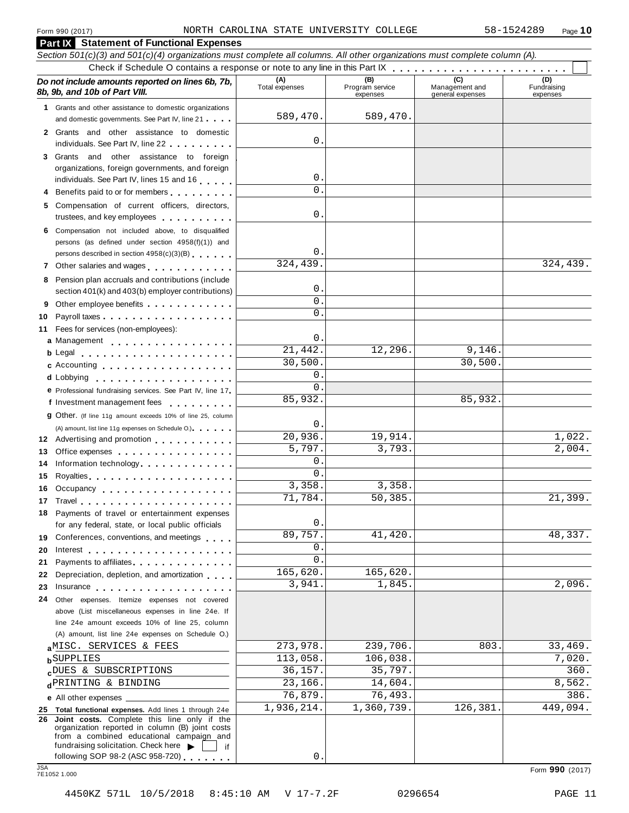|            | <b>Part IX</b> Statement of Functional Expenses                                                                                                                                                                                           |                       |                                    |                                           |                                |
|------------|-------------------------------------------------------------------------------------------------------------------------------------------------------------------------------------------------------------------------------------------|-----------------------|------------------------------------|-------------------------------------------|--------------------------------|
|            | Section 501(c)(3) and 501(c)(4) organizations must complete all columns. All other organizations must complete column (A).                                                                                                                |                       |                                    |                                           |                                |
|            |                                                                                                                                                                                                                                           |                       |                                    |                                           |                                |
|            | Do not include amounts reported on lines 6b, 7b,<br>8b, 9b, and 10b of Part VIII.                                                                                                                                                         | (A)<br>Total expenses | (B)<br>Program service<br>expenses | (C)<br>Management and<br>general expenses | (D)<br>Fundraising<br>expenses |
|            | 1 Grants and other assistance to domestic organizations                                                                                                                                                                                   |                       |                                    |                                           |                                |
|            | and domestic governments. See Part IV, line 21                                                                                                                                                                                            | 589,470.              | 589,470.                           |                                           |                                |
|            | 2 Grants and other assistance to domestic                                                                                                                                                                                                 | 0                     |                                    |                                           |                                |
|            | individuals. See Part IV, line 22                                                                                                                                                                                                         |                       |                                    |                                           |                                |
|            | 3 Grants and other assistance to foreign                                                                                                                                                                                                  |                       |                                    |                                           |                                |
|            | organizations, foreign governments, and foreign<br>individuals. See Part IV, lines 15 and 16                                                                                                                                              | 0                     |                                    |                                           |                                |
|            | 4 Benefits paid to or for members                                                                                                                                                                                                         | $\Omega$              |                                    |                                           |                                |
|            | 5 Compensation of current officers, directors,                                                                                                                                                                                            |                       |                                    |                                           |                                |
|            | trustees, and key employees                                                                                                                                                                                                               | 0                     |                                    |                                           |                                |
|            | 6 Compensation not included above, to disqualified                                                                                                                                                                                        |                       |                                    |                                           |                                |
|            | persons (as defined under section 4958(f)(1)) and                                                                                                                                                                                         |                       |                                    |                                           |                                |
|            | persons described in section 4958(c)(3)(B)                                                                                                                                                                                                | 0                     |                                    |                                           |                                |
|            | 7 Other salaries and wages                                                                                                                                                                                                                | 324,439.              |                                    |                                           | 324,439.                       |
|            | 8 Pension plan accruals and contributions (include                                                                                                                                                                                        |                       |                                    |                                           |                                |
|            | section 401(k) and 403(b) employer contributions)                                                                                                                                                                                         | 0                     |                                    |                                           |                                |
|            | Other employee benefits                                                                                                                                                                                                                   | 0                     |                                    |                                           |                                |
| 10         |                                                                                                                                                                                                                                           | $\Omega$              |                                    |                                           |                                |
|            | 11 Fees for services (non-employees):                                                                                                                                                                                                     |                       |                                    |                                           |                                |
|            | a Management                                                                                                                                                                                                                              | $\mathsf{O}$ .        |                                    |                                           |                                |
|            | <b>b</b> Legal <b>experience in the contract of the contract of the contract of the contract of the contract of the contract of the contract of the contract of the contract of the contract of the contract of the contract of the c</b> | 21,442.               | 12,296.                            | 9,146.                                    |                                |
|            | c Accounting entries and the control of the control of the control of the control of the control of the control of the control of the control of the control of the control of the control of the control of the control of th            | 30,500.               |                                    | 30,500.                                   |                                |
|            |                                                                                                                                                                                                                                           | 0                     |                                    |                                           |                                |
|            | e Professional fundraising services. See Part IV, line 17                                                                                                                                                                                 | $\Omega$              |                                    |                                           |                                |
|            | f Investment management fees                                                                                                                                                                                                              | 85,932.               |                                    | 85,932.                                   |                                |
|            | <b>g</b> Other. (If line 11g amount exceeds 10% of line 25, column                                                                                                                                                                        |                       |                                    |                                           |                                |
|            | (A) amount, list line 11g expenses on Schedule O.)                                                                                                                                                                                        | $\mathbf{0}$ .        |                                    |                                           |                                |
|            | 12 Advertising and promotion                                                                                                                                                                                                              | 20,936.               | 19,914.                            |                                           | 1,022.                         |
| 13         | Office expenses                                                                                                                                                                                                                           | 5,797.                | 3,793.                             |                                           | 2,004.                         |
| 14         | Information technology.                                                                                                                                                                                                                   | 0                     |                                    |                                           |                                |
| 15         |                                                                                                                                                                                                                                           | 0                     |                                    |                                           |                                |
|            | 16 Occupancy                                                                                                                                                                                                                              | 3,358.                | 3,358.                             |                                           |                                |
|            | 17 Travel                                                                                                                                                                                                                                 | 71,784.               | 50,385.                            |                                           | $\overline{21,399}$ .          |
|            | 18 Payments of travel or entertainment expenses                                                                                                                                                                                           |                       |                                    |                                           |                                |
|            | for any federal, state, or local public officials                                                                                                                                                                                         | $0$ .                 |                                    |                                           |                                |
|            | 19 Conferences, conventions, and meetings                                                                                                                                                                                                 | 89,757.               | 41,420.                            |                                           | 48,337.                        |
| 20         |                                                                                                                                                                                                                                           | 0                     |                                    |                                           |                                |
| 21.        | Payments to affiliates                                                                                                                                                                                                                    | 0                     |                                    |                                           |                                |
| 22         | Depreciation, depletion, and amortization                                                                                                                                                                                                 | 165,620.              | 165,620.                           |                                           |                                |
| 23         | Insurance in the contract of the contract of the contract of the contract of the contract of the contract of the contract of the contract of the contract of the contract of the contract of the contract of the contract of t            | 3,941.                | 1,845.                             |                                           | 2,096.                         |
| 24         | Other expenses. Itemize expenses not covered                                                                                                                                                                                              |                       |                                    |                                           |                                |
|            | above (List miscellaneous expenses in line 24e. If                                                                                                                                                                                        |                       |                                    |                                           |                                |
|            | line 24e amount exceeds 10% of line 25, column                                                                                                                                                                                            |                       |                                    |                                           |                                |
|            | (A) amount, list line 24e expenses on Schedule O.)                                                                                                                                                                                        |                       |                                    |                                           |                                |
|            | aMISC. SERVICES & FEES                                                                                                                                                                                                                    | 273,978.              | 239,706.                           | 803.                                      | 33,469.                        |
|            | <b>b</b> SUPPLIES                                                                                                                                                                                                                         | 113,058.              | 106,038.                           |                                           | 7,020.                         |
|            | cDUES & SUBSCRIPTIONS                                                                                                                                                                                                                     | 36,157.               | 35,797.                            |                                           | 360.                           |
|            | dPRINTING & BINDING                                                                                                                                                                                                                       | 23,166.               | 14,604.                            |                                           | 8,562.                         |
|            |                                                                                                                                                                                                                                           | 76,879.               | 76,493.                            |                                           | 386.                           |
|            | 25 Total functional expenses. Add lines 1 through 24e                                                                                                                                                                                     | 1,936,214.            | 1,360,739.                         | 126,381.                                  | 449,094.                       |
|            | 26 Joint costs. Complete this line only if the<br>organization reported in column (B) joint costs                                                                                                                                         |                       |                                    |                                           |                                |
|            | from a combined educational campaign and                                                                                                                                                                                                  |                       |                                    |                                           |                                |
|            | fundraising solicitation. Check here $\blacktriangleright$<br>if.                                                                                                                                                                         |                       |                                    |                                           |                                |
| <b>JSA</b> | following SOP 98-2 (ASC 958-720)                                                                                                                                                                                                          | 0                     |                                    |                                           |                                |
|            | 7E1052 1.000                                                                                                                                                                                                                              |                       |                                    |                                           | Form 990 (2017)                |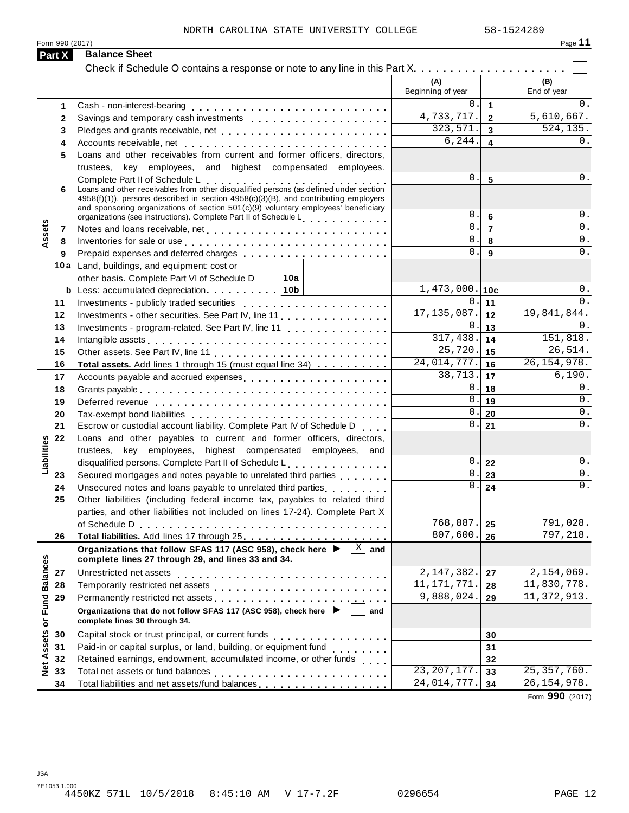#### NORTH CAROLINA STATE UNIVERSITY COLLEGE 58-1524289

Form <sup>990</sup> (2017) Page **11**

|                             | Part X | <b>Balance Sheet</b>                                                                                                                                                                                                                                                                  |                          |                         |                    |
|-----------------------------|--------|---------------------------------------------------------------------------------------------------------------------------------------------------------------------------------------------------------------------------------------------------------------------------------------|--------------------------|-------------------------|--------------------|
|                             |        |                                                                                                                                                                                                                                                                                       |                          |                         |                    |
|                             |        |                                                                                                                                                                                                                                                                                       | (A)<br>Beginning of year |                         | (B)<br>End of year |
|                             | 1.     |                                                                                                                                                                                                                                                                                       | 0                        | $\mathbf{1}$            | 0.                 |
|                             | 2      |                                                                                                                                                                                                                                                                                       | 4,733,717.               | $\overline{2}$          | 5,610,667.         |
|                             | 3      |                                                                                                                                                                                                                                                                                       | 323,571.                 | $\overline{\mathbf{3}}$ | 524,135.           |
|                             | 4      |                                                                                                                                                                                                                                                                                       | 6, 244.                  | $\blacktriangle$        | 0.                 |
|                             | 5      | Loans and other receivables from current and former officers, directors,                                                                                                                                                                                                              |                          |                         |                    |
|                             |        | trustees, key employees, and highest compensated employees.                                                                                                                                                                                                                           |                          |                         |                    |
|                             |        | Complete Part II of Schedule L<br>Loans and other receivables from other disqualified persons (as defined under section                                                                                                                                                               | 0.                       | 5                       | 0.                 |
|                             | 6      | $4958(f)(1)$ , persons described in section $4958(c)(3)(B)$ , and contributing employers<br>and sponsoring organizations of section $501(c)(9)$ voluntary employees' beneficiary<br>organizations (see instructions). Complete Part II of Schedule L <sub>1111111</sub> , productions | 0.                       | 6                       | $0$ .              |
|                             | 7      |                                                                                                                                                                                                                                                                                       | 0.                       | $\overline{7}$          | 0.                 |
| Assets                      | 8      | Inventories for sale or use enterprise and and all the context of the context of the context of the context of the context of the context of the context of the context of the context of the context of the context of the co                                                        | $\overline{0}$ .         | 8                       | 0.                 |
|                             | 9      |                                                                                                                                                                                                                                                                                       | $\Omega$ .               | 9                       | 0.                 |
|                             |        | 10a Land, buildings, and equipment: cost or                                                                                                                                                                                                                                           |                          |                         |                    |
|                             |        | other basis. Complete Part VI of Schedule D<br>∣10a                                                                                                                                                                                                                                   |                          |                         |                    |
|                             |        |                                                                                                                                                                                                                                                                                       | $1,473,000.$ 10c         |                         | $0$ .              |
|                             | 11     |                                                                                                                                                                                                                                                                                       | 0.                       | 11                      | 0.                 |
|                             | 12     | Investments - other securities. See Part IV, line 11                                                                                                                                                                                                                                  | 17, 135, 087.            | 12                      | 19,841,844.        |
|                             | 13     | Investments - program-related. See Part IV, line 11                                                                                                                                                                                                                                   | 0.                       | 13                      | 0.                 |
|                             | 14     |                                                                                                                                                                                                                                                                                       | 317,438.                 | 14                      | 151,818.           |
|                             | 15     |                                                                                                                                                                                                                                                                                       | 25,720.                  | 15                      | 26,514.            |
|                             | 16     | Total assets. Add lines 1 through 15 (must equal line 34)                                                                                                                                                                                                                             | 24,014,777.              | 16                      | 26, 154, 978.      |
|                             | 17     | Accounts payable and accrued expenses                                                                                                                                                                                                                                                 | 38,713.                  | 17                      | 6,190.             |
|                             | 18     |                                                                                                                                                                                                                                                                                       | 0.                       | 18                      | 0.                 |
|                             | 19     |                                                                                                                                                                                                                                                                                       | 0.                       | 19                      | 0.                 |
|                             | 20     |                                                                                                                                                                                                                                                                                       | 0.                       | 20                      | 0.                 |
|                             | 21     | Escrow or custodial account liability. Complete Part IV of Schedule D                                                                                                                                                                                                                 | 0.                       | 21                      | 0.                 |
|                             | 22     | Loans and other payables to current and former officers, directors,                                                                                                                                                                                                                   |                          |                         |                    |
| Liabilities                 |        | trustees, key employees, highest compensated employees, and                                                                                                                                                                                                                           |                          |                         |                    |
|                             |        | disqualified persons. Complete Part II of Schedule L.                                                                                                                                                                                                                                 | 0.1                      | 22                      | $0$ .              |
|                             | 23     | Secured mortgages and notes payable to unrelated third parties                                                                                                                                                                                                                        | 0.                       | 23                      | 0.                 |
|                             | 24     | Unsecured notes and loans payable to unrelated third parties with the current of                                                                                                                                                                                                      | 0.                       | 24                      | 0.                 |
|                             | 25     | Other liabilities (including federal income tax, payables to related third                                                                                                                                                                                                            |                          |                         |                    |
|                             |        | parties, and other liabilities not included on lines 17-24). Complete Part X                                                                                                                                                                                                          |                          |                         |                    |
|                             |        | of Schedule D                                                                                                                                                                                                                                                                         | 768,887.                 | 25                      | 791,028.           |
|                             | 26     |                                                                                                                                                                                                                                                                                       | 807,600.                 | 26                      | 797, 218.          |
|                             |        | $\mathbf X$<br>Organizations that follow SFAS 117 (ASC 958), check here ▶<br>and<br>complete lines 27 through 29, and lines 33 and 34.                                                                                                                                                |                          |                         |                    |
|                             | 27     | Unrestricted net assets                                                                                                                                                                                                                                                               | 2,147,382.               | 27                      | 2,154,069.         |
|                             | 28     |                                                                                                                                                                                                                                                                                       | 11, 171, 771.            | 28                      | 11,830,778.        |
|                             | 29     | Permanently restricted net assets entertainment resumes and research and research and response to the results                                                                                                                                                                         | 9,888,024.               | 29                      | 11, 372, 913.      |
| Net Assets or Fund Balances |        | Organizations that do not follow SFAS 117 (ASC 958), check here ▶<br>and<br>complete lines 30 through 34.                                                                                                                                                                             |                          |                         |                    |
|                             | 30     | Capital stock or trust principal, or current funds<br>. <b>.</b> .                                                                                                                                                                                                                    |                          | 30                      |                    |
|                             | 31     | Paid-in or capital surplus, or land, building, or equipment fund<br>                                                                                                                                                                                                                  |                          | 31                      |                    |
|                             | 32     | Retained earnings, endowment, accumulated income, or other funds                                                                                                                                                                                                                      |                          | 32                      |                    |
|                             | 33     |                                                                                                                                                                                                                                                                                       | 23, 207, 177.            | 33                      | 25, 357, 760.      |
|                             | 34     | Total liabilities and net assets/fund balances                                                                                                                                                                                                                                        | 24,014,777.              | 34                      | 26, 154, 978.      |

Form **990** (2017)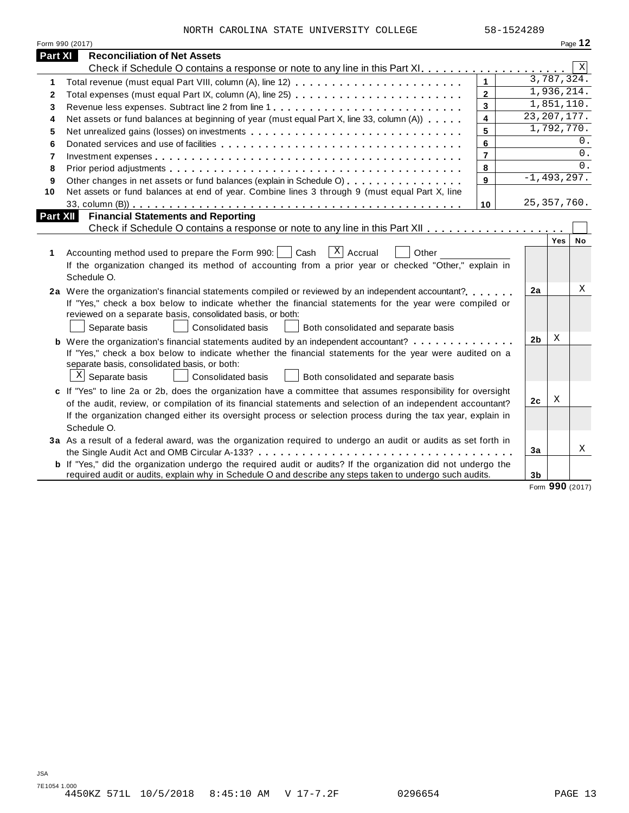| NORTH CAROLINA STATE UNIVERSITY COLLEGE |  | 58-1524289 |
|-----------------------------------------|--|------------|

|          | Form 990 (2017)                                                                                                       |                         |                |                          | Page 12         |
|----------|-----------------------------------------------------------------------------------------------------------------------|-------------------------|----------------|--------------------------|-----------------|
| Part XI  | <b>Reconciliation of Net Assets</b>                                                                                   |                         |                |                          |                 |
|          |                                                                                                                       |                         |                |                          | Χ               |
| 1        |                                                                                                                       | $\mathbf{1}$            |                | 3,787,324.               |                 |
| 2        | Total expenses (must equal Part IX, column (A), line 25)                                                              | $\mathbf{2}$            |                | 1,936,214.               |                 |
| 3        | Revenue less expenses. Subtract line 2 from line 1                                                                    | 3                       |                | $\overline{1,851,110}$ . |                 |
| 4        | Net assets or fund balances at beginning of year (must equal Part X, line 33, column (A))                             | $\overline{\mathbf{4}}$ | 23, 207, 177.  |                          |                 |
| 5        | Net unrealized gains (losses) on investments                                                                          | 5                       |                | 1,792,770.               |                 |
| 6        |                                                                                                                       | 6                       |                |                          | $0$ .           |
| 7        |                                                                                                                       | $\overline{7}$          |                |                          | 0.              |
| 8        |                                                                                                                       | 8                       |                |                          | 0.              |
| 9        | Other changes in net assets or fund balances (explain in Schedule O)                                                  | 9                       | $-1,493,297.$  |                          |                 |
| 10       | Net assets or fund balances at end of year. Combine lines 3 through 9 (must equal Part X, line                        |                         |                |                          |                 |
|          |                                                                                                                       | 10                      | 25, 357, 760.  |                          |                 |
| Part XII | <b>Financial Statements and Reporting</b>                                                                             |                         |                |                          |                 |
|          |                                                                                                                       |                         |                |                          |                 |
|          |                                                                                                                       |                         |                | Yes                      | No              |
| 1        | $\sqrt{X}$ Accrual<br>Accounting method used to prepare the Form 990:     Cash<br>Other                               |                         |                |                          |                 |
|          | If the organization changed its method of accounting from a prior year or checked "Other," explain in                 |                         |                |                          |                 |
|          | Schedule O.                                                                                                           |                         |                |                          |                 |
|          | 2a Were the organization's financial statements compiled or reviewed by an independent accountant?                    |                         | 2a             |                          | Χ               |
|          | If "Yes," check a box below to indicate whether the financial statements for the year were compiled or                |                         |                |                          |                 |
|          | reviewed on a separate basis, consolidated basis, or both:                                                            |                         |                |                          |                 |
|          | Separate basis<br>Consolidated basis<br>Both consolidated and separate basis                                          |                         |                |                          |                 |
|          | <b>b</b> Were the organization's financial statements audited by an independent accountant?                           |                         | 2 <sub>b</sub> | Χ                        |                 |
|          | If "Yes," check a box below to indicate whether the financial statements for the year were audited on a               |                         |                |                          |                 |
|          | separate basis, consolidated basis, or both:                                                                          |                         |                |                          |                 |
|          | X<br>Separate basis<br><b>Consolidated basis</b><br>Both consolidated and separate basis                              |                         |                |                          |                 |
|          | c If "Yes" to line 2a or 2b, does the organization have a committee that assumes responsibility for oversight         |                         |                |                          |                 |
|          | of the audit, review, or compilation of its financial statements and selection of an independent accountant?          |                         | 2 <sub>c</sub> | Χ                        |                 |
|          | If the organization changed either its oversight process or selection process during the tax year, explain in         |                         |                |                          |                 |
|          | Schedule O.                                                                                                           |                         |                |                          |                 |
|          | 3a As a result of a federal award, was the organization required to undergo an audit or audits as set forth in        |                         |                |                          |                 |
|          |                                                                                                                       |                         | 3a             |                          | Χ               |
|          | <b>b</b> If "Yes," did the organization undergo the required audit or audits? If the organization did not undergo the |                         |                |                          |                 |
|          | required audit or audits, explain why in Schedule O and describe any steps taken to undergo such audits.              |                         | 3 <sub>b</sub> |                          |                 |
|          |                                                                                                                       |                         |                |                          | Form 990 (2017) |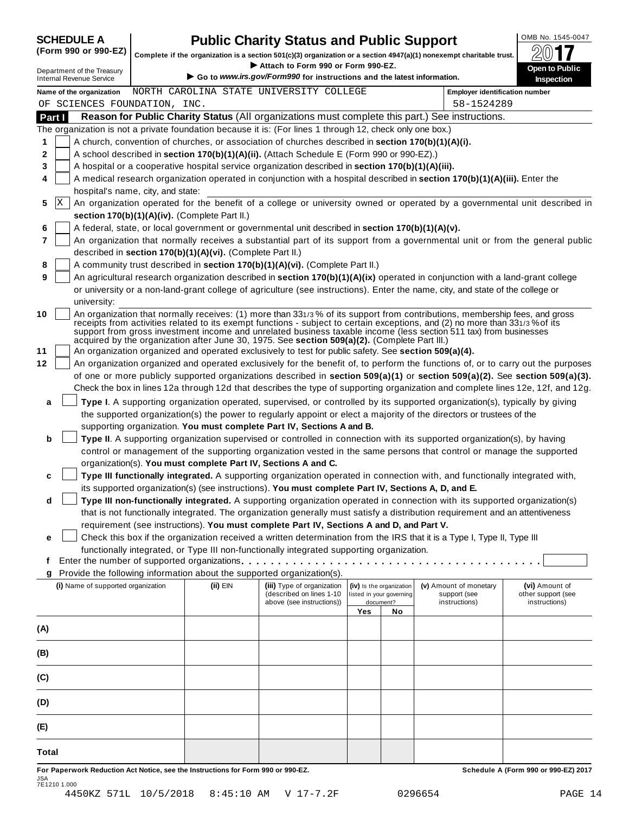| <b>SCHEDULE A</b> |  |  |  |                               |  |
|-------------------|--|--|--|-------------------------------|--|
|                   |  |  |  | $\sqrt{2}$ and and $\sqrt{2}$ |  |

# **CHEDULE A Public Charity Status and Public Support**  $\frac{100\text{dB No. }1545-0047}{000\text{dB}}$

(Form 990 or 990-EZ) complete if the organization is a section 501(c)(3) organization or a section 4947(a)(1) nonexempt charitable trust.  $2017$ 

|                                                                                                           |                                                            | Complete if the organization is a section 501(c)(3) organization or a section $4947(a)(1)$ nonexempt charitable trust.                                                                                |     |                          |                                                                                                                                                                                                                                                                                                                                                                                 | ZV I I                                                                                                                           |
|-----------------------------------------------------------------------------------------------------------|------------------------------------------------------------|-------------------------------------------------------------------------------------------------------------------------------------------------------------------------------------------------------|-----|--------------------------|---------------------------------------------------------------------------------------------------------------------------------------------------------------------------------------------------------------------------------------------------------------------------------------------------------------------------------------------------------------------------------|----------------------------------------------------------------------------------------------------------------------------------|
| Department of the Treasury<br><b>Internal Revenue Service</b>                                             |                                                            | Attach to Form 990 or Form 990-EZ.<br>Go to www.irs.gov/Form990 for instructions and the latest information.                                                                                          |     |                          |                                                                                                                                                                                                                                                                                                                                                                                 | Open to Public<br>Inspection                                                                                                     |
| Name of the organization                                                                                  |                                                            | NORTH CAROLINA STATE UNIVERSITY COLLEGE                                                                                                                                                               |     |                          | <b>Employer identification number</b>                                                                                                                                                                                                                                                                                                                                           |                                                                                                                                  |
| OF SCIENCES FOUNDATION, INC.                                                                              |                                                            |                                                                                                                                                                                                       |     |                          | 58-1524289                                                                                                                                                                                                                                                                                                                                                                      |                                                                                                                                  |
| Part I                                                                                                    |                                                            |                                                                                                                                                                                                       |     |                          | Reason for Public Charity Status (All organizations must complete this part.) See instructions.                                                                                                                                                                                                                                                                                 |                                                                                                                                  |
| The organization is not a private foundation because it is: (For lines 1 through 12, check only one box.) |                                                            |                                                                                                                                                                                                       |     |                          |                                                                                                                                                                                                                                                                                                                                                                                 |                                                                                                                                  |
| 1                                                                                                         |                                                            | A church, convention of churches, or association of churches described in section 170(b)(1)(A)(i).                                                                                                    |     |                          |                                                                                                                                                                                                                                                                                                                                                                                 |                                                                                                                                  |
| 2                                                                                                         |                                                            | A school described in section 170(b)(1)(A)(ii). (Attach Schedule E (Form 990 or 990-EZ).)                                                                                                             |     |                          |                                                                                                                                                                                                                                                                                                                                                                                 |                                                                                                                                  |
| 3                                                                                                         |                                                            | A hospital or a cooperative hospital service organization described in section 170(b)(1)(A)(iii).                                                                                                     |     |                          |                                                                                                                                                                                                                                                                                                                                                                                 |                                                                                                                                  |
| 4<br>hospital's name, city, and state:                                                                    |                                                            |                                                                                                                                                                                                       |     |                          | A medical research organization operated in conjunction with a hospital described in section 170(b)(1)(A)(iii). Enter the                                                                                                                                                                                                                                                       |                                                                                                                                  |
| ΙX<br>5                                                                                                   | section 170(b)(1)(A)(iv). (Complete Part II.)              |                                                                                                                                                                                                       |     |                          |                                                                                                                                                                                                                                                                                                                                                                                 | An organization operated for the benefit of a college or university owned or operated by a governmental unit described in        |
| 6                                                                                                         |                                                            | A federal, state, or local government or governmental unit described in section 170(b)(1)(A)(v).                                                                                                      |     |                          |                                                                                                                                                                                                                                                                                                                                                                                 |                                                                                                                                  |
| 7                                                                                                         |                                                            |                                                                                                                                                                                                       |     |                          |                                                                                                                                                                                                                                                                                                                                                                                 | An organization that normally receives a substantial part of its support from a governmental unit or from the general public     |
|                                                                                                           | described in section 170(b)(1)(A)(vi). (Complete Part II.) |                                                                                                                                                                                                       |     |                          |                                                                                                                                                                                                                                                                                                                                                                                 |                                                                                                                                  |
| 8                                                                                                         |                                                            | A community trust described in section 170(b)(1)(A)(vi). (Complete Part II.)                                                                                                                          |     |                          |                                                                                                                                                                                                                                                                                                                                                                                 |                                                                                                                                  |
| 9                                                                                                         |                                                            |                                                                                                                                                                                                       |     |                          | An agricultural research organization described in section 170(b)(1)(A)(ix) operated in conjunction with a land-grant college                                                                                                                                                                                                                                                   |                                                                                                                                  |
| university:                                                                                               |                                                            |                                                                                                                                                                                                       |     |                          | or university or a non-land-grant college of agriculture (see instructions). Enter the name, city, and state of the college or                                                                                                                                                                                                                                                  |                                                                                                                                  |
| 10                                                                                                        |                                                            |                                                                                                                                                                                                       |     |                          | An organization that normally receives: (1) more than 331/3% of its support from contributions, membership fees, and gross<br>receipts from activities related to its exempt functions - subject to certain exceptions, and (2) no more than 331/3% of its<br>support from gross investment income and unrelated business taxable income (less section 511 tax) from businesses |                                                                                                                                  |
| 11                                                                                                        |                                                            | acquired by the organization after June 30, 1975. See section 509(a)(2). (Complete Part III.)<br>An organization organized and operated exclusively to test for public safety. See section 509(a)(4). |     |                          |                                                                                                                                                                                                                                                                                                                                                                                 |                                                                                                                                  |
| 12                                                                                                        |                                                            |                                                                                                                                                                                                       |     |                          |                                                                                                                                                                                                                                                                                                                                                                                 | An organization organized and operated exclusively for the benefit of, to perform the functions of, or to carry out the purposes |
|                                                                                                           |                                                            |                                                                                                                                                                                                       |     |                          |                                                                                                                                                                                                                                                                                                                                                                                 | of one or more publicly supported organizations described in section 509(a)(1) or section 509(a)(2). See section 509(a)(3).      |
|                                                                                                           |                                                            |                                                                                                                                                                                                       |     |                          |                                                                                                                                                                                                                                                                                                                                                                                 | Check the box in lines 12a through 12d that describes the type of supporting organization and complete lines 12e, 12f, and 12g.  |
| a                                                                                                         |                                                            |                                                                                                                                                                                                       |     |                          | Type I. A supporting organization operated, supervised, or controlled by its supported organization(s), typically by giving                                                                                                                                                                                                                                                     |                                                                                                                                  |
|                                                                                                           |                                                            |                                                                                                                                                                                                       |     |                          | the supported organization(s) the power to regularly appoint or elect a majority of the directors or trustees of the                                                                                                                                                                                                                                                            |                                                                                                                                  |
|                                                                                                           |                                                            | supporting organization. You must complete Part IV, Sections A and B.                                                                                                                                 |     |                          |                                                                                                                                                                                                                                                                                                                                                                                 |                                                                                                                                  |
| b                                                                                                         |                                                            |                                                                                                                                                                                                       |     |                          | Type II. A supporting organization supervised or controlled in connection with its supported organization(s), by having                                                                                                                                                                                                                                                         |                                                                                                                                  |
|                                                                                                           |                                                            |                                                                                                                                                                                                       |     |                          | control or management of the supporting organization vested in the same persons that control or manage the supported                                                                                                                                                                                                                                                            |                                                                                                                                  |
|                                                                                                           |                                                            | organization(s). You must complete Part IV, Sections A and C.                                                                                                                                         |     |                          |                                                                                                                                                                                                                                                                                                                                                                                 |                                                                                                                                  |
| c                                                                                                         |                                                            |                                                                                                                                                                                                       |     |                          | Type III functionally integrated. A supporting organization operated in connection with, and functionally integrated with,                                                                                                                                                                                                                                                      |                                                                                                                                  |
|                                                                                                           |                                                            | its supported organization(s) (see instructions). You must complete Part IV, Sections A, D, and E.                                                                                                    |     |                          |                                                                                                                                                                                                                                                                                                                                                                                 |                                                                                                                                  |
| d                                                                                                         |                                                            |                                                                                                                                                                                                       |     |                          | Type III non-functionally integrated. A supporting organization operated in connection with its supported organization(s)                                                                                                                                                                                                                                                       |                                                                                                                                  |
|                                                                                                           |                                                            |                                                                                                                                                                                                       |     |                          | that is not functionally integrated. The organization generally must satisfy a distribution requirement and an attentiveness                                                                                                                                                                                                                                                    |                                                                                                                                  |
|                                                                                                           |                                                            | requirement (see instructions). You must complete Part IV, Sections A and D, and Part V.                                                                                                              |     |                          |                                                                                                                                                                                                                                                                                                                                                                                 |                                                                                                                                  |
| е                                                                                                         |                                                            |                                                                                                                                                                                                       |     |                          | Check this box if the organization received a written determination from the IRS that it is a Type I, Type II, Type III                                                                                                                                                                                                                                                         |                                                                                                                                  |
|                                                                                                           |                                                            | functionally integrated, or Type III non-functionally integrated supporting organization.                                                                                                             |     |                          |                                                                                                                                                                                                                                                                                                                                                                                 |                                                                                                                                  |
| t                                                                                                         |                                                            |                                                                                                                                                                                                       |     |                          |                                                                                                                                                                                                                                                                                                                                                                                 |                                                                                                                                  |
| g                                                                                                         |                                                            | Provide the following information about the supported organization(s).                                                                                                                                |     |                          |                                                                                                                                                                                                                                                                                                                                                                                 |                                                                                                                                  |
| (i) Name of supported organization                                                                        | (ii) EIN                                                   | (iii) Type of organization                                                                                                                                                                            |     | (iv) Is the organization | (v) Amount of monetary                                                                                                                                                                                                                                                                                                                                                          | (vi) Amount of                                                                                                                   |
|                                                                                                           |                                                            | (described on lines 1-10                                                                                                                                                                              |     | listed in your governing | support (see                                                                                                                                                                                                                                                                                                                                                                    | other support (see                                                                                                               |
|                                                                                                           |                                                            | above (see instructions))                                                                                                                                                                             | Yes | document?<br>No          | instructions)                                                                                                                                                                                                                                                                                                                                                                   | instructions)                                                                                                                    |
|                                                                                                           |                                                            |                                                                                                                                                                                                       |     |                          |                                                                                                                                                                                                                                                                                                                                                                                 |                                                                                                                                  |
| (A)                                                                                                       |                                                            |                                                                                                                                                                                                       |     |                          |                                                                                                                                                                                                                                                                                                                                                                                 |                                                                                                                                  |
| (B)                                                                                                       |                                                            |                                                                                                                                                                                                       |     |                          |                                                                                                                                                                                                                                                                                                                                                                                 |                                                                                                                                  |
| (C)                                                                                                       |                                                            |                                                                                                                                                                                                       |     |                          |                                                                                                                                                                                                                                                                                                                                                                                 |                                                                                                                                  |
| (D)                                                                                                       |                                                            |                                                                                                                                                                                                       |     |                          |                                                                                                                                                                                                                                                                                                                                                                                 |                                                                                                                                  |
| (E)                                                                                                       |                                                            |                                                                                                                                                                                                       |     |                          |                                                                                                                                                                                                                                                                                                                                                                                 |                                                                                                                                  |
|                                                                                                           |                                                            |                                                                                                                                                                                                       |     |                          |                                                                                                                                                                                                                                                                                                                                                                                 |                                                                                                                                  |
| Total                                                                                                     |                                                            |                                                                                                                                                                                                       |     |                          |                                                                                                                                                                                                                                                                                                                                                                                 |                                                                                                                                  |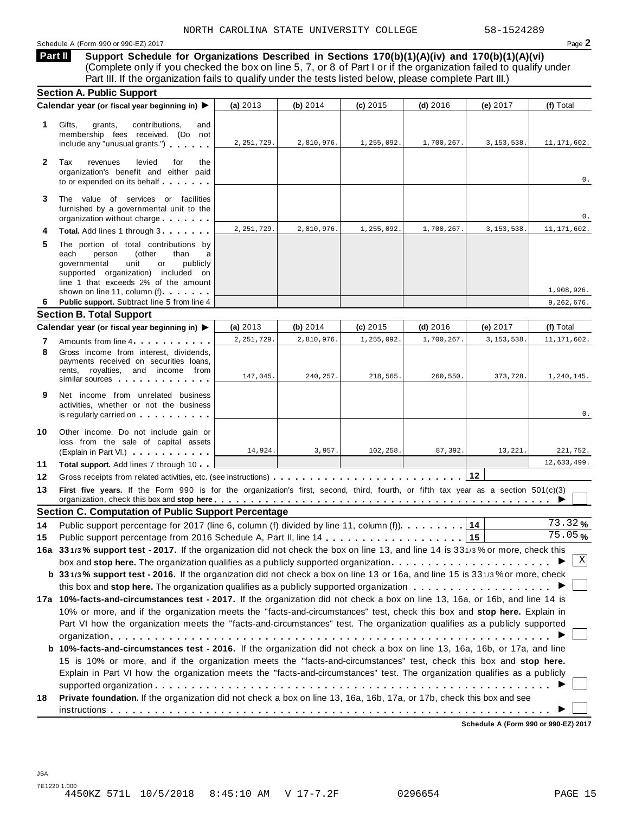#### Schedule <sup>A</sup> (Form <sup>990</sup> or 990-EZ) <sup>2017</sup> Page **2**

**Support Schedule for Organizations Described in Sections 170(b)(1)(A)(iv) and 170(b)(1)(A)(vi)** (Complete only if you checked the box on line 5, 7, or 8 of Part I or if the organization failed to qualify under Part III. If the organization fails to qualify under the tests listed below, please complete Part III.) **Part II**

|              | <b>Section A. Public Support</b>                                                                                                                                                                                                                                                                                |              |            |            |            |              |                      |
|--------------|-----------------------------------------------------------------------------------------------------------------------------------------------------------------------------------------------------------------------------------------------------------------------------------------------------------------|--------------|------------|------------|------------|--------------|----------------------|
|              | Calendar year (or fiscal year beginning in) ▶                                                                                                                                                                                                                                                                   | (a) $2013$   | (b) $2014$ | $(c)$ 2015 | $(d)$ 2016 | (e) 2017     | (f) Total            |
| 1.           | Gifts,<br>grants,<br>contributions,<br>and<br>membership fees received. (Do not<br>include any "unusual grants.")                                                                                                                                                                                               | 2, 251, 729. | 2,810,976. | 1,255,092. | 1,700,267. | 3, 153, 538. | 11, 171, 602.        |
| $\mathbf{2}$ | Tax<br>revenues<br>levied<br>for<br>the<br>organization's benefit and either paid<br>to or expended on its behalf                                                                                                                                                                                               |              |            |            |            |              | 0.                   |
| 3            | The value of services or facilities<br>furnished by a governmental unit to the<br>organization without charge                                                                                                                                                                                                   |              |            |            |            |              | 0.                   |
|              | Total. Add lines 1 through 3                                                                                                                                                                                                                                                                                    | 2, 251, 729. | 2,810,976. | 1,255,092. | 1,700,267. | 3, 153, 538. | 11, 171, 602.        |
| 5            | The portion of total contributions by<br>each<br>person<br>(other<br>than<br>a<br>governmental<br>unit<br>publicly<br>or<br>supported organization) included on<br>line 1 that exceeds 2% of the amount                                                                                                         |              |            |            |            |              | 1,908,926.           |
| 6            | shown on line 11, column (f)<br>Public support. Subtract line 5 from line 4                                                                                                                                                                                                                                     |              |            |            |            |              |                      |
|              | <b>Section B. Total Support</b>                                                                                                                                                                                                                                                                                 |              |            |            |            |              | 9,262,676.           |
|              | Calendar year (or fiscal year beginning in)                                                                                                                                                                                                                                                                     | (a) $2013$   | (b) $2014$ | (c) 2015   | $(d)$ 2016 | (e) 2017     | (f) Total            |
| 7            | Amounts from line 4                                                                                                                                                                                                                                                                                             | 2, 251, 729. | 2,810,976. | 1,255,092. | 1,700,267. | 3, 153, 538  | 11, 171, 602.        |
| 8            | Gross income from interest. dividends.<br>payments received on securities loans,<br>rents, royalties, and income from<br>similar sources experiences                                                                                                                                                            | 147,045.     | 240,257.   | 218,565.   | 260,550.   | 373,728.     | 1,240,145.           |
| 9            | Net income from unrelated business<br>activities, whether or not the business<br>is regularly carried on the control of the control of the control of the control of the control of the control of the control of the control of the control of the control of the control of the control of the control of the |              |            |            |            |              | 0.                   |
| 10           | Other income. Do not include gain or<br>loss from the sale of capital assets<br>(Explain in Part VI.)                                                                                                                                                                                                           | 14,924.      | 3,957.     | 102,258.   | 87,392.    | 13,221.      | 221,752.             |
| 11           | Total support. Add lines 7 through 10                                                                                                                                                                                                                                                                           |              |            |            |            |              | 12,633,499.          |
| 12           |                                                                                                                                                                                                                                                                                                                 |              |            |            |            | $12$         |                      |
| 13           | First five years. If the Form 990 is for the organization's first, second, third, fourth, or fifth tax year as a section 501(c)(3)                                                                                                                                                                              |              |            |            |            |              |                      |
|              | <b>Section C. Computation of Public Support Percentage</b>                                                                                                                                                                                                                                                      |              |            |            |            |              |                      |
| 14           | Public support percentage for 2017 (line 6, column (f) divided by line 11, column (f)). 14                                                                                                                                                                                                                      |              |            |            |            |              | 73.32%               |
| 15           |                                                                                                                                                                                                                                                                                                                 |              |            |            |            |              | $\overline{75.05}$ % |
|              | 16a 331/3% support test - 2017. If the organization did not check the box on line 13, and line 14 is 331/3% or more, check this                                                                                                                                                                                 |              |            |            |            |              |                      |
|              | box and stop here. The organization qualifies as a publicly supported organization $\ldots \ldots \ldots \ldots \ldots \ldots$                                                                                                                                                                                  |              |            |            |            |              | X                    |
|              | b 331/3% support test - 2016. If the organization did not check a box on line 13 or 16a, and line 15 is 331/3% or more, check                                                                                                                                                                                   |              |            |            |            |              |                      |
|              |                                                                                                                                                                                                                                                                                                                 |              |            |            |            |              |                      |
|              | 17a 10%-facts-and-circumstances test - 2017. If the organization did not check a box on line 13, 16a, or 16b, and line 14 is                                                                                                                                                                                    |              |            |            |            |              |                      |
|              | 10% or more, and if the organization meets the "facts-and-circumstances" test, check this box and stop here. Explain in                                                                                                                                                                                         |              |            |            |            |              |                      |
|              | Part VI how the organization meets the "facts-and-circumstances" test. The organization qualifies as a publicly supported                                                                                                                                                                                       |              |            |            |            |              |                      |
|              |                                                                                                                                                                                                                                                                                                                 |              |            |            |            |              |                      |
|              | b 10%-facts-and-circumstances test - 2016. If the organization did not check a box on line 13, 16a, 16b, or 17a, and line                                                                                                                                                                                       |              |            |            |            |              |                      |
|              | 15 is 10% or more, and if the organization meets the "facts-and-circumstances" test, check this box and stop here.                                                                                                                                                                                              |              |            |            |            |              |                      |
|              | Explain in Part VI how the organization meets the "facts-and-circumstances" test. The organization qualifies as a publicly                                                                                                                                                                                      |              |            |            |            |              |                      |
|              |                                                                                                                                                                                                                                                                                                                 |              |            |            |            |              |                      |
| 18           | Private foundation. If the organization did not check a box on line 13, 16a, 16b, 17a, or 17b, check this box and see                                                                                                                                                                                           |              |            |            |            |              |                      |
|              |                                                                                                                                                                                                                                                                                                                 |              |            |            |            |              |                      |

**Schedule A (Form 990 or 990-EZ) 2017**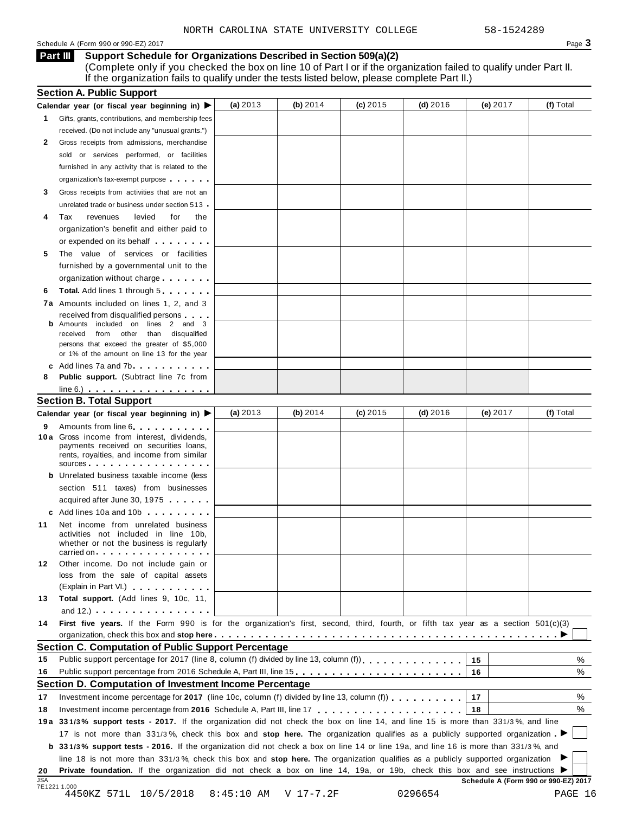#### Schedule A (Form 990 or 990-EZ) 2017  $\qquad \qquad$

**Support Schedule for Organizations Described in Section 509(a)(2) Part III**

(Complete only if you checked the box on line 10 of Part I or if the organization failed to qualify under Part II. If the organization fails to qualify under the tests listed below, please complete Part II.)

|            | <b>Section A. Public Support</b>                                                                                                                                                                                               |            |            |            |            |                                      |           |
|------------|--------------------------------------------------------------------------------------------------------------------------------------------------------------------------------------------------------------------------------|------------|------------|------------|------------|--------------------------------------|-----------|
|            | Calendar year (or fiscal year beginning in) ▶                                                                                                                                                                                  | (a) $2013$ | (b) $2014$ | $(c)$ 2015 | (d) $2016$ | (e) 2017                             | (f) Total |
| 1.         | Gifts, grants, contributions, and membership fees                                                                                                                                                                              |            |            |            |            |                                      |           |
|            | received. (Do not include any "unusual grants.")                                                                                                                                                                               |            |            |            |            |                                      |           |
| 2          | Gross receipts from admissions, merchandise                                                                                                                                                                                    |            |            |            |            |                                      |           |
|            | sold or services performed, or facilities                                                                                                                                                                                      |            |            |            |            |                                      |           |
|            | furnished in any activity that is related to the                                                                                                                                                                               |            |            |            |            |                                      |           |
|            | organization's tax-exempt purpose                                                                                                                                                                                              |            |            |            |            |                                      |           |
| 3          | Gross receipts from activities that are not an                                                                                                                                                                                 |            |            |            |            |                                      |           |
|            | unrelated trade or business under section 513                                                                                                                                                                                  |            |            |            |            |                                      |           |
| 4          | Tax<br>revenues<br>levied<br>for<br>the                                                                                                                                                                                        |            |            |            |            |                                      |           |
|            | organization's benefit and either paid to                                                                                                                                                                                      |            |            |            |            |                                      |           |
|            | or expended on its behalf                                                                                                                                                                                                      |            |            |            |            |                                      |           |
| 5          | The value of services or facilities                                                                                                                                                                                            |            |            |            |            |                                      |           |
|            | furnished by a governmental unit to the                                                                                                                                                                                        |            |            |            |            |                                      |           |
|            | organization without charge                                                                                                                                                                                                    |            |            |            |            |                                      |           |
| 6          | <b>Total.</b> Add lines 1 through 5                                                                                                                                                                                            |            |            |            |            |                                      |           |
|            | 7a Amounts included on lines 1, 2, and 3                                                                                                                                                                                       |            |            |            |            |                                      |           |
|            |                                                                                                                                                                                                                                |            |            |            |            |                                      |           |
|            | received from disqualified persons<br>Amounts included on lines 2 and 3                                                                                                                                                        |            |            |            |            |                                      |           |
|            | from other than disqualified<br>received                                                                                                                                                                                       |            |            |            |            |                                      |           |
|            | persons that exceed the greater of \$5,000                                                                                                                                                                                     |            |            |            |            |                                      |           |
|            | or 1% of the amount on line 13 for the year                                                                                                                                                                                    |            |            |            |            |                                      |           |
|            | c Add lines 7a and 7b                                                                                                                                                                                                          |            |            |            |            |                                      |           |
| 8          | Public support. (Subtract line 7c from                                                                                                                                                                                         |            |            |            |            |                                      |           |
|            | $line 6.)$<br><b>Section B. Total Support</b>                                                                                                                                                                                  |            |            |            |            |                                      |           |
|            |                                                                                                                                                                                                                                | (a) $2013$ | (b) $2014$ | $(c)$ 2015 | (d) $2016$ | (e) 2017                             | (f) Total |
|            | Calendar year (or fiscal year beginning in) ▶                                                                                                                                                                                  |            |            |            |            |                                      |           |
| 9          | Amounts from line 6<br>10 a Gross income from interest, dividends,                                                                                                                                                             |            |            |            |            |                                      |           |
|            | payments received on securities loans,                                                                                                                                                                                         |            |            |            |            |                                      |           |
|            | rents, royalties, and income from similar                                                                                                                                                                                      |            |            |            |            |                                      |           |
|            | sources <b>contracts</b>                                                                                                                                                                                                       |            |            |            |            |                                      |           |
|            | <b>b</b> Unrelated business taxable income (less                                                                                                                                                                               |            |            |            |            |                                      |           |
|            | section 511 taxes) from businesses                                                                                                                                                                                             |            |            |            |            |                                      |           |
|            | acquired after June 30, 1975                                                                                                                                                                                                   |            |            |            |            |                                      |           |
|            | c Add lines 10a and 10b and the control of the control of the control of the control of the control of the control of the control of the control of the control of the control of the control of the control of the control of |            |            |            |            |                                      |           |
| 11         | Net income from unrelated business                                                                                                                                                                                             |            |            |            |            |                                      |           |
|            | activities not included in line 10b,<br>whether or not the business is regularly                                                                                                                                               |            |            |            |            |                                      |           |
|            | carried on                                                                                                                                                                                                                     |            |            |            |            |                                      |           |
| 12         | Other income. Do not include gain or                                                                                                                                                                                           |            |            |            |            |                                      |           |
|            | loss from the sale of capital assets                                                                                                                                                                                           |            |            |            |            |                                      |           |
|            | (Explain in Part VI.) <b>Container and Containers</b>                                                                                                                                                                          |            |            |            |            |                                      |           |
| 13         | Total support. (Add lines 9, 10c, 11,                                                                                                                                                                                          |            |            |            |            |                                      |           |
|            | and 12.) $\cdots$ $\cdots$ $\cdots$ $\cdots$ $\cdots$                                                                                                                                                                          |            |            |            |            |                                      |           |
| 14         | First five years. If the Form 990 is for the organization's first, second, third, fourth, or fifth tax year as a section 501(c)(3)                                                                                             |            |            |            |            |                                      |           |
|            |                                                                                                                                                                                                                                |            |            |            |            |                                      |           |
|            | Section C. Computation of Public Support Percentage                                                                                                                                                                            |            |            |            |            |                                      |           |
| 15         | Public support percentage for 2017 (line 8, column (f) divided by line 13, column (f)                                                                                                                                          |            |            |            |            | 15                                   | ℅         |
| 16         | Public support percentage from 2016 Schedule A, Part III, line 15.                                                                                                                                                             |            |            |            |            | 16                                   | %         |
|            | Section D. Computation of Investment Income Percentage                                                                                                                                                                         |            |            |            |            |                                      |           |
| 17         | Investment income percentage for 2017 (line 10c, column (f) divided by line 13, column (f) $\ldots$ ,,,,,,,,                                                                                                                   |            |            |            |            | 17                                   | %         |
| 18         |                                                                                                                                                                                                                                |            |            |            |            | 18                                   | %         |
|            | 19a 331/3% support tests - 2017. If the organization did not check the box on line 14, and line 15 is more than 331/3%, and line                                                                                               |            |            |            |            |                                      |           |
|            |                                                                                                                                                                                                                                |            |            |            |            |                                      |           |
|            | 17 is not more than 331/3%, check this box and stop here. The organization qualifies as a publicly supported organization                                                                                                      |            |            |            |            |                                      |           |
|            | <b>b</b> 331/3% support tests - 2016. If the organization did not check a box on line 14 or line 19a, and line 16 is more than 331/3%, and                                                                                     |            |            |            |            |                                      |           |
|            | line 18 is not more than 331/3%, check this box and stop here. The organization qualifies as a publicly supported organization                                                                                                 |            |            |            |            |                                      |           |
| 20         | Private foundation. If the organization did not check a box on line 14, 19a, or 19b, check this box and see instructions ▶                                                                                                     |            |            |            |            | Schedule A (Form 990 or 990-EZ) 2017 |           |
| <b>JSA</b> |                                                                                                                                                                                                                                |            |            |            |            |                                      |           |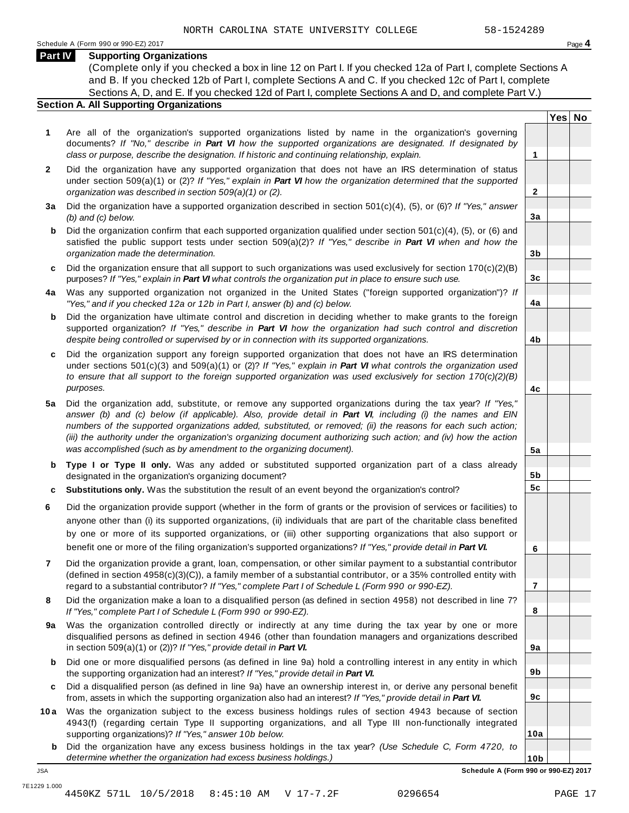**Yes No**

**2**

**3a**

**3b**

**3c**

**4a**

**4b**

**4c**

**5a**

**5b 5c**

**6**

**7**

**8**

**9a**

**9b**

**9c**

**10a**

### **Part IV Supporting Organizations**

(Complete only if you checked a box in line 12 on Part I. If you checked 12a of Part I, complete Sections A and B. If you checked 12b of Part I, complete Sections A and C. If you checked 12c of Part I, complete Sections A, D, and E. If you checked 12d of Part I, complete Sections A and D, and complete Part V.)

#### **Section A. All Supporting Organizations**

- **1** Are all of the organization's supported organizations listed by name in the organization's governing documents? *If "No," describe in Part VI how the supported organizations are designated. If designated by class or purpose, describe the designation. If historic and continuing relationship, explain.* **1**
- **2** Did the organization have any supported organization that does not have an IRS determination of status under section 509(a)(1) or (2)? *If"Yes," explain in Part VI how the organization determined that the supported organization was described in section 509(a)(1) or (2).*
- **3 a** Did the organization have a supported organization described in section 501(c)(4), (5), or (6)? *If "Yes," answer (b) and (c) below.*
- **b** Did the organization confirm that each supported organization qualified under section 501(c)(4), (5), or (6) and | satisfied the public support tests under section 509(a)(2)? *If "Yes," describe in Part VI when and how the organization made the determination.*
- **c** Did the organization ensure that all support to such organizations was used exclusively for section 170(c)(2)(B) purposes? *If"Yes," explain in Part VI what controls the organization put in place to ensure such use.*
- **4 a** Was any supported organization not organized in the United States ("foreign supported organization")? *If "Yes," and if you checked 12a or 12b in Part I, answer (b) and (c) below.*
- **b** Did the organization have ultimate control and discretion in deciding whether to make grants to the foreign | supported organization? *If "Yes," describe in Part VI how the organization had such control and discretion despite being controlled or supervised by or in connection with its supported organizations.*
- **c** Did the organization support any foreign supported organization that does not have an IRS determination | under sections 501(c)(3) and 509(a)(1) or (2)? *If "Yes," explain in Part VI what controls the organization used to ensure that all support to the foreign supported organization was used exclusively for section 170(c)(2)(B) purposes.*
- **5 a** Did the organization add, substitute, or remove any supported organizations during the tax year? *If "Yes,"* answer (b) and (c) below (if applicable). Also, provide detail in Part VI, including (i) the names and EIN *numbers of the supported organizations added, substituted, or removed; (ii) the reasons for each such action;* (iii) the authority under the organization's organizing document authorizing such action; and (iv) how the action *was accomplished (such as by amendment to the organizing document).*
- **b** Type I or Type II only. Was any added or substituted supported organization part of a class already | designated in the organization's organizing document?
- **c Substitutions only.** Was the substitution the result of an event beyond the organization's control?
- **6** Did the organization provide support (whether in the form of grants or the provision of services or facilities) to anyone other than (i) its supported organizations, (ii) individuals that are part of the charitable class benefited by one or more of its supported organizations, or (iii) other supporting organizations that also support or benefit one or more of the filing organization's supported organizations? *If"Yes," provide detail in Part VI.*
- **7** Did the organization provide a grant, loan, compensation, or other similar payment to a substantial contributor (defined in section 4958(c)(3)(C)), a family member of a substantial contributor, or a 35% controlled entity with regard to a substantial contributor? *If"Yes," complete Part I of Schedule L (Form 990 or 990-EZ).*
- **8** Did the organization make a loan to a disqualified person (as defined in section 4958) not described in line 7? *If "Yes," complete Part I of Schedule L (Form 990 or 990-EZ).*
- **a** Was the organization controlled directly or indirectly at any time during the tax year by one or more | **9** disqualified persons as defined in section 4946 (other than foundation managers and organizations described in section 509(a)(1) or (2))? *If"Yes," provide detail in Part VI.*
- **b** Did one or more disqualified persons (as defined in line 9a) hold a controlling interest in any entity in which | the supporting organization had an interest? *If"Yes," provide detail in Part VI.*
- **c** Did a disqualified person (as defined in line 9a) have an ownership interest in, or derive any personal benefit from, assets in which the supporting organization also had an interest? *If"Yes," provide detail in Part VI.*
- **10a** Was the organization subject to the excess business holdings rules of section 4943 because of section | 4943(f) (regarding certain Type II supporting organizations, and all Type III non-functionally integrated supporting organizations)? *If"Yes," answer 10b below.*
	- **b** Did the organization have any excess business holdings in the tax year? *(Use Schedule C, Form 4720, to determine whether the organization had excess business holdings.)*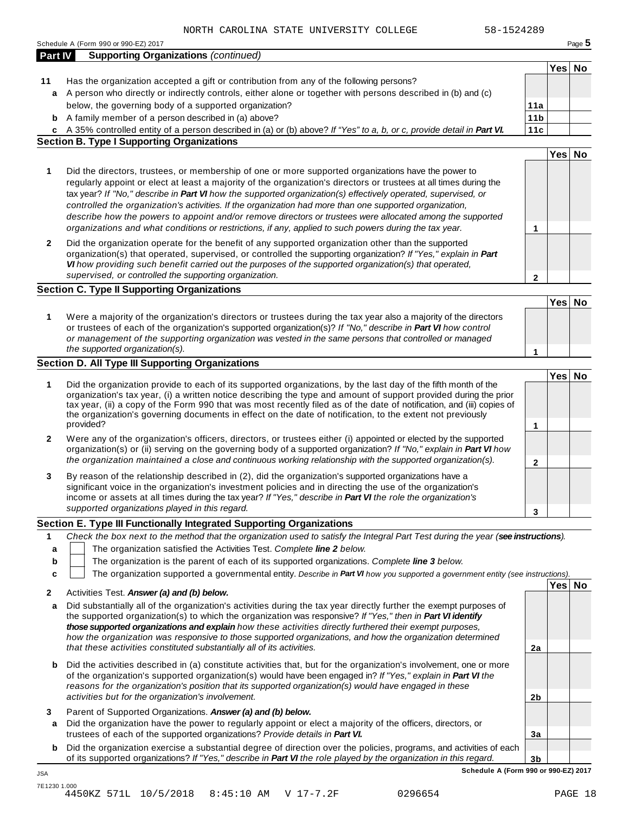|              | Schedule A (Form 990 or 990-EZ) 2017                                                                                                                                                                                                                                                                                                                                                                                                                                                                                                                                                                                                                                         |                        |        | Page 5 |
|--------------|------------------------------------------------------------------------------------------------------------------------------------------------------------------------------------------------------------------------------------------------------------------------------------------------------------------------------------------------------------------------------------------------------------------------------------------------------------------------------------------------------------------------------------------------------------------------------------------------------------------------------------------------------------------------------|------------------------|--------|--------|
| Part IV      | <b>Supporting Organizations (continued)</b>                                                                                                                                                                                                                                                                                                                                                                                                                                                                                                                                                                                                                                  |                        |        |        |
|              |                                                                                                                                                                                                                                                                                                                                                                                                                                                                                                                                                                                                                                                                              |                        | Yes No |        |
| 11           | Has the organization accepted a gift or contribution from any of the following persons?                                                                                                                                                                                                                                                                                                                                                                                                                                                                                                                                                                                      |                        |        |        |
|              | a A person who directly or indirectly controls, either alone or together with persons described in (b) and (c)<br>below, the governing body of a supported organization?                                                                                                                                                                                                                                                                                                                                                                                                                                                                                                     |                        |        |        |
| b            | A family member of a person described in (a) above?                                                                                                                                                                                                                                                                                                                                                                                                                                                                                                                                                                                                                          | 11a<br>11 <sub>b</sub> |        |        |
|              | c A 35% controlled entity of a person described in (a) or (b) above? If "Yes" to a, b, or c, provide detail in Part VI.                                                                                                                                                                                                                                                                                                                                                                                                                                                                                                                                                      | 11c                    |        |        |
|              | <b>Section B. Type I Supporting Organizations</b>                                                                                                                                                                                                                                                                                                                                                                                                                                                                                                                                                                                                                            |                        |        |        |
|              |                                                                                                                                                                                                                                                                                                                                                                                                                                                                                                                                                                                                                                                                              |                        | Yes No |        |
| 1            | Did the directors, trustees, or membership of one or more supported organizations have the power to<br>regularly appoint or elect at least a majority of the organization's directors or trustees at all times during the<br>tax year? If "No," describe in Part VI how the supported organization(s) effectively operated, supervised, or<br>controlled the organization's activities. If the organization had more than one supported organization,<br>describe how the powers to appoint and/or remove directors or trustees were allocated among the supported<br>organizations and what conditions or restrictions, if any, applied to such powers during the tax year. | 1                      |        |        |
| $\mathbf{2}$ | Did the organization operate for the benefit of any supported organization other than the supported<br>organization(s) that operated, supervised, or controlled the supporting organization? If "Yes," explain in Part<br>VI how providing such benefit carried out the purposes of the supported organization(s) that operated,                                                                                                                                                                                                                                                                                                                                             |                        |        |        |
|              | supervised, or controlled the supporting organization.                                                                                                                                                                                                                                                                                                                                                                                                                                                                                                                                                                                                                       | $\mathbf{2}$           |        |        |
|              | <b>Section C. Type II Supporting Organizations</b>                                                                                                                                                                                                                                                                                                                                                                                                                                                                                                                                                                                                                           |                        |        |        |
|              |                                                                                                                                                                                                                                                                                                                                                                                                                                                                                                                                                                                                                                                                              |                        | Yes No |        |
| 1            | Were a majority of the organization's directors or trustees during the tax year also a majority of the directors<br>or trustees of each of the organization's supported organization(s)? If "No," describe in Part VI how control<br>or management of the supporting organization was vested in the same persons that controlled or managed<br>the supported organization(s).                                                                                                                                                                                                                                                                                                | 1                      |        |        |
|              | Section D. All Type III Supporting Organizations                                                                                                                                                                                                                                                                                                                                                                                                                                                                                                                                                                                                                             |                        |        |        |
|              |                                                                                                                                                                                                                                                                                                                                                                                                                                                                                                                                                                                                                                                                              |                        | Yes No |        |
| 1            | Did the organization provide to each of its supported organizations, by the last day of the fifth month of the<br>organization's tax year, (i) a written notice describing the type and amount of support provided during the prior<br>tax year, (ii) a copy of the Form 990 that was most recently filed as of the date of notification, and (iii) copies of<br>the organization's governing documents in effect on the date of notification, to the extent not previously<br>provided?                                                                                                                                                                                     | 1                      |        |        |
| 2            | Were any of the organization's officers, directors, or trustees either (i) appointed or elected by the supported                                                                                                                                                                                                                                                                                                                                                                                                                                                                                                                                                             |                        |        |        |
|              | organization(s) or (ii) serving on the governing body of a supported organization? If "No," explain in Part VI how<br>the organization maintained a close and continuous working relationship with the supported organization(s).                                                                                                                                                                                                                                                                                                                                                                                                                                            | $\mathbf{2}$           |        |        |
| 3            | By reason of the relationship described in (2), did the organization's supported organizations have a<br>significant voice in the organization's investment policies and in directing the use of the organization's<br>income or assets at all times during the tax year? If "Yes," describe in Part VI the role the organization's<br>supported organizations played in this regard.                                                                                                                                                                                                                                                                                        | 3                      |        |        |
|              | Section E. Type III Functionally Integrated Supporting Organizations                                                                                                                                                                                                                                                                                                                                                                                                                                                                                                                                                                                                         |                        |        |        |
| 1            | Check the box next to the method that the organization used to satisfy the Integral Part Test during the year (see instructions).                                                                                                                                                                                                                                                                                                                                                                                                                                                                                                                                            |                        |        |        |
| a            | The organization satisfied the Activities Test. Complete line 2 below.                                                                                                                                                                                                                                                                                                                                                                                                                                                                                                                                                                                                       |                        |        |        |
| b            | The organization is the parent of each of its supported organizations. Complete line 3 below.                                                                                                                                                                                                                                                                                                                                                                                                                                                                                                                                                                                |                        |        |        |
| c            | The organization supported a governmental entity. Describe in Part VI how you supported a government entity (see instructions).                                                                                                                                                                                                                                                                                                                                                                                                                                                                                                                                              |                        |        |        |
| 2            | Activities Test. Answer (a) and (b) below.                                                                                                                                                                                                                                                                                                                                                                                                                                                                                                                                                                                                                                   |                        | Yes No |        |
| a            | Did substantially all of the organization's activities during the tax year directly further the exempt purposes of<br>the supported organization(s) to which the organization was responsive? If "Yes," then in Part VI identify<br>those supported organizations and explain how these activities directly furthered their exempt purposes,<br>how the organization was responsive to those supported organizations, and how the organization determined<br>that these activities constituted substantially all of its activities.                                                                                                                                          | 2a                     |        |        |
| b            | Did the activities described in (a) constitute activities that, but for the organization's involvement, one or more<br>of the organization's supported organization(s) would have been engaged in? If "Yes," explain in Part VI the<br>reasons for the organization's position that its supported organization(s) would have engaged in these<br>activities but for the organization's involvement.                                                                                                                                                                                                                                                                          | 2b                     |        |        |
| 3<br>a       | Parent of Supported Organizations. Answer (a) and (b) below.<br>Did the organization have the power to regularly appoint or elect a majority of the officers, directors, or<br>trustees of each of the supported organizations? Provide details in Part VI.                                                                                                                                                                                                                                                                                                                                                                                                                  | За                     |        |        |
| b            | Did the organization exercise a substantial degree of direction over the policies, programs, and activities of each<br>of its supported organizations? If "Yes," describe in Part VI the role played by the organization in this regard.                                                                                                                                                                                                                                                                                                                                                                                                                                     | 3 <sub>b</sub>         |        |        |
| JSA          | Schedule A (Form 990 or 990-EZ) 2017                                                                                                                                                                                                                                                                                                                                                                                                                                                                                                                                                                                                                                         |                        |        |        |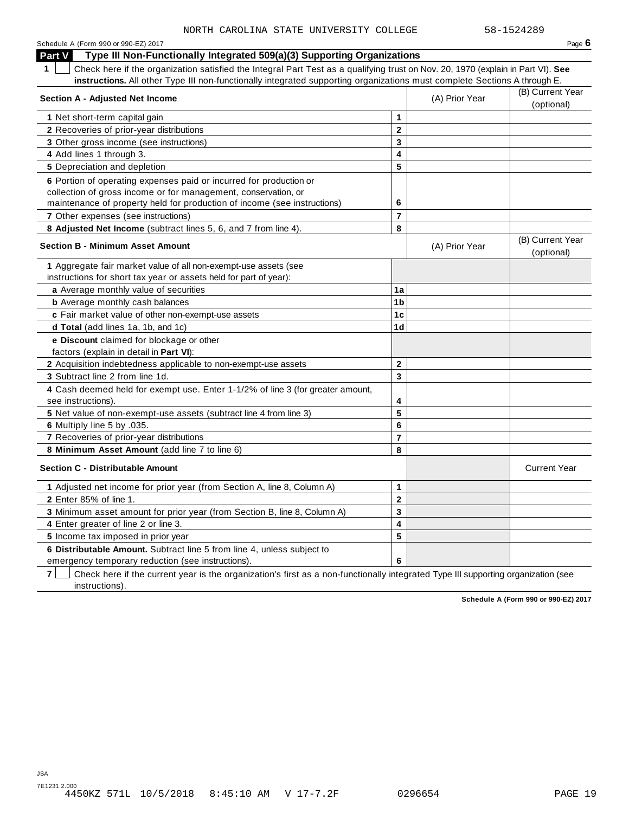| Schedule A (Form 990 or 990-EZ) 2017                                                                                                            |                         |                | Page $6$            |
|-------------------------------------------------------------------------------------------------------------------------------------------------|-------------------------|----------------|---------------------|
| Type III Non-Functionally Integrated 509(a)(3) Supporting Organizations<br><b>Part V</b>                                                        |                         |                |                     |
| Check here if the organization satisfied the Integral Part Test as a qualifying trust on Nov. 20, 1970 (explain in Part VI). See<br>$\mathbf 1$ |                         |                |                     |
| instructions. All other Type III non-functionally integrated supporting organizations must complete Sections A through E.                       |                         |                |                     |
| <b>Section A - Adjusted Net Income</b>                                                                                                          |                         | (A) Prior Year | (B) Current Year    |
|                                                                                                                                                 |                         |                | (optional)          |
| 1 Net short-term capital gain                                                                                                                   | 1                       |                |                     |
| 2 Recoveries of prior-year distributions                                                                                                        | $\mathbf{2}$            |                |                     |
| 3 Other gross income (see instructions)                                                                                                         | 3                       |                |                     |
| 4 Add lines 1 through 3.                                                                                                                        | 4                       |                |                     |
| 5 Depreciation and depletion                                                                                                                    | 5                       |                |                     |
| 6 Portion of operating expenses paid or incurred for production or                                                                              |                         |                |                     |
| collection of gross income or for management, conservation, or                                                                                  |                         |                |                     |
| maintenance of property held for production of income (see instructions)                                                                        | 6                       |                |                     |
| <b>7</b> Other expenses (see instructions)                                                                                                      | $\overline{7}$          |                |                     |
| 8 Adjusted Net Income (subtract lines 5, 6, and 7 from line 4).                                                                                 | 8                       |                |                     |
| <b>Section B - Minimum Asset Amount</b>                                                                                                         |                         | (A) Prior Year | (B) Current Year    |
|                                                                                                                                                 |                         |                | (optional)          |
| 1 Aggregate fair market value of all non-exempt-use assets (see                                                                                 |                         |                |                     |
| instructions for short tax year or assets held for part of year):                                                                               |                         |                |                     |
| a Average monthly value of securities                                                                                                           | 1a                      |                |                     |
| <b>b</b> Average monthly cash balances                                                                                                          | 1 <sub>b</sub>          |                |                     |
| c Fair market value of other non-exempt-use assets                                                                                              | 1 <sub>c</sub>          |                |                     |
| d Total (add lines 1a, 1b, and 1c)                                                                                                              | 1d                      |                |                     |
| e Discount claimed for blockage or other                                                                                                        |                         |                |                     |
| factors (explain in detail in <b>Part VI)</b> :                                                                                                 |                         |                |                     |
| 2 Acquisition indebtedness applicable to non-exempt-use assets                                                                                  | $\mathbf{2}$            |                |                     |
| 3 Subtract line 2 from line 1d.                                                                                                                 | $\overline{\mathbf{3}}$ |                |                     |
| 4 Cash deemed held for exempt use. Enter 1-1/2% of line 3 (for greater amount,                                                                  |                         |                |                     |
| see instructions).                                                                                                                              | 4                       |                |                     |
| 5 Net value of non-exempt-use assets (subtract line 4 from line 3)                                                                              | 5                       |                |                     |
| 6 Multiply line 5 by .035.                                                                                                                      | $6\phantom{1}6$         |                |                     |
| 7 Recoveries of prior-year distributions                                                                                                        | $\overline{7}$          |                |                     |
| 8 Minimum Asset Amount (add line 7 to line 6)                                                                                                   | 8                       |                |                     |
| <b>Section C - Distributable Amount</b>                                                                                                         |                         |                | <b>Current Year</b> |
| 1 Adjusted net income for prior year (from Section A, line 8, Column A)                                                                         | $\mathbf{1}$            |                |                     |
| 2 Enter 85% of line 1.                                                                                                                          | $\overline{2}$          |                |                     |
| 3 Minimum asset amount for prior year (from Section B, line 8, Column A)                                                                        | 3                       |                |                     |
| 4 Enter greater of line 2 or line 3.                                                                                                            | $\overline{\mathbf{4}}$ |                |                     |
| 5 Income tax imposed in prior year                                                                                                              | 5                       |                |                     |
| 6 Distributable Amount. Subtract line 5 from line 4, unless subject to                                                                          |                         |                |                     |
| emergency temporary reduction (see instructions).                                                                                               | 6                       |                |                     |

**7** | Check here if the current year is the organization's first as a non-functionally integrated Type III supporting organization (see instructions).

**Schedule A (Form 990 or 990-EZ) 2017**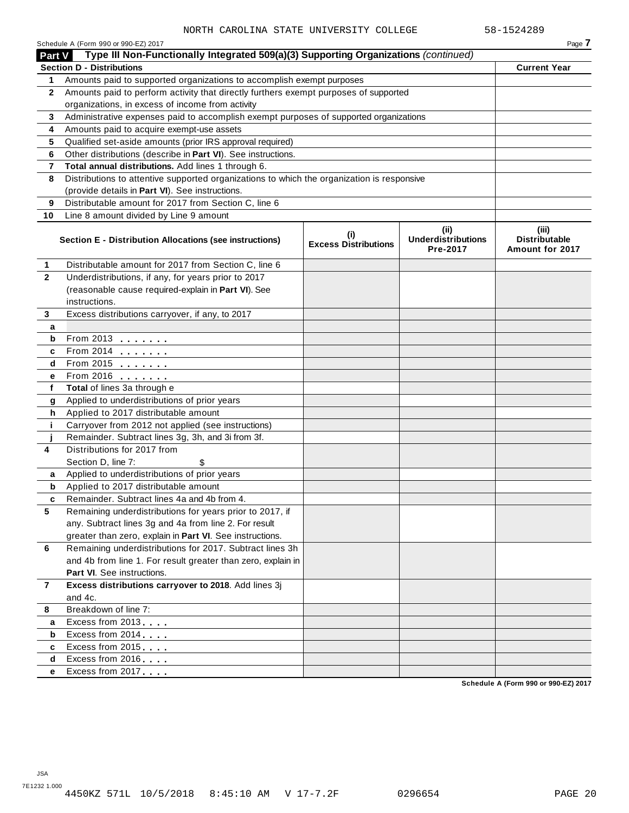|                | Schedule A (Form 990 or 990-EZ) 2017                                                       |                                            |                                               | Page 7                                      |
|----------------|--------------------------------------------------------------------------------------------|--------------------------------------------|-----------------------------------------------|---------------------------------------------|
| <b>Part V</b>  | Type III Non-Functionally Integrated 509(a)(3) Supporting Organizations (continued)        |                                            |                                               |                                             |
|                | <b>Section D - Distributions</b>                                                           |                                            |                                               | <b>Current Year</b>                         |
| 1.             | Amounts paid to supported organizations to accomplish exempt purposes                      |                                            |                                               |                                             |
| $\mathbf{2}$   | Amounts paid to perform activity that directly furthers exempt purposes of supported       |                                            |                                               |                                             |
|                | organizations, in excess of income from activity                                           |                                            |                                               |                                             |
| 3              | Administrative expenses paid to accomplish exempt purposes of supported organizations      |                                            |                                               |                                             |
| 4              | Amounts paid to acquire exempt-use assets                                                  |                                            |                                               |                                             |
| 5              | Qualified set-aside amounts (prior IRS approval required)                                  |                                            |                                               |                                             |
| 6              | Other distributions (describe in Part VI). See instructions.                               |                                            |                                               |                                             |
| 7              | Total annual distributions. Add lines 1 through 6.                                         |                                            |                                               |                                             |
| 8              | Distributions to attentive supported organizations to which the organization is responsive |                                            |                                               |                                             |
|                | (provide details in Part VI). See instructions.                                            |                                            |                                               |                                             |
| 9              | Distributable amount for 2017 from Section C, line 6                                       |                                            |                                               |                                             |
| 10             | Line 8 amount divided by Line 9 amount                                                     |                                            |                                               |                                             |
|                | Section E - Distribution Allocations (see instructions)                                    | $\sf^{(i)}$<br><b>Excess Distributions</b> | (ii)<br><b>Underdistributions</b><br>Pre-2017 | (iii)<br>Distributable<br>Amount for 2017   |
| 1              | Distributable amount for 2017 from Section C, line 6                                       |                                            |                                               |                                             |
| $\overline{2}$ | Underdistributions, if any, for years prior to 2017                                        |                                            |                                               |                                             |
|                | (reasonable cause required-explain in Part VI). See                                        |                                            |                                               |                                             |
|                | instructions.                                                                              |                                            |                                               |                                             |
| 3              | Excess distributions carryover, if any, to 2017                                            |                                            |                                               |                                             |
| а              |                                                                                            |                                            |                                               |                                             |
| b              | From 2013                                                                                  |                                            |                                               |                                             |
| c              | From 2014                                                                                  |                                            |                                               |                                             |
| d              | From 2015 $\qquad \qquad \qquad$                                                           |                                            |                                               |                                             |
| е              | From 2016 <b></b>                                                                          |                                            |                                               |                                             |
| f              | Total of lines 3a through e                                                                |                                            |                                               |                                             |
| g              | Applied to underdistributions of prior years                                               |                                            |                                               |                                             |
| h              | Applied to 2017 distributable amount                                                       |                                            |                                               |                                             |
| j.             | Carryover from 2012 not applied (see instructions)                                         |                                            |                                               |                                             |
|                | Remainder. Subtract lines 3g, 3h, and 3i from 3f.                                          |                                            |                                               |                                             |
| 4              | Distributions for 2017 from                                                                |                                            |                                               |                                             |
|                | Section D, line 7:                                                                         |                                            |                                               |                                             |
| a              | Applied to underdistributions of prior years                                               |                                            |                                               |                                             |
| b              | Applied to 2017 distributable amount                                                       |                                            |                                               |                                             |
| c              | Remainder. Subtract lines 4a and 4b from 4.                                                |                                            |                                               |                                             |
| 5              | Remaining underdistributions for years prior to 2017, if                                   |                                            |                                               |                                             |
|                | any. Subtract lines 3g and 4a from line 2. For result                                      |                                            |                                               |                                             |
|                | greater than zero, explain in Part VI. See instructions.                                   |                                            |                                               |                                             |
| 6              | Remaining underdistributions for 2017. Subtract lines 3h                                   |                                            |                                               |                                             |
|                | and 4b from line 1. For result greater than zero, explain in                               |                                            |                                               |                                             |
|                | <b>Part VI.</b> See instructions.                                                          |                                            |                                               |                                             |
| 7              | Excess distributions carryover to 2018. Add lines 3j                                       |                                            |                                               |                                             |
|                | and 4c.                                                                                    |                                            |                                               |                                             |
| 8              | Breakdown of line 7:                                                                       |                                            |                                               |                                             |
| а              | Excess from 2013                                                                           |                                            |                                               |                                             |
| b              | Excess from 2014                                                                           |                                            |                                               |                                             |
| c              | Excess from 2015                                                                           |                                            |                                               |                                             |
| d              | Excess from 2016                                                                           |                                            |                                               |                                             |
| e              | Excess from 2017                                                                           |                                            |                                               | <b>Cohodule A (Form 000 or 000 E7) 2017</b> |

**Schedule A (Form 990 or 990-EZ) 2017**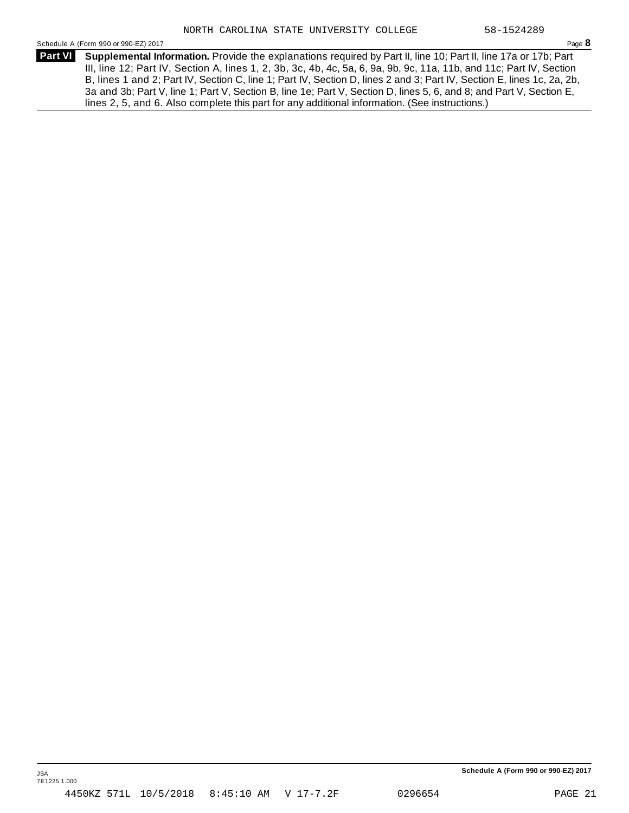Schedule <sup>A</sup> (Form <sup>990</sup> or 990-EZ) <sup>2017</sup> Page **8**

**Supplemental Information.** Provide the explanations required by Part II, line 10; Part II, line 17a or 17b; Part **Part VI** III, line 12; Part IV, Section A, lines 1, 2, 3b, 3c, 4b, 4c, 5a, 6, 9a, 9b, 9c, 11a, 11b, and 11c; Part IV, Section B, lines 1 and 2; Part IV, Section C, line 1; Part IV, Section D, lines 2 and 3; Part IV, Section E, lines 1c, 2a, 2b, 3a and 3b; Part V, line 1; Part V, Section B, line 1e; Part V, Section D, lines 5, 6, and 8; and Part V, Section E, lines 2, 5, and 6. Also complete this part for any additional information. (See instructions.)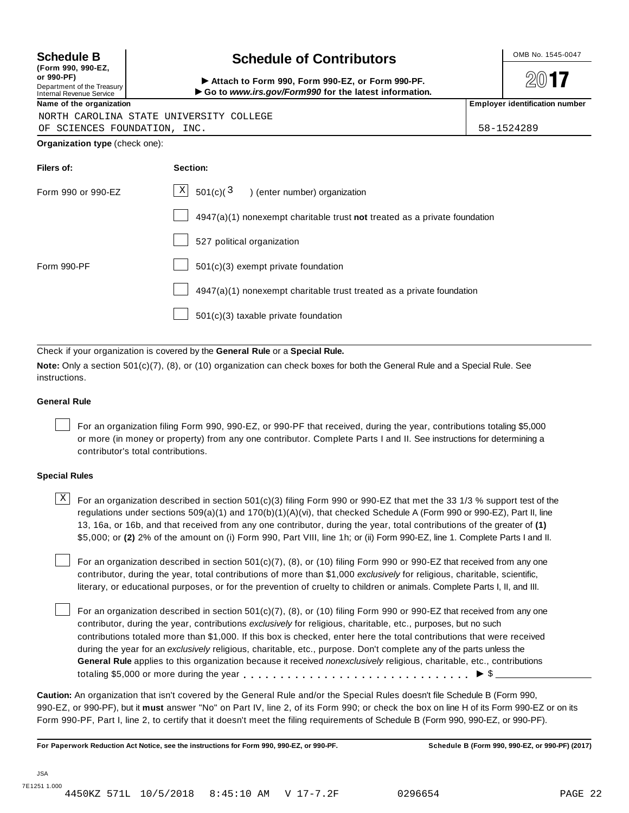| (Form 990, 990-EZ,                                    |  |
|-------------------------------------------------------|--|
| or 990-PF)                                            |  |
| Department of the Treasury<br>ممتسم ومستمره والمستمدا |  |

# **Schedule B**  $\leftarrow$  **Contributors**

(Porm 990, Form 990, Form 990-EZ, or Form 990-PF.<br>Department of the Treasury → Attach to Form 990, Form 990-EZ, or Form 990-PF.<br>Internal Revenue Service → → Go to www.irs.gov/Form990 for the latest information.<br>Name of th

 $20$ **17** 

|  | NORTH CAROLINA STATE UNIVERSITY COLLEGE |  |
|--|-----------------------------------------|--|
|  |                                         |  |

OF SCIENCES FOUNDATION, INC. 58-1524289

**Organization type** (check one):

| Filers of:         | Section:                                                                  |
|--------------------|---------------------------------------------------------------------------|
| Form 990 or 990-EZ | $\mathbf{X}$<br>501(c)( $^3$<br>) (enter number) organization             |
|                    | 4947(a)(1) nonexempt charitable trust not treated as a private foundation |
|                    | 527 political organization                                                |
| Form 990-PF        | $501(c)(3)$ exempt private foundation                                     |
|                    | 4947(a)(1) nonexempt charitable trust treated as a private foundation     |
|                    | 501(c)(3) taxable private foundation                                      |

Check if your organization is covered by the **General Rule** or a **Special Rule.**

**Note:** Only a section 501(c)(7), (8), or (10) organization can check boxes for both the General Rule and a Special Rule. See instructions.

#### **General Rule**

For an organization filing Form 990, 990-EZ, or 990-PF that received, during the year, contributions totaling \$5,000 or more (in money or property) from any one contributor. Complete Parts I and II. See instructions for determining a contributor's total contributions.

#### **Special Rules**

 $\text{X}$  For an organization described in section 501(c)(3) filing Form 990 or 990-EZ that met the 33 1/3 % support test of the regulations under sections 509(a)(1) and 170(b)(1)(A)(vi), that checked Schedule A (Form 990 or 990-EZ), Part II, line 13, 16a, or 16b, and that received from any one contributor, during the year, total contributions of the greater of **(1)** \$5,000; or **(2)** 2% of the amount on (i) Form 990, Part VIII, line 1h; or (ii) Form 990-EZ, line 1. Complete Parts I and II.

For an organization described in section 501(c)(7), (8), or (10) filing Form 990 or 990-EZ that received from any one contributor, during the year, total contributions of more than \$1,000 *exclusively* for religious, charitable, scientific, literary, or educational purposes, or for the prevention of cruelty to children or animals. Complete Parts I, II, and III.

For an organization described in section 501(c)(7), (8), or (10) filing Form 990 or 990-EZ that received from any one contributor, during the year, contributions *exclusively* for religious, charitable, etc., purposes, but no such contributions totaled more than \$1,000. If this box is checked, enter here the total contributions that were received during the year for an *exclusively* religious, charitable, etc., purpose. Don't complete any of the parts unless the **General Rule** applies to this organization because it received *nonexclusively* religious, charitable, etc., contributions totaling \$5,000 or more during the year m m m m m m m m m m m m m m m m m m m m m m m m m m m m m m m I \$

**Caution:** An organization that isn't covered by the General Rule and/or the Special Rules doesn't file Schedule B (Form 990, 990-EZ, or 990-PF), but it **must** answer "No" on Part IV, line 2, of its Form 990; or check the box on line H of its Form 990-EZ or on its Form 990-PF, Part I, line 2, to certify that it doesn't meet the filing requirements of Schedule B (Form 990, 990-EZ, or 990-PF).

For Paperwork Reduction Act Notice, see the instructions for Form 990, 990-EZ, or 990-PF. Schedule B (Form 990, 990-EZ, or 990-PF) (2017)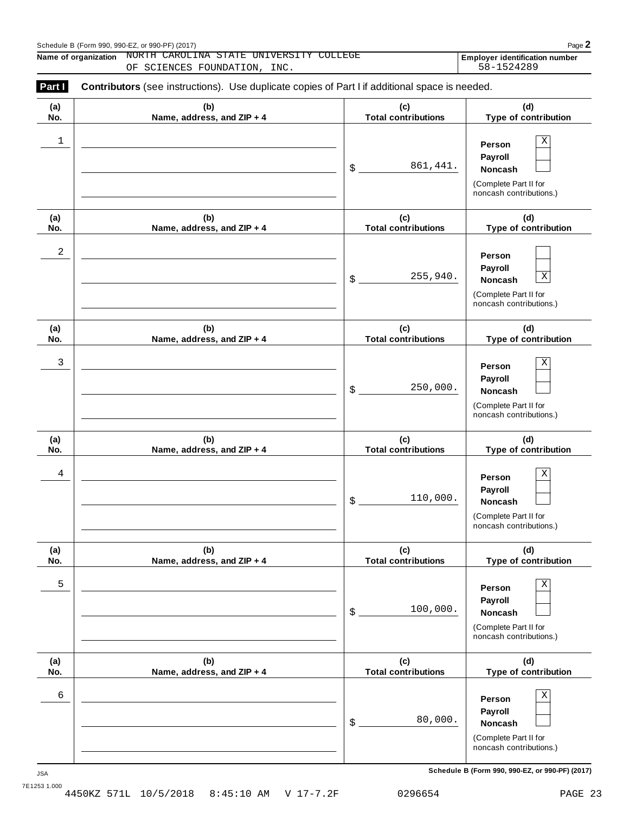| Schedule B (Form 990, 990-EZ, or 990-PF) (2017) | Page |
|-------------------------------------------------|------|
|                                                 |      |

**Name of organization NORTH CAROLINA STATE UNIVERSITY COLLEGE Employer identification number** 

OF SCIENCES FOUNDATION, INC. 58-1524289

| Part I     | <b>Contributors</b> (see instructions). Use duplicate copies of Part I if additional space is needed. |                                   |                                                                                                        |
|------------|-------------------------------------------------------------------------------------------------------|-----------------------------------|--------------------------------------------------------------------------------------------------------|
| (a)<br>No. | (b)<br>Name, address, and ZIP + 4                                                                     | (c)<br><b>Total contributions</b> | (d)<br>Type of contribution                                                                            |
| 1          |                                                                                                       | 861,441.<br>\$                    | X<br>Person<br>Payroll<br><b>Noncash</b><br>(Complete Part II for<br>noncash contributions.)           |
| (a)<br>No. | (b)<br>Name, address, and ZIP + 4                                                                     | (c)<br><b>Total contributions</b> | (d)<br>Type of contribution                                                                            |
| 2          |                                                                                                       | 255,940.<br>\$                    | Person<br>Payroll<br>$\mathbf X$<br><b>Noncash</b><br>(Complete Part II for<br>noncash contributions.) |
| (a)<br>No. | (b)<br>Name, address, and ZIP + 4                                                                     | (c)<br><b>Total contributions</b> | (d)<br>Type of contribution                                                                            |
| 3          |                                                                                                       | 250,000.<br>\$                    | Χ<br>Person<br>Payroll<br><b>Noncash</b><br>(Complete Part II for<br>noncash contributions.)           |
| (a)<br>No. | (b)<br>Name, address, and ZIP + 4                                                                     | (c)<br><b>Total contributions</b> | (d)<br>Type of contribution                                                                            |
| 4          |                                                                                                       | 110,000.<br>\$                    | Χ<br>Person<br>Payroll<br><b>Noncash</b><br>(Complete Part II for<br>noncash contributions.)           |
| (a)<br>No. | (b)<br>Name, address, and ZIP + 4                                                                     | (c)<br><b>Total contributions</b> | (d)<br>Type of contribution                                                                            |
| 5          |                                                                                                       | 100,000.<br>\$                    | Χ<br>Person<br>Payroll<br>Noncash<br>(Complete Part II for<br>noncash contributions.)                  |
| (a)<br>No. | (b)<br>Name, address, and ZIP + 4                                                                     | (c)<br><b>Total contributions</b> | (d)<br>Type of contribution                                                                            |
| 6          |                                                                                                       | 80,000.<br>\$                     | X<br>Person<br>Payroll<br>Noncash<br>(Complete Part II for<br>noncash contributions.)                  |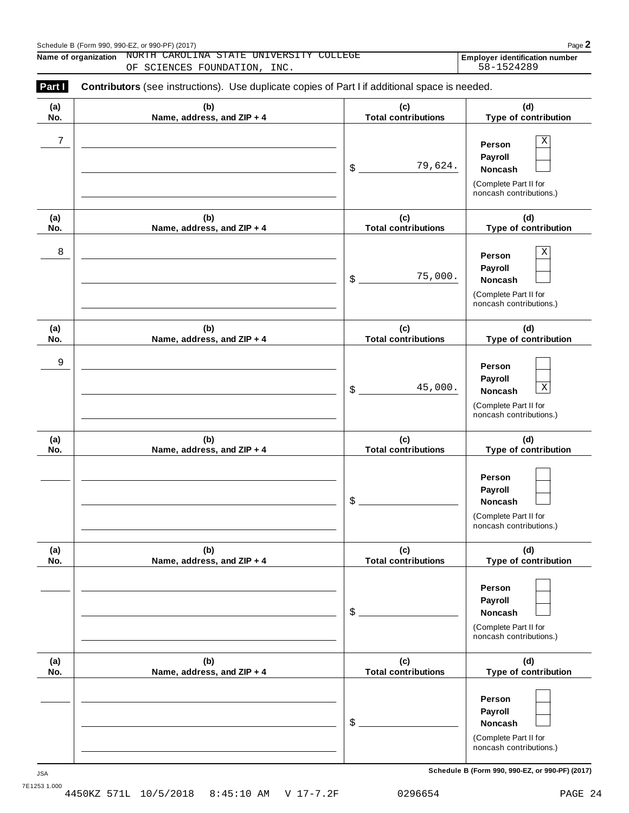| Schedule B (Form 990, 990-EZ, or 990-PF) (2017) | Page |
|-------------------------------------------------|------|
|                                                 |      |

**Name of organization NORTH CAROLINA STATE UNIVERSITY COLLEGE Employer identification number** 

OF SCIENCES FOUNDATION, INC.  $58-1524289$ 

| (a) | (b)                        | (c)                        | (d)                                                                                             |
|-----|----------------------------|----------------------------|-------------------------------------------------------------------------------------------------|
| No. | Name, address, and ZIP + 4 | <b>Total contributions</b> | Type of contribution                                                                            |
| 7   |                            | 79,624.<br>\$              | Χ<br>Person<br>Payroll<br>Noncash<br>(Complete Part II for<br>noncash contributions.)           |
| (a) | (b)                        | (c)                        | (d)                                                                                             |
| No. | Name, address, and ZIP + 4 | <b>Total contributions</b> | Type of contribution                                                                            |
| 8   |                            | 75,000.<br>\$              | Χ<br>Person<br>Payroll<br>Noncash<br>(Complete Part II for<br>noncash contributions.)           |
| (a) | (b)                        | (c)                        | (d)                                                                                             |
| No. | Name, address, and ZIP + 4 | <b>Total contributions</b> | Type of contribution                                                                            |
| 9   |                            | 45,000.<br>\$              | Person<br>Payroll<br>$\mathbf X$<br>Noncash<br>(Complete Part II for<br>noncash contributions.) |
| (a) | (b)                        | (c)                        | (d)                                                                                             |
| No. | Name, address, and ZIP + 4 | <b>Total contributions</b> | Type of contribution                                                                            |
|     |                            | \$                         | Person<br>Payroll<br>Noncash<br>(Complete Part II for<br>noncash contributions.)                |
| (a) | (b)                        | (c)                        | (d)                                                                                             |
| No. | Name, address, and ZIP + 4 | <b>Total contributions</b> | Type of contribution                                                                            |
|     |                            | \$                         | Person<br>Payroll<br>Noncash<br>(Complete Part II for<br>noncash contributions.)                |
| (a) | (b)                        | (c)                        | (d)                                                                                             |
| No. | Name, address, and ZIP + 4 | <b>Total contributions</b> | Type of contribution                                                                            |
|     |                            | \$                         | Person<br>Payroll<br>Noncash<br>(Complete Part II for<br>noncash contributions.)                |

**Schedule B (Form 990, 990-EZ, or 990-PF) (2017)** JSA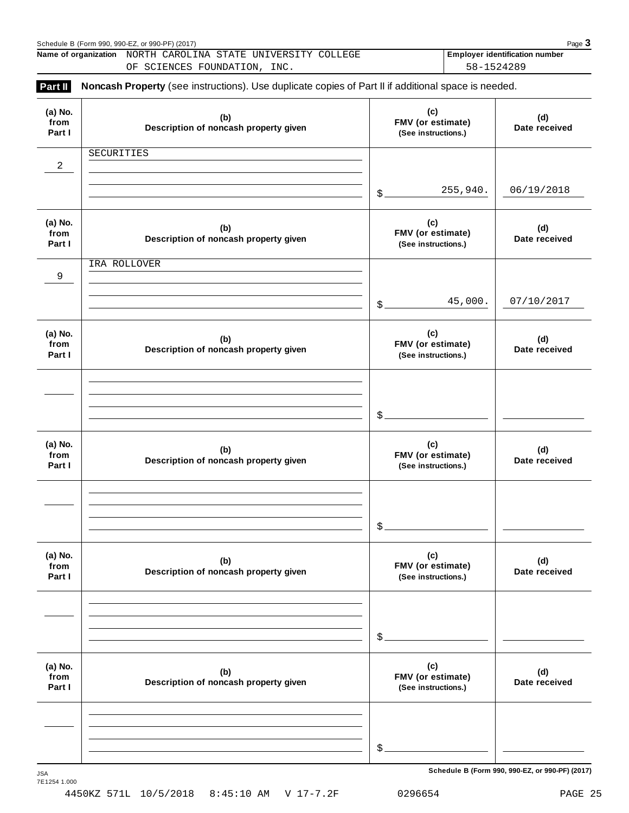|                           | Name of organization NORTH CAROLINA STATE UNIVERSITY COLLEGE<br>OF SCIENCES FOUNDATION, INC.        |                                                 | Employer identification number<br>58-1524289 |  |  |
|---------------------------|-----------------------------------------------------------------------------------------------------|-------------------------------------------------|----------------------------------------------|--|--|
| Part II                   | Noncash Property (see instructions). Use duplicate copies of Part II if additional space is needed. |                                                 |                                              |  |  |
| (a) No.<br>from<br>Part I | (b)<br>Description of noncash property given                                                        | (c)<br>FMV (or estimate)<br>(See instructions.) | (d)<br>Date received                         |  |  |
|                           | SECURITIES                                                                                          |                                                 |                                              |  |  |
| $\overline{a}$            |                                                                                                     |                                                 |                                              |  |  |
|                           |                                                                                                     | 255,940.<br>\$                                  | 06/19/2018                                   |  |  |
| (a) No.<br>from<br>Part I | (b)<br>Description of noncash property given                                                        | (c)<br>FMV (or estimate)<br>(See instructions.) | (d)<br>Date received                         |  |  |
|                           | IRA ROLLOVER                                                                                        |                                                 |                                              |  |  |
| 9                         |                                                                                                     |                                                 |                                              |  |  |
|                           |                                                                                                     | 45,000.<br>\$                                   | 07/10/2017                                   |  |  |
| (a) No.<br>from<br>Part I | (b)<br>Description of noncash property given                                                        | (c)<br>FMV (or estimate)<br>(See instructions.) | (d)<br>Date received                         |  |  |
|                           |                                                                                                     |                                                 |                                              |  |  |
|                           |                                                                                                     |                                                 |                                              |  |  |
|                           |                                                                                                     | \$                                              |                                              |  |  |
| (a) No.<br>from<br>Part I | (b)<br>Description of noncash property given                                                        | (c)<br>FMV (or estimate)<br>(See instructions.) | (d)<br>Date received                         |  |  |
|                           |                                                                                                     |                                                 |                                              |  |  |
|                           |                                                                                                     |                                                 |                                              |  |  |
|                           |                                                                                                     | \$                                              |                                              |  |  |
| (a) No.<br>from<br>Part I | (b)<br>Description of noncash property given                                                        | (c)<br>FMV (or estimate)<br>(See instructions.) | (d)<br>Date received                         |  |  |
|                           |                                                                                                     |                                                 |                                              |  |  |
|                           |                                                                                                     |                                                 |                                              |  |  |
|                           |                                                                                                     | \$                                              |                                              |  |  |
| (a) No.<br>from<br>Part I | (b)<br>Description of noncash property given                                                        | (c)<br>FMV (or estimate)<br>(See instructions.) | (d)<br>Date received                         |  |  |
|                           |                                                                                                     |                                                 |                                              |  |  |
|                           |                                                                                                     |                                                 |                                              |  |  |
|                           |                                                                                                     | $\frac{1}{2}$                                   |                                              |  |  |
|                           |                                                                                                     |                                                 |                                              |  |  |

Schedule <sup>B</sup> (Form 990, 990-EZ, or 990-PF) (2017) Page **3**

 $S$ chedule B (Form 990, 990-EZ, or 990-PF) (2017)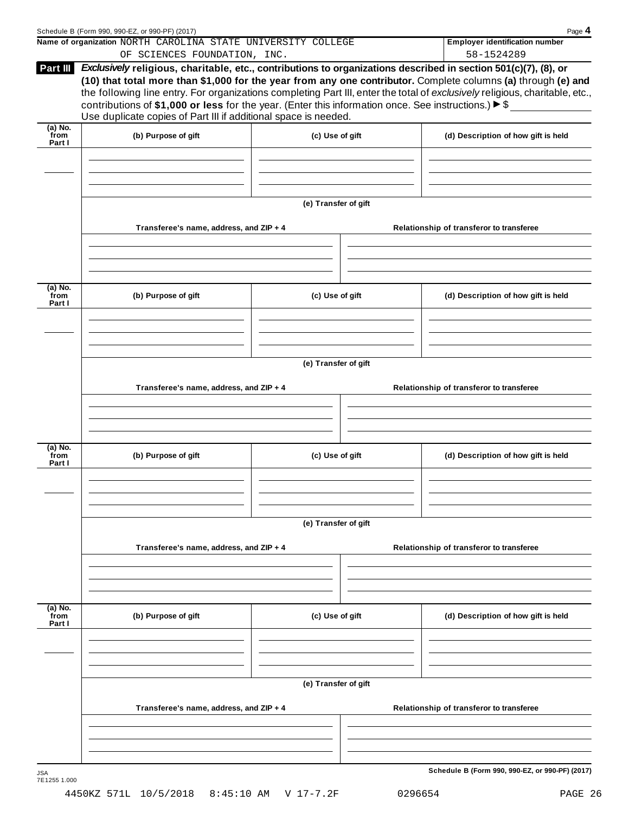|                             | Schedule B (Form 990, 990-EZ, or 990-PF) (2017)<br>Name of organization NORTH CAROLINA STATE UNIVERSITY COLLEGE                                                                             |                      | Page 4<br><b>Employer identification number</b>                                                                                                                                                                                                                                                                                                                  |  |  |  |
|-----------------------------|---------------------------------------------------------------------------------------------------------------------------------------------------------------------------------------------|----------------------|------------------------------------------------------------------------------------------------------------------------------------------------------------------------------------------------------------------------------------------------------------------------------------------------------------------------------------------------------------------|--|--|--|
|                             | OF SCIENCES FOUNDATION, INC.                                                                                                                                                                |                      | 58-1524289                                                                                                                                                                                                                                                                                                                                                       |  |  |  |
| Part III                    | contributions of \$1,000 or less for the year. (Enter this information once. See instructions.) $\blacktriangleright$ \$<br>Use duplicate copies of Part III if additional space is needed. |                      | Exclusively religious, charitable, etc., contributions to organizations described in section 501(c)(7), (8), or<br>(10) that total more than \$1,000 for the year from any one contributor. Complete columns (a) through (e) and<br>the following line entry. For organizations completing Part III, enter the total of exclusively religious, charitable, etc., |  |  |  |
| $(a)$ No.<br>from           |                                                                                                                                                                                             |                      |                                                                                                                                                                                                                                                                                                                                                                  |  |  |  |
| Part I                      | (b) Purpose of gift                                                                                                                                                                         | (c) Use of gift      | (d) Description of how gift is held                                                                                                                                                                                                                                                                                                                              |  |  |  |
|                             |                                                                                                                                                                                             | (e) Transfer of gift |                                                                                                                                                                                                                                                                                                                                                                  |  |  |  |
|                             | Transferee's name, address, and ZIP + 4                                                                                                                                                     |                      | Relationship of transferor to transferee                                                                                                                                                                                                                                                                                                                         |  |  |  |
| (a) No.                     |                                                                                                                                                                                             |                      |                                                                                                                                                                                                                                                                                                                                                                  |  |  |  |
| from<br>Part I              | (b) Purpose of gift                                                                                                                                                                         | (c) Use of gift      | (d) Description of how gift is held                                                                                                                                                                                                                                                                                                                              |  |  |  |
|                             |                                                                                                                                                                                             | (e) Transfer of gift |                                                                                                                                                                                                                                                                                                                                                                  |  |  |  |
|                             | Transferee's name, address, and ZIP + 4                                                                                                                                                     |                      | Relationship of transferor to transferee                                                                                                                                                                                                                                                                                                                         |  |  |  |
|                             |                                                                                                                                                                                             |                      |                                                                                                                                                                                                                                                                                                                                                                  |  |  |  |
| (a) No.<br>from<br>Part I   | (b) Purpose of gift                                                                                                                                                                         | (c) Use of gift      | (d) Description of how gift is held                                                                                                                                                                                                                                                                                                                              |  |  |  |
|                             |                                                                                                                                                                                             | (e) Transfer of gift |                                                                                                                                                                                                                                                                                                                                                                  |  |  |  |
|                             | Transferee's name, address, and ZIP + 4                                                                                                                                                     |                      | Relationship of transferor to transferee                                                                                                                                                                                                                                                                                                                         |  |  |  |
|                             |                                                                                                                                                                                             |                      |                                                                                                                                                                                                                                                                                                                                                                  |  |  |  |
| $(a)$ No.<br>from<br>Part I | (b) Purpose of gift                                                                                                                                                                         | (c) Use of gift      | (d) Description of how gift is held                                                                                                                                                                                                                                                                                                                              |  |  |  |
|                             |                                                                                                                                                                                             |                      |                                                                                                                                                                                                                                                                                                                                                                  |  |  |  |
|                             |                                                                                                                                                                                             | (e) Transfer of gift |                                                                                                                                                                                                                                                                                                                                                                  |  |  |  |
|                             | Transferee's name, address, and ZIP + 4                                                                                                                                                     |                      | Relationship of transferor to transferee                                                                                                                                                                                                                                                                                                                         |  |  |  |
|                             |                                                                                                                                                                                             |                      |                                                                                                                                                                                                                                                                                                                                                                  |  |  |  |
| JSA                         |                                                                                                                                                                                             |                      | Schedule B (Form 990, 990-EZ, or 990-PF) (2017)                                                                                                                                                                                                                                                                                                                  |  |  |  |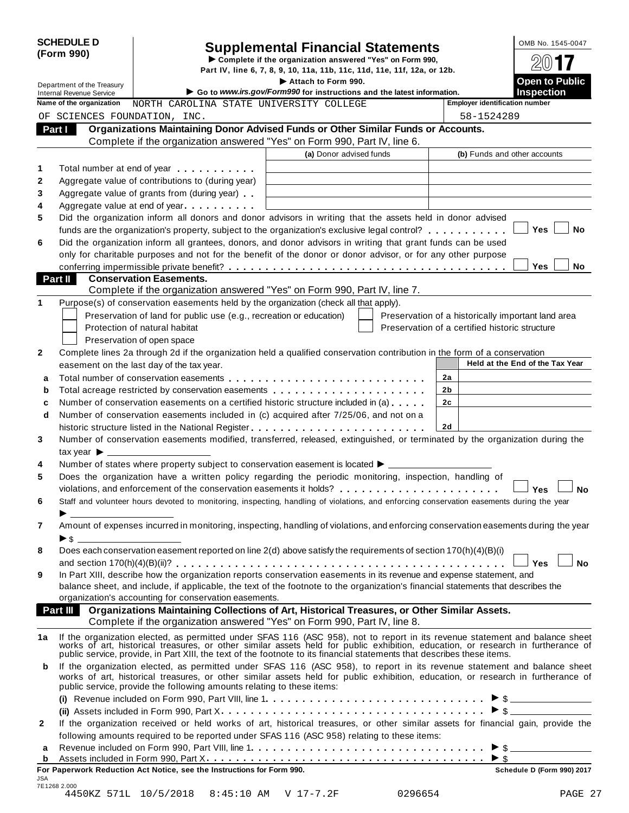| <b>SCHEDULE D</b><br><b>Supplemental Financial Statements</b><br>(Form 990)                                                                                |                                                                                                                                      |                                                                                                                                                                                                                                |                         |         |                                                    | OMB No. 1545-0047               |  |
|------------------------------------------------------------------------------------------------------------------------------------------------------------|--------------------------------------------------------------------------------------------------------------------------------------|--------------------------------------------------------------------------------------------------------------------------------------------------------------------------------------------------------------------------------|-------------------------|---------|----------------------------------------------------|---------------------------------|--|
|                                                                                                                                                            | Complete if the organization answered "Yes" on Form 990,<br>Part IV, line 6, 7, 8, 9, 10, 11a, 11b, 11c, 11d, 11e, 11f, 12a, or 12b. |                                                                                                                                                                                                                                |                         |         |                                                    |                                 |  |
|                                                                                                                                                            | Department of the Treasury                                                                                                           |                                                                                                                                                                                                                                | Attach to Form 990.     |         |                                                    | <b>Open to Public</b>           |  |
|                                                                                                                                                            | <b>Internal Revenue Service</b>                                                                                                      | Go to www.irs.gov/Form990 for instructions and the latest information.                                                                                                                                                         | <b>Inspection</b>       |         |                                                    |                                 |  |
| <b>Employer identification number</b><br>Name of the organization<br>NORTH CAROLINA STATE UNIVERSITY COLLEGE<br>OF SCIENCES FOUNDATION, INC.<br>58-1524289 |                                                                                                                                      |                                                                                                                                                                                                                                |                         |         |                                                    |                                 |  |
|                                                                                                                                                            | Part I                                                                                                                               | Organizations Maintaining Donor Advised Funds or Other Similar Funds or Accounts.                                                                                                                                              |                         |         |                                                    |                                 |  |
|                                                                                                                                                            |                                                                                                                                      | Complete if the organization answered "Yes" on Form 990, Part IV, line 6.                                                                                                                                                      |                         |         |                                                    |                                 |  |
|                                                                                                                                                            |                                                                                                                                      |                                                                                                                                                                                                                                | (a) Donor advised funds |         | (b) Funds and other accounts                       |                                 |  |
| 1                                                                                                                                                          |                                                                                                                                      | Total number at end of year example.                                                                                                                                                                                           |                         |         |                                                    |                                 |  |
| 2                                                                                                                                                          |                                                                                                                                      | Aggregate value of contributions to (during year)                                                                                                                                                                              |                         |         |                                                    |                                 |  |
| 3                                                                                                                                                          |                                                                                                                                      | Aggregate value of grants from (during year)                                                                                                                                                                                   |                         |         |                                                    |                                 |  |
| 4<br>5                                                                                                                                                     |                                                                                                                                      | Aggregate value at end of year<br>Did the organization inform all donors and donor advisors in writing that the assets held in donor advised                                                                                   |                         |         |                                                    |                                 |  |
|                                                                                                                                                            |                                                                                                                                      | funds are the organization's property, subject to the organization's exclusive legal control?                                                                                                                                  |                         |         |                                                    | <b>Yes</b><br>No                |  |
| 6                                                                                                                                                          |                                                                                                                                      | Did the organization inform all grantees, donors, and donor advisors in writing that grant funds can be used                                                                                                                   |                         |         |                                                    |                                 |  |
|                                                                                                                                                            |                                                                                                                                      | only for charitable purposes and not for the benefit of the donor or donor advisor, or for any other purpose                                                                                                                   |                         |         |                                                    |                                 |  |
|                                                                                                                                                            |                                                                                                                                      |                                                                                                                                                                                                                                |                         |         |                                                    | No<br><b>Yes</b>                |  |
|                                                                                                                                                            | Part II                                                                                                                              | <b>Conservation Easements.</b><br>Complete if the organization answered "Yes" on Form 990, Part IV, line 7.                                                                                                                    |                         |         |                                                    |                                 |  |
| 1                                                                                                                                                          |                                                                                                                                      | Purpose(s) of conservation easements held by the organization (check all that apply).                                                                                                                                          |                         |         |                                                    |                                 |  |
|                                                                                                                                                            |                                                                                                                                      | Preservation of land for public use (e.g., recreation or education)                                                                                                                                                            |                         |         | Preservation of a historically important land area |                                 |  |
|                                                                                                                                                            |                                                                                                                                      | Protection of natural habitat                                                                                                                                                                                                  |                         |         | Preservation of a certified historic structure     |                                 |  |
|                                                                                                                                                            |                                                                                                                                      | Preservation of open space                                                                                                                                                                                                     |                         |         |                                                    |                                 |  |
| $\mathbf{2}$                                                                                                                                               |                                                                                                                                      | Complete lines 2a through 2d if the organization held a qualified conservation contribution in the form of a conservation                                                                                                      |                         |         |                                                    | Held at the End of the Tax Year |  |
| a                                                                                                                                                          |                                                                                                                                      | easement on the last day of the tax year.                                                                                                                                                                                      |                         |         | 2a                                                 |                                 |  |
| b                                                                                                                                                          |                                                                                                                                      | Total acreage restricted by conservation easements                                                                                                                                                                             |                         |         | 2b                                                 |                                 |  |
| c                                                                                                                                                          |                                                                                                                                      | Number of conservation easements on a certified historic structure included in (a)                                                                                                                                             |                         |         | 2c                                                 |                                 |  |
| d                                                                                                                                                          |                                                                                                                                      | Number of conservation easements included in (c) acquired after 7/25/06, and not on a                                                                                                                                          |                         |         |                                                    |                                 |  |
|                                                                                                                                                            |                                                                                                                                      |                                                                                                                                                                                                                                |                         |         | 2d                                                 |                                 |  |
| 3                                                                                                                                                          |                                                                                                                                      | Number of conservation easements modified, transferred, released, extinguished, or terminated by the organization during the                                                                                                   |                         |         |                                                    |                                 |  |
| 4                                                                                                                                                          | tax year $\blacktriangleright$                                                                                                       | Number of states where property subject to conservation easement is located $\blacktriangleright$ _____                                                                                                                        |                         |         |                                                    |                                 |  |
| 5                                                                                                                                                          |                                                                                                                                      | Does the organization have a written policy regarding the periodic monitoring, inspection, handling of                                                                                                                         |                         |         |                                                    |                                 |  |
|                                                                                                                                                            |                                                                                                                                      |                                                                                                                                                                                                                                |                         |         |                                                    | <b>Yes</b><br>No                |  |
| 6                                                                                                                                                          |                                                                                                                                      | Staff and volunteer hours devoted to monitoring, inspecting, handling of violations, and enforcing conservation easements during the year                                                                                      |                         |         |                                                    |                                 |  |
|                                                                                                                                                            |                                                                                                                                      |                                                                                                                                                                                                                                |                         |         |                                                    |                                 |  |
| 7                                                                                                                                                          |                                                                                                                                      | Amount of expenses incurred in monitoring, inspecting, handling of violations, and enforcing conservation easements during the year                                                                                            |                         |         |                                                    |                                 |  |
| 8                                                                                                                                                          |                                                                                                                                      | Does each conservation easement reported on line 2(d) above satisfy the requirements of section 170(h)(4)(B)(i)                                                                                                                |                         |         |                                                    |                                 |  |
|                                                                                                                                                            |                                                                                                                                      |                                                                                                                                                                                                                                |                         |         |                                                    | <b>Yes</b><br><b>No</b>         |  |
| 9                                                                                                                                                          |                                                                                                                                      | In Part XIII, describe how the organization reports conservation easements in its revenue and expense statement, and                                                                                                           |                         |         |                                                    |                                 |  |
|                                                                                                                                                            |                                                                                                                                      | balance sheet, and include, if applicable, the text of the footnote to the organization's financial statements that describes the                                                                                              |                         |         |                                                    |                                 |  |
|                                                                                                                                                            |                                                                                                                                      | organization's accounting for conservation easements.<br>Part III Organizations Maintaining Collections of Art, Historical Treasures, or Other Similar Assets.                                                                 |                         |         |                                                    |                                 |  |
|                                                                                                                                                            |                                                                                                                                      | Complete if the organization answered "Yes" on Form 990, Part IV, line 8.                                                                                                                                                      |                         |         |                                                    |                                 |  |
| 1a                                                                                                                                                         |                                                                                                                                      |                                                                                                                                                                                                                                |                         |         |                                                    |                                 |  |
|                                                                                                                                                            |                                                                                                                                      | If the organization elected, as permitted under SFAS 116 (ASC 958), not to report in its revenue statement and balance sheet works of art, historical treasures, or other similar assets held for public exhibition, education |                         |         |                                                    |                                 |  |
| b                                                                                                                                                          |                                                                                                                                      | If the organization elected, as permitted under SFAS 116 (ASC 958), to report in its revenue statement and balance sheet                                                                                                       |                         |         |                                                    |                                 |  |
|                                                                                                                                                            |                                                                                                                                      | works of art, historical treasures, or other similar assets held for public exhibition, education, or research in furtherance of                                                                                               |                         |         |                                                    |                                 |  |
|                                                                                                                                                            |                                                                                                                                      | public service, provide the following amounts relating to these items:                                                                                                                                                         |                         |         |                                                    |                                 |  |
|                                                                                                                                                            |                                                                                                                                      |                                                                                                                                                                                                                                |                         |         |                                                    |                                 |  |
| $\mathbf{2}$                                                                                                                                               |                                                                                                                                      | If the organization received or held works of art, historical treasures, or other similar assets for financial gain, provide the                                                                                               |                         |         |                                                    |                                 |  |
|                                                                                                                                                            |                                                                                                                                      | following amounts required to be reported under SFAS 116 (ASC 958) relating to these items:                                                                                                                                    |                         |         |                                                    |                                 |  |
| a                                                                                                                                                          |                                                                                                                                      |                                                                                                                                                                                                                                |                         |         |                                                    |                                 |  |
| b                                                                                                                                                          |                                                                                                                                      | For Paperwork Reduction Act Notice, see the Instructions for Form 990.                                                                                                                                                         |                         |         |                                                    | Schedule D (Form 990) 2017      |  |
| <b>JSA</b>                                                                                                                                                 |                                                                                                                                      |                                                                                                                                                                                                                                |                         |         |                                                    |                                 |  |
|                                                                                                                                                            | 7E1268 2.000<br>4450KZ 571L 10/5/2018                                                                                                |                                                                                                                                                                                                                                | 8:45:10 AM V 17-7.2F    | 0296654 |                                                    | PAGE 27                         |  |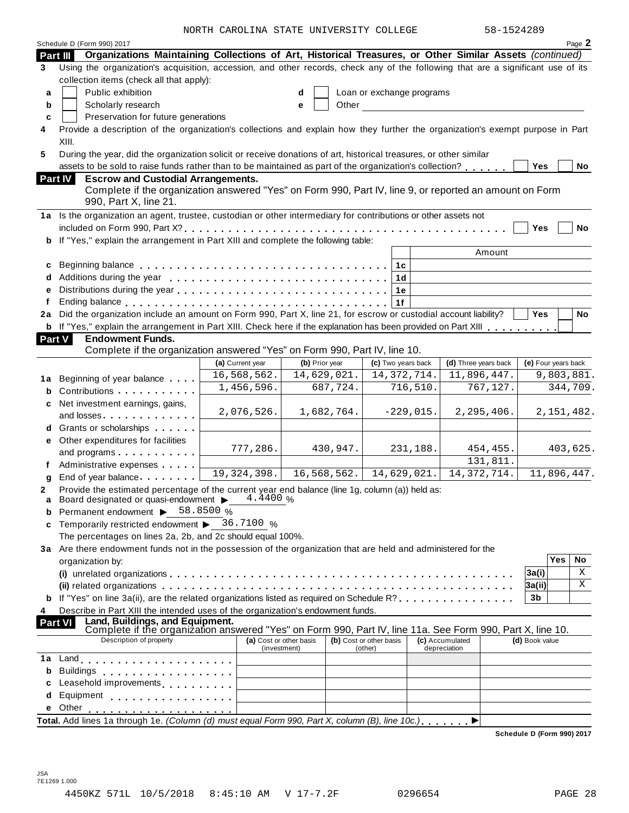NORTH CAROLINA STATE UNIVERSITY COLLEGE 58-15242

|    | Schedule D (Form 990) 2017                                                                                                                                                                                                     | NORIA CAROLINA SIAIE UNIVERSIII COLLEGE |                |                                    |             | JOTIJムIムOフ                      |                            | Page 2       |  |  |
|----|--------------------------------------------------------------------------------------------------------------------------------------------------------------------------------------------------------------------------------|-----------------------------------------|----------------|------------------------------------|-------------|---------------------------------|----------------------------|--------------|--|--|
|    | Organizations Maintaining Collections of Art, Historical Treasures, or Other Similar Assets (continued)<br>Part III                                                                                                            |                                         |                |                                    |             |                                 |                            |              |  |  |
| 3  | Using the organization's acquisition, accession, and other records, check any of the following that are a significant use of its                                                                                               |                                         |                |                                    |             |                                 |                            |              |  |  |
|    | collection items (check all that apply):                                                                                                                                                                                       |                                         |                |                                    |             |                                 |                            |              |  |  |
| a  | Public exhibition                                                                                                                                                                                                              |                                         | d              | Loan or exchange programs          |             |                                 |                            |              |  |  |
| b  | Scholarly research<br>Other<br>е<br><u> 1980 - John Stein, amerikansk politiker</u>                                                                                                                                            |                                         |                |                                    |             |                                 |                            |              |  |  |
| C  | Preservation for future generations                                                                                                                                                                                            |                                         |                |                                    |             |                                 |                            |              |  |  |
| 4  | Provide a description of the organization's collections and explain how they further the organization's exempt purpose in Part                                                                                                 |                                         |                |                                    |             |                                 |                            |              |  |  |
|    | XIII.                                                                                                                                                                                                                          |                                         |                |                                    |             |                                 |                            |              |  |  |
| 5  | During the year, did the organization solicit or receive donations of art, historical treasures, or other similar                                                                                                              |                                         |                |                                    |             |                                 |                            |              |  |  |
|    | assets to be sold to raise funds rather than to be maintained as part of the organization's collection?                                                                                                                        |                                         |                |                                    |             |                                 | Yes                        | No           |  |  |
|    | <b>Escrow and Custodial Arrangements.</b><br>Part IV                                                                                                                                                                           |                                         |                |                                    |             |                                 |                            |              |  |  |
|    | Complete if the organization answered "Yes" on Form 990, Part IV, line 9, or reported an amount on Form                                                                                                                        |                                         |                |                                    |             |                                 |                            |              |  |  |
|    | 990, Part X, line 21.                                                                                                                                                                                                          |                                         |                |                                    |             |                                 |                            |              |  |  |
|    | 1a Is the organization an agent, trustee, custodian or other intermediary for contributions or other assets not                                                                                                                |                                         |                |                                    |             |                                 |                            |              |  |  |
|    |                                                                                                                                                                                                                                |                                         |                |                                    |             |                                 | Yes                        | No           |  |  |
| b  | If "Yes," explain the arrangement in Part XIII and complete the following table:                                                                                                                                               |                                         |                |                                    |             |                                 |                            |              |  |  |
|    |                                                                                                                                                                                                                                |                                         |                |                                    |             | Amount                          |                            |              |  |  |
| c  |                                                                                                                                                                                                                                |                                         |                | 1 <sub>c</sub>                     |             |                                 |                            |              |  |  |
| d  |                                                                                                                                                                                                                                |                                         |                | 1 <sub>d</sub>                     |             |                                 |                            |              |  |  |
| e  |                                                                                                                                                                                                                                |                                         |                | 1e                                 |             |                                 |                            |              |  |  |
| f  |                                                                                                                                                                                                                                |                                         |                | 1f                                 |             |                                 |                            |              |  |  |
| 2a | Did the organization include an amount on Form 990, Part X, line 21, for escrow or custodial account liability?                                                                                                                |                                         |                |                                    |             |                                 | Yes                        | No           |  |  |
| b  | If "Yes," explain the arrangement in Part XIII. Check here if the explanation has been provided on Part XIII                                                                                                                   |                                         |                |                                    |             |                                 |                            |              |  |  |
|    | <b>Part V</b><br><b>Endowment Funds.</b>                                                                                                                                                                                       |                                         |                |                                    |             |                                 |                            |              |  |  |
|    | Complete if the organization answered "Yes" on Form 990, Part IV, line 10.                                                                                                                                                     |                                         |                |                                    |             |                                 |                            |              |  |  |
|    |                                                                                                                                                                                                                                | (a) Current year                        | (b) Prior year | (c) Two years back                 |             | (d) Three years back            | (e) Four years back        |              |  |  |
|    | 1a Beginning of year balance                                                                                                                                                                                                   | 16,568,562.                             | 14,629,021.    | 14, 372, 714.                      |             | 11,896,447.                     |                            | 9,803,881.   |  |  |
| b  | Contributions                                                                                                                                                                                                                  | 1,456,596.                              | 687,724.       |                                    | 716,510.    | 767,127.                        |                            | 344,709.     |  |  |
| c  | Net investment earnings, gains,                                                                                                                                                                                                |                                         |                |                                    |             |                                 |                            |              |  |  |
|    | and losses. The contract of the contract of the contract of the contract of the contract of the contract of the contract of the contract of the contract of the contract of the contract of the contract of the contract of th | 2,076,526.                              | 1,682,764.     |                                    | $-229,015.$ | 2,295,406.                      |                            | 2, 151, 482. |  |  |
|    | d Grants or scholarships                                                                                                                                                                                                       |                                         |                |                                    |             |                                 |                            |              |  |  |
|    | e Other expenditures for facilities                                                                                                                                                                                            |                                         |                |                                    |             |                                 |                            |              |  |  |
|    | and programs                                                                                                                                                                                                                   | 777,286.                                | 430,947.       |                                    | 231,188.    | 454,455.                        |                            | 403,625.     |  |  |
|    | Administrative expenses                                                                                                                                                                                                        |                                         |                |                                    |             | 131,811.                        |                            |              |  |  |
| g  | End of year balance expansion of year balance                                                                                                                                                                                  | 19, 324, 398.                           | 16,568,562.    | 14,629,021.                        |             | 14, 372, 714.                   |                            | 11,896,447.  |  |  |
|    | Provide the estimated percentage of the current year end balance (line 1g, column (a)) held as:                                                                                                                                |                                         |                |                                    |             |                                 |                            |              |  |  |
| a  | Board designated or quasi-endowment $\blacktriangleright$ 4.4400 %                                                                                                                                                             |                                         |                |                                    |             |                                 |                            |              |  |  |
|    | Permanent endowment > 58.8500 %                                                                                                                                                                                                |                                         |                |                                    |             |                                 |                            |              |  |  |
| c  | Temporarily restricted endowment $\triangleright$ 36.7100 %                                                                                                                                                                    |                                         |                |                                    |             |                                 |                            |              |  |  |
|    | The percentages on lines 2a, 2b, and 2c should equal 100%.                                                                                                                                                                     |                                         |                |                                    |             |                                 |                            |              |  |  |
|    | 3a Are there endowment funds not in the possession of the organization that are held and administered for the                                                                                                                  |                                         |                |                                    |             |                                 |                            | <b>Yes</b>   |  |  |
|    | organization by:                                                                                                                                                                                                               |                                         |                |                                    |             |                                 |                            | No           |  |  |
|    | X<br>3a(i)                                                                                                                                                                                                                     |                                         |                |                                    |             |                                 |                            |              |  |  |
|    | X<br>3a(ii)<br>If "Yes" on line 3a(ii), are the related organizations listed as required on Schedule R?, , , ,                                                                                                                 |                                         |                |                                    |             |                                 |                            |              |  |  |
|    |                                                                                                                                                                                                                                |                                         |                |                                    |             |                                 | 3b                         |              |  |  |
| 4  | Describe in Part XIII the intended uses of the organization's endowment funds.<br>Land, Buildings, and Equipment.                                                                                                              |                                         |                |                                    |             |                                 |                            |              |  |  |
|    | <b>Part VI</b><br>Complete if the organization answered "Yes" on Form 990, Part IV, line 11a. See Form 990, Part X, line 10.                                                                                                   |                                         |                |                                    |             |                                 |                            |              |  |  |
|    | Description of property                                                                                                                                                                                                        | (a) Cost or other basis<br>(investment) |                | (b) Cost or other basis<br>(other) |             | (c) Accumulated<br>depreciation | (d) Book value             |              |  |  |
| 1a |                                                                                                                                                                                                                                |                                         |                |                                    |             |                                 |                            |              |  |  |
| b  | Buildings                                                                                                                                                                                                                      |                                         |                |                                    |             |                                 |                            |              |  |  |
|    | Leasehold improvements <b>Leasehold</b> improvements                                                                                                                                                                           |                                         |                |                                    |             |                                 |                            |              |  |  |
| d  | Equipment experience and a series and a series of the series of the series of the series of the series of the                                                                                                                  |                                         |                |                                    |             |                                 |                            |              |  |  |
| е  | Other                                                                                                                                                                                                                          |                                         |                |                                    |             |                                 |                            |              |  |  |
|    | Total. Add lines 1a through 1e. (Column (d) must equal Form 990, Part X, column (B), line 10c.)                                                                                                                                |                                         |                |                                    |             |                                 |                            |              |  |  |
|    |                                                                                                                                                                                                                                |                                         |                |                                    |             |                                 | Schedule D (Form 990) 2017 |              |  |  |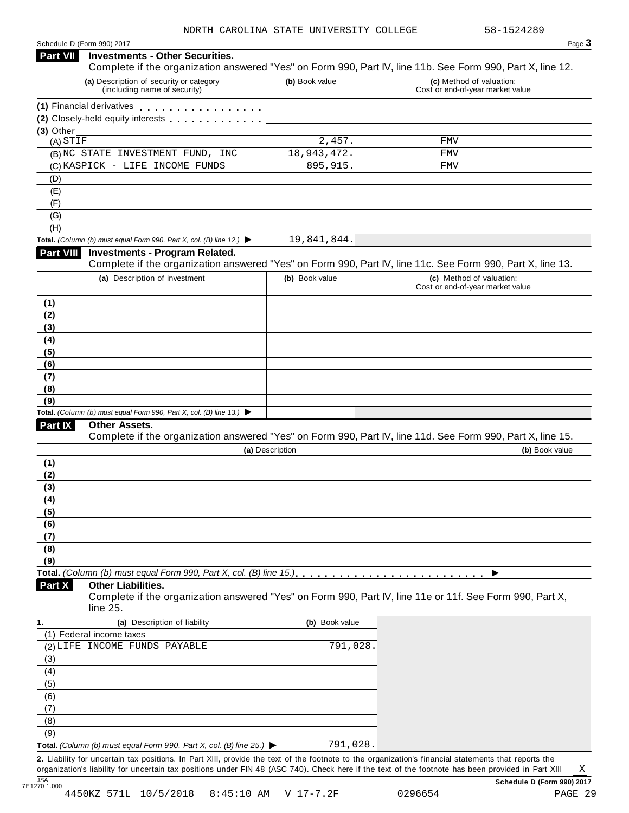#### Schedule <sup>D</sup> (Form 990) <sup>2017</sup> Page **3 Investments - Other Securities. Part VII** Investments - Other Securities.<br>Complete if the organization answered "Yes" on Form 990, Part IV, line 11b. See Form 990, Part X, line 12. **(a)** Description of security or category (including name of security) **(b)** Book value **(c)** Method of valuation: Cost or end-of-year market value **(1)** Financial derivatives **(2)** Closely-held equity interests **(3)** Other (A) (B) NC STATE INVESTMENT FUND, INC 18,943,472. FMV (C) KASPICK - LIFE INCOME FUNDS 895,915. FMV (D) (E) (F) (G) (H) **Total.** *(Column (b) must equal Form 990, Part X, col. (B) line 12.)* I **Investments - Program Related.** Complete if the organization answered "Yes" on Form 990, Part IV, line 11c. See Form 990, Part X, line 13. **(a)** Description of investment **(b)** Book value **(c)** Method of valuation: Cost or end-of-year market value **(1) (2) (3) (4) (5) (6) (7) (8) (9) Total.** *(Column (b) must equal Form 990, Part X, col. (B) line 13.)* I **Other Assets.** Complete if the organization answered "Yes" on Form 990, Part IV, line 11d. See Form 990, Part X, line 15. **(a)** Description **(b)** Book value **(1) (2) (3) (4) (5) (6) (7) (8) (9)**  $\blacksquare$   $\blacksquare$   $\blacksquare$   $\blacksquare$   $\lozenge$   $\lozenge$   $\blacksquare$   $\blacksquare$   $\blacksquare$   $\blacksquare$   $\blacksquare$   $\blacksquare$   $\blacksquare$   $\blacksquare$   $\blacksquare$   $\blacksquare$   $\blacksquare$   $\blacksquare$   $\blacksquare$   $\blacksquare$   $\blacksquare$   $\blacksquare$   $\blacksquare$   $\blacksquare$   $\blacksquare$   $\blacksquare$   $\blacksquare$   $\blacksquare$   $\blacksquare$   $\blacksquare$   $\blacksquare$   $\blacks$ **Other Liabilities.** Complete if the organization answered "Yes" on Form 990, Part IV, line 11e or 11f. See Form 990, Part X, line 25. **Part X 1. (a)** Description of liability **(b)** Book value (1) Federal income taxes (2) LIFE INCOME FUNDS PAYABLE 791,028. (3) (4) (5) (6) (7) (8) (9) **Total.** *(Column (b) must equal Form 990, Part X, col. (B) line 25.)* I  $STIF$  FMV 19,841,844. 791,028.

**2.** Liability for uncertain tax positions. In Part XIII, provide the text of the footnote to the organization's financial statements that reports the organization's liability for uncertain tax positions under FIN 48 (ASC 740). Check here if the text of the footnote has been provided in Part XIII

X

JSA **Schedule D (Form 990) 2017**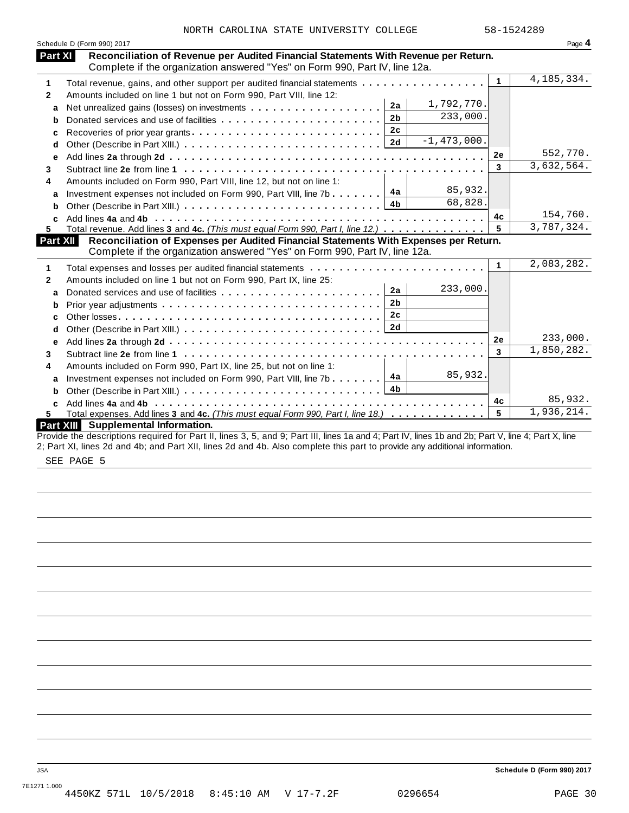|              | Schedule D (Form 990) 2017<br>Part XI<br>Reconciliation of Revenue per Audited Financial Statements With Revenue per Return.                                                            |                | Page 4       |
|--------------|-----------------------------------------------------------------------------------------------------------------------------------------------------------------------------------------|----------------|--------------|
| 1            | Complete if the organization answered "Yes" on Form 990, Part IV, line 12a.<br>Total revenue, gains, and other support per audited financial statements                                 | $\mathbf{1}$   | 4, 185, 334. |
|              |                                                                                                                                                                                         |                |              |
| $\mathbf{2}$ | Amounts included on line 1 but not on Form 990, Part VIII, line 12:<br>1,792,770.<br>2a                                                                                                 |                |              |
| a            | 233,000.<br>2 <sub>b</sub>                                                                                                                                                              |                |              |
| b            | Donated services and use of facilities<br>2c                                                                                                                                            |                |              |
| c            | Recoveries of prior year grants<br>$-1,473,000.$<br>2d                                                                                                                                  |                |              |
| d            |                                                                                                                                                                                         | 2e             | 552,770.     |
| е            |                                                                                                                                                                                         | 3              | 3,632,564.   |
| 3            |                                                                                                                                                                                         |                |              |
| 4            | Amounts included on Form 990, Part VIII, line 12, but not on line 1:<br>85,932.                                                                                                         |                |              |
| a            | Investment expenses not included on Form 990, Part VIII, line 7b $\boxed{4a}$<br>68,828.                                                                                                |                |              |
| b            | 4b                                                                                                                                                                                      |                | 154,760.     |
|              |                                                                                                                                                                                         | 4c             | 3,787,324.   |
| 5.           | Total revenue. Add lines 3 and 4c. (This must equal Form 990, Part I, line 12.)                                                                                                         | 5              |              |
|              | Reconciliation of Expenses per Audited Financial Statements With Expenses per Return.<br><b>Part XII</b><br>Complete if the organization answered "Yes" on Form 990, Part IV, line 12a. |                |              |
| 1            |                                                                                                                                                                                         | $\mathbf 1$    | 2,083,282.   |
|              | Total expenses and losses per audited financial statements                                                                                                                              |                |              |
| $\mathbf{2}$ | Amounts included on line 1 but not on Form 990, Part IX, line 25:<br>233,000.<br>2a                                                                                                     |                |              |
| a            | 2 <sub>b</sub>                                                                                                                                                                          |                |              |
| b            | 2 <sub>c</sub>                                                                                                                                                                          |                |              |
| c            |                                                                                                                                                                                         |                |              |
| d            |                                                                                                                                                                                         | 2e             | 233,000.     |
| e            |                                                                                                                                                                                         | $\overline{3}$ | 1,850,282.   |
| 3            |                                                                                                                                                                                         |                |              |
| 4            | Amounts included on Form 990, Part IX, line 25, but not on line 1:                                                                                                                      |                |              |
| a            | 85,932.<br>4a<br>Investment expenses not included on Form 990, Part VIII, line 7b                                                                                                       |                |              |
| b            | 4b                                                                                                                                                                                      |                |              |
|              |                                                                                                                                                                                         | 4c             | 85,932.      |
| C<br>5.      | Total expenses. Add lines 3 and 4c. (This must equal Form 990, Part I, line 18.)                                                                                                        | 5              | 1,936,214.   |

SEE PAGE 5

JSA **Schedule D (Form 990) 2017**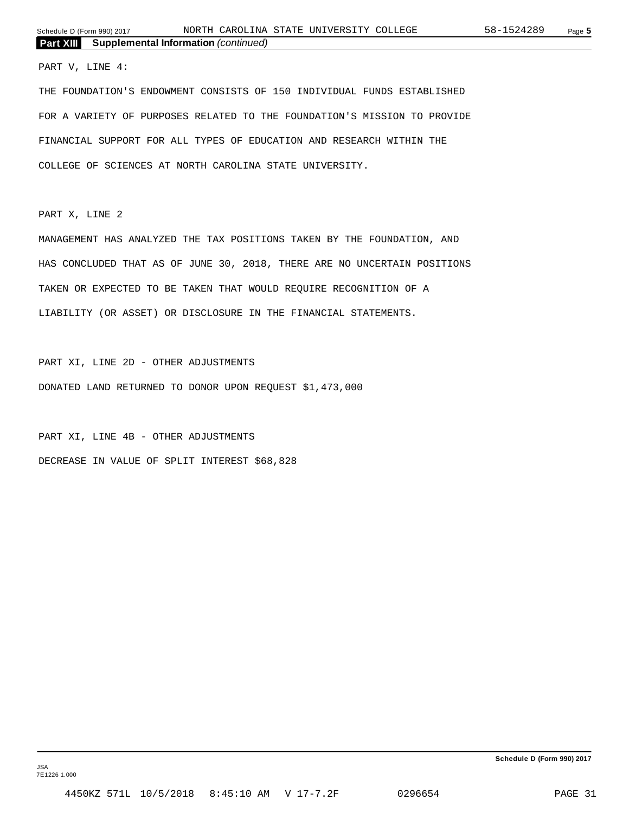#### PART V, LINE 4:

THE FOUNDATION'S ENDOWMENT CONSISTS OF 150 INDIVIDUAL FUNDS ESTABLISHED FOR A VARIETY OF PURPOSES RELATED TO THE FOUNDATION'S MISSION TO PROVIDE FINANCIAL SUPPORT FOR ALL TYPES OF EDUCATION AND RESEARCH WITHIN THE COLLEGE OF SCIENCES AT NORTH CAROLINA STATE UNIVERSITY.

PART X, LINE 2

MANAGEMENT HAS ANALYZED THE TAX POSITIONS TAKEN BY THE FOUNDATION, AND HAS CONCLUDED THAT AS OF JUNE 30, 2018, THERE ARE NO UNCERTAIN POSITIONS TAKEN OR EXPECTED TO BE TAKEN THAT WOULD REQUIRE RECOGNITION OF A LIABILITY (OR ASSET) OR DISCLOSURE IN THE FINANCIAL STATEMENTS.

PART XI, LINE 2D - OTHER ADJUSTMENTS DONATED LAND RETURNED TO DONOR UPON REQUEST \$1,473,000

PART XI, LINE 4B - OTHER ADJUSTMENTS DECREASE IN VALUE OF SPLIT INTEREST \$68,828

**Schedule D (Form 990) 2017**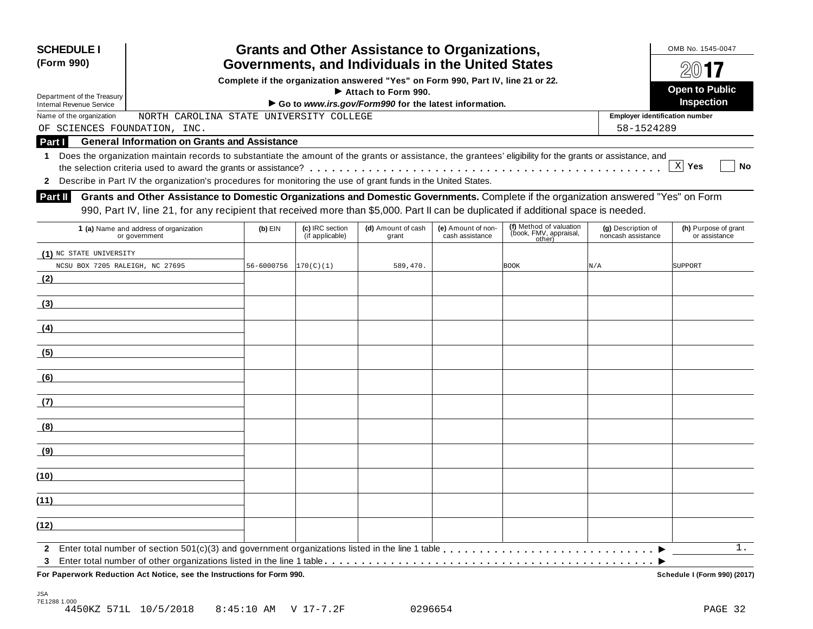| <b>Grants and Other Assistance to Organizations,</b><br><b>SCHEDULE I</b><br>Governments, and Individuals in the United States<br>(Form 990) |                                                                                                                                                                                                                                                                           |            |                                    |                             |                                       |                                                             |                                          | OMB No. 1545-0047                     |  |  |
|----------------------------------------------------------------------------------------------------------------------------------------------|---------------------------------------------------------------------------------------------------------------------------------------------------------------------------------------------------------------------------------------------------------------------------|------------|------------------------------------|-----------------------------|---------------------------------------|-------------------------------------------------------------|------------------------------------------|---------------------------------------|--|--|
|                                                                                                                                              |                                                                                                                                                                                                                                                                           |            |                                    |                             |                                       |                                                             |                                          |                                       |  |  |
| Complete if the organization answered "Yes" on Form 990, Part IV, line 21 or 22.<br>Attach to Form 990.<br>Department of the Treasury        |                                                                                                                                                                                                                                                                           |            |                                    |                             |                                       |                                                             |                                          |                                       |  |  |
| Go to www.irs.gov/Form990 for the latest information.<br><b>Internal Revenue Service</b>                                                     |                                                                                                                                                                                                                                                                           |            |                                    |                             |                                       |                                                             |                                          |                                       |  |  |
| Name of the organization                                                                                                                     | NORTH CAROLINA STATE UNIVERSITY COLLEGE                                                                                                                                                                                                                                   |            |                                    |                             |                                       |                                                             | <b>Employer identification number</b>    |                                       |  |  |
| OF SCIENCES FOUNDATION, INC.                                                                                                                 |                                                                                                                                                                                                                                                                           |            |                                    |                             |                                       |                                                             | 58-1524289                               |                                       |  |  |
| Part I                                                                                                                                       | <b>General Information on Grants and Assistance</b>                                                                                                                                                                                                                       |            |                                    |                             |                                       |                                                             |                                          |                                       |  |  |
|                                                                                                                                              | 1 Does the organization maintain records to substantiate the amount of the grants or assistance, the grantees' eligibility for the grants or assistance, and                                                                                                              |            |                                    |                             |                                       |                                                             |                                          | X Yes<br>No                           |  |  |
|                                                                                                                                              | 2 Describe in Part IV the organization's procedures for monitoring the use of grant funds in the United States.                                                                                                                                                           |            |                                    |                             |                                       |                                                             |                                          |                                       |  |  |
| <b>Part II</b>                                                                                                                               | Grants and Other Assistance to Domestic Organizations and Domestic Governments. Complete if the organization answered "Yes" on Form<br>990, Part IV, line 21, for any recipient that received more than \$5,000. Part II can be duplicated if additional space is needed. |            |                                    |                             |                                       |                                                             |                                          |                                       |  |  |
|                                                                                                                                              | 1 (a) Name and address of organization<br>or government                                                                                                                                                                                                                   | $(b)$ EIN  | (c) IRC section<br>(if applicable) | (d) Amount of cash<br>grant | (e) Amount of non-<br>cash assistance | (f) Method of valuation<br>(book, FMV, appraisal,<br>other) | (g) Description of<br>noncash assistance | (h) Purpose of grant<br>or assistance |  |  |
| (1) NC STATE UNIVERSITY<br>NCSU BOX 7205 RALEIGH, NC 27695                                                                                   |                                                                                                                                                                                                                                                                           | 56-6000756 | 170(C)(1)                          | 589,470.                    |                                       | <b>BOOK</b>                                                 | N/A                                      | SUPPORT                               |  |  |
| (2)                                                                                                                                          |                                                                                                                                                                                                                                                                           |            |                                    |                             |                                       |                                                             |                                          |                                       |  |  |
| (3)                                                                                                                                          |                                                                                                                                                                                                                                                                           |            |                                    |                             |                                       |                                                             |                                          |                                       |  |  |
| (4)                                                                                                                                          |                                                                                                                                                                                                                                                                           |            |                                    |                             |                                       |                                                             |                                          |                                       |  |  |
| (5)                                                                                                                                          |                                                                                                                                                                                                                                                                           |            |                                    |                             |                                       |                                                             |                                          |                                       |  |  |
| (6)                                                                                                                                          |                                                                                                                                                                                                                                                                           |            |                                    |                             |                                       |                                                             |                                          |                                       |  |  |
| (7)                                                                                                                                          |                                                                                                                                                                                                                                                                           |            |                                    |                             |                                       |                                                             |                                          |                                       |  |  |
| (8)                                                                                                                                          |                                                                                                                                                                                                                                                                           |            |                                    |                             |                                       |                                                             |                                          |                                       |  |  |
| (9)                                                                                                                                          |                                                                                                                                                                                                                                                                           |            |                                    |                             |                                       |                                                             |                                          |                                       |  |  |
| (10)                                                                                                                                         |                                                                                                                                                                                                                                                                           |            |                                    |                             |                                       |                                                             |                                          |                                       |  |  |
| (11)                                                                                                                                         |                                                                                                                                                                                                                                                                           |            |                                    |                             |                                       |                                                             |                                          |                                       |  |  |
| (12)                                                                                                                                         |                                                                                                                                                                                                                                                                           |            |                                    |                             |                                       |                                                             |                                          |                                       |  |  |
| $\mathbf{2}$                                                                                                                                 |                                                                                                                                                                                                                                                                           |            |                                    |                             |                                       |                                                             |                                          | 1.                                    |  |  |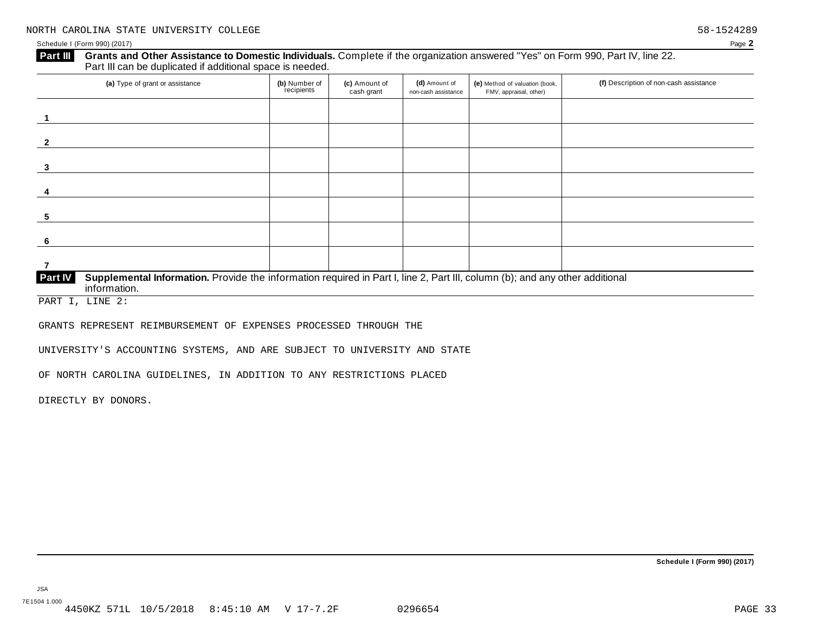#### Grants and Other Assistance to Domestic Individuals. Complete if the organization answered "Yes" on Form 990, Part IV, line 22. **Part III** Grants and Other Assistance to Domestic Individuals<br>Part III can be duplicated if additional space is needed.

| (a) Type of grant or assistance                                                                                                                                | (b) Number of<br>recipients | (c) Amount of<br>cash grant | (d) Amount of<br>non-cash assistance | (e) Method of valuation (book,<br>FMV, appraisal, other) | (f) Description of non-cash assistance |
|----------------------------------------------------------------------------------------------------------------------------------------------------------------|-----------------------------|-----------------------------|--------------------------------------|----------------------------------------------------------|----------------------------------------|
|                                                                                                                                                                |                             |                             |                                      |                                                          |                                        |
|                                                                                                                                                                |                             |                             |                                      |                                                          |                                        |
| 3                                                                                                                                                              |                             |                             |                                      |                                                          |                                        |
|                                                                                                                                                                |                             |                             |                                      |                                                          |                                        |
| 5                                                                                                                                                              |                             |                             |                                      |                                                          |                                        |
|                                                                                                                                                                |                             |                             |                                      |                                                          |                                        |
|                                                                                                                                                                |                             |                             |                                      |                                                          |                                        |
| Supplemental Information. Provide the information required in Part I, line 2, Part III, column (b); and any other additional<br><b>Part IV</b><br>information. |                             |                             |                                      |                                                          |                                        |

PART I, LINE 2:

GRANTS REPRESENT REIMBURSEMENT OF EXPENSES PROCESSED THROUGH THE

UNIVERSITY'S ACCOUNTING SYSTEMS, AND ARE SUBJECT TO UNIVERSITY AND STATE

OF NORTH CAROLINA GUIDELINES, IN ADDITION TO ANY RESTRICTIONS PLACED

DIRECTLY BY DONORS.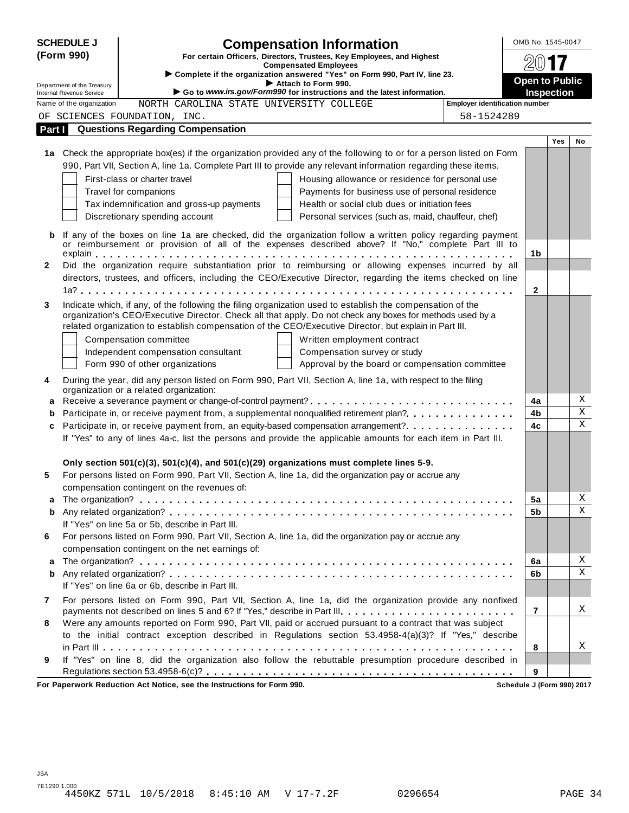|              | <b>SCHEDULE J</b>          | <b>Compensation Information</b>                                                                                                                                                                                     | OMB No. 1545-0047     |     |    |
|--------------|----------------------------|---------------------------------------------------------------------------------------------------------------------------------------------------------------------------------------------------------------------|-----------------------|-----|----|
|              | (Form 990)                 | For certain Officers, Directors, Trustees, Key Employees, and Highest                                                                                                                                               |                       |     |    |
|              |                            | <b>Compensated Employees</b><br>Complete if the organization answered "Yes" on Form 990, Part IV, line 23.                                                                                                          | $201$ <b>17</b>       |     |    |
|              | Department of the Treasury | Attach to Form 990.                                                                                                                                                                                                 | <b>Open to Public</b> |     |    |
|              | Internal Revenue Service   | Go to www.irs.gov/Form990 for instructions and the latest information.<br><b>Employer identification number</b>                                                                                                     | <b>Inspection</b>     |     |    |
|              | Name of the organization   | NORTH CAROLINA STATE UNIVERSITY COLLEGE                                                                                                                                                                             |                       |     |    |
|              |                            | OF SCIENCES FOUNDATION, INC.<br>58-1524289<br><b>Questions Regarding Compensation</b>                                                                                                                               |                       |     |    |
| Part I       |                            |                                                                                                                                                                                                                     |                       | Yes | No |
|              |                            | 1a Check the appropriate box(es) if the organization provided any of the following to or for a person listed on Form                                                                                                |                       |     |    |
|              |                            | 990, Part VII, Section A, line 1a. Complete Part III to provide any relevant information regarding these items.                                                                                                     |                       |     |    |
|              |                            | First-class or charter travel<br>Housing allowance or residence for personal use                                                                                                                                    |                       |     |    |
|              |                            | Travel for companions<br>Payments for business use of personal residence                                                                                                                                            |                       |     |    |
|              |                            | Health or social club dues or initiation fees<br>Tax indemnification and gross-up payments                                                                                                                          |                       |     |    |
|              |                            | Discretionary spending account<br>Personal services (such as, maid, chauffeur, chef)                                                                                                                                |                       |     |    |
|              |                            |                                                                                                                                                                                                                     |                       |     |    |
| b            |                            | If any of the boxes on line 1a are checked, did the organization follow a written policy regarding payment<br>or reimbursement or provision of all of the expenses described above? If "No," complete Part III to   |                       |     |    |
|              |                            |                                                                                                                                                                                                                     | 1b                    |     |    |
| $\mathbf{2}$ |                            | Did the organization require substantiation prior to reimbursing or allowing expenses incurred by all                                                                                                               |                       |     |    |
|              |                            | directors, trustees, and officers, including the CEO/Executive Director, regarding the items checked on line                                                                                                        |                       |     |    |
|              |                            |                                                                                                                                                                                                                     | $\mathbf{2}$          |     |    |
| 3            |                            | Indicate which, if any, of the following the filing organization used to establish the compensation of the                                                                                                          |                       |     |    |
|              |                            | organization's CEO/Executive Director. Check all that apply. Do not check any boxes for methods used by a<br>related organization to establish compensation of the CEO/Executive Director, but explain in Part III. |                       |     |    |
|              |                            | Compensation committee<br>Written employment contract                                                                                                                                                               |                       |     |    |
|              |                            | Independent compensation consultant<br>Compensation survey or study                                                                                                                                                 |                       |     |    |
|              |                            | Form 990 of other organizations<br>Approval by the board or compensation committee                                                                                                                                  |                       |     |    |
| 4            |                            | During the year, did any person listed on Form 990, Part VII, Section A, line 1a, with respect to the filing<br>organization or a related organization:                                                             |                       |     |    |
| a            |                            | Receive a severance payment or change-of-control payment?                                                                                                                                                           | 4a                    |     | Χ  |
| b            |                            | Participate in, or receive payment from, a supplemental nonqualified retirement plan?                                                                                                                               | 4b                    |     | Χ  |
| c            |                            | Participate in, or receive payment from, an equity-based compensation arrangement?                                                                                                                                  | 4c                    |     | X  |
|              |                            | If "Yes" to any of lines 4a-c, list the persons and provide the applicable amounts for each item in Part III.                                                                                                       |                       |     |    |
|              |                            | Only section $501(c)(3)$ , $501(c)(4)$ , and $501(c)(29)$ organizations must complete lines 5-9.                                                                                                                    |                       |     |    |
| 5            |                            | For persons listed on Form 990, Part VII, Section A, line 1a, did the organization pay or accrue any                                                                                                                |                       |     |    |
|              |                            | compensation contingent on the revenues of:                                                                                                                                                                         |                       |     |    |
| a            |                            |                                                                                                                                                                                                                     | 5a                    |     | Χ  |
| b            |                            |                                                                                                                                                                                                                     | 5b                    |     | Χ  |
|              |                            | If "Yes" on line 5a or 5b, describe in Part III.                                                                                                                                                                    |                       |     |    |
| 6            |                            | For persons listed on Form 990, Part VII, Section A, line 1a, did the organization pay or accrue any                                                                                                                |                       |     |    |
|              |                            | compensation contingent on the net earnings of:                                                                                                                                                                     |                       |     | Χ  |
| a<br>b       |                            |                                                                                                                                                                                                                     | 6a<br>6b              |     | X  |
|              |                            | If "Yes" on line 6a or 6b, describe in Part III.                                                                                                                                                                    |                       |     |    |
| 7            |                            | For persons listed on Form 990, Part VII, Section A, line 1a, did the organization provide any nonfixed                                                                                                             |                       |     |    |
|              |                            | payments not described on lines 5 and 6? If "Yes," describe in Part III.                                                                                                                                            | $\overline{7}$        |     | Χ  |
| 8            |                            | Were any amounts reported on Form 990, Part VII, paid or accrued pursuant to a contract that was subject                                                                                                            |                       |     |    |
|              |                            | to the initial contract exception described in Regulations section 53.4958-4(a)(3)? If "Yes," describe                                                                                                              |                       |     |    |
|              |                            |                                                                                                                                                                                                                     | 8                     |     | Χ  |
| 9            |                            | If "Yes" on line 8, did the organization also follow the rebuttable presumption procedure described in                                                                                                              |                       |     |    |
|              |                            |                                                                                                                                                                                                                     | 9                     |     |    |

**For Paperwork Reduction Act Notice, see the Instructions for Form 990. Schedule J (Form 990) 2017**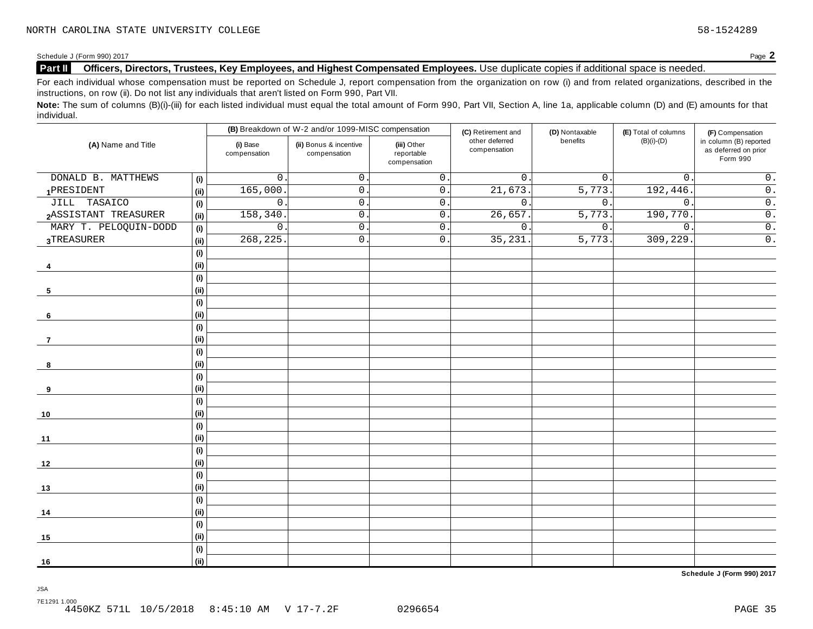#### **Part II Officers, Directors, Trustees, Key Employees, and Highest Compensated Employees.** Use duplicate copies ifadditional space is needed.

For each individual whose compensation must be reported on Schedule J, report compensation from the organization on row (i) and from related organizations, described in the instructions, on row (ii). Do not list any individuals that aren't listed on Form 990, Part VII.

Note: The sum of columns (B)(i)-(iii) for each listed individual must equal the total amount of Form 990, Part VII, Section A, line 1a, applicable column (D) and (E) amounts for that individual.

|                       |                              |                          | (B) Breakdown of W-2 and/or 1099-MISC compensation |                                           | (C) Retirement and             | (D) Nontaxable   | (E) Total of columns | (F) Compensation                                           |  |
|-----------------------|------------------------------|--------------------------|----------------------------------------------------|-------------------------------------------|--------------------------------|------------------|----------------------|------------------------------------------------------------|--|
| (A) Name and Title    |                              | (i) Base<br>compensation | (ii) Bonus & incentive<br>compensation             | (iii) Other<br>reportable<br>compensation | other deferred<br>compensation | benefits         | $(B)(i)-(D)$         | in column (B) reported<br>as deferred on prior<br>Form 990 |  |
| DONALD B. MATTHEWS    | (i)                          | $\mathbf 0$              | $\mathsf{O}$ .                                     | $\overline{0}$ .                          | $\mathbf{0}$ .                 | $0$ .            | $\mathbf{0}$ .       | $\overline{0}$ .                                           |  |
| 1PRESIDENT            | (i)                          | 165,000                  | 0.                                                 | $\overline{0}$ .                          | 21,673                         | 5,773.           | 192,446              | $\overline{0}$ .                                           |  |
| JILL TASAICO          | (i)                          | $\mathsf{O}$             | $\mathsf{O}$ .                                     | $\mathsf 0$ .                             | $\mathsf{O}$ .                 | 0.               | $\mathbf 0$ .        | $\overline{0}$ .                                           |  |
| 2ASSISTANT TREASURER  | (ii)                         | 158,340                  | $\mathsf{O}$ .                                     | $\overline{0}$ .                          | 26,657.                        | 5,773.           | 190,770              | $\overline{0}$ .                                           |  |
| MARY T. PELOQUIN-DODD | (i)                          | $\mathsf{O}$             | $\mathsf{O}$ .                                     | $\mathsf 0$ .                             | $\mathsf{O}$ .                 | $\overline{0}$ . | $\mathsf{O}$ .       | $\overline{0}$ .                                           |  |
| 3TREASURER            | (i)                          | 268,225                  | $\mathsf{O}$ .                                     | $\overline{0}$ .                          | 35,231                         | 5,773.           | 309, 229.            | $\overline{0}$ .                                           |  |
|                       | (i)                          |                          |                                                    |                                           |                                |                  |                      |                                                            |  |
| -4                    | (ii)                         |                          |                                                    |                                           |                                |                  |                      |                                                            |  |
|                       | (i)                          |                          |                                                    |                                           |                                |                  |                      |                                                            |  |
| 5                     | (i)                          |                          |                                                    |                                           |                                |                  |                      |                                                            |  |
|                       | (i)                          |                          |                                                    |                                           |                                |                  |                      |                                                            |  |
| 6                     | (i)                          |                          |                                                    |                                           |                                |                  |                      |                                                            |  |
|                       | $\qquad \qquad \textbf{(i)}$ |                          |                                                    |                                           |                                |                  |                      |                                                            |  |
| $\overline{7}$        | (i)                          |                          |                                                    |                                           |                                |                  |                      |                                                            |  |
|                       | (i)                          |                          |                                                    |                                           |                                |                  |                      |                                                            |  |
| 8                     | (ii)                         |                          |                                                    |                                           |                                |                  |                      |                                                            |  |
|                       | (i)                          |                          |                                                    |                                           |                                |                  |                      |                                                            |  |
| 9                     | (i)                          |                          |                                                    |                                           |                                |                  |                      |                                                            |  |
|                       | (i)                          |                          |                                                    |                                           |                                |                  |                      |                                                            |  |
| 10                    | (i)                          |                          |                                                    |                                           |                                |                  |                      |                                                            |  |
|                       | (i)                          |                          |                                                    |                                           |                                |                  |                      |                                                            |  |
| 11                    | (i)                          |                          |                                                    |                                           |                                |                  |                      |                                                            |  |
|                       | (i)                          |                          |                                                    |                                           |                                |                  |                      |                                                            |  |
| 12                    | (i)                          |                          |                                                    |                                           |                                |                  |                      |                                                            |  |
|                       | (i)                          |                          |                                                    |                                           |                                |                  |                      |                                                            |  |
| 13                    | (i)                          |                          |                                                    |                                           |                                |                  |                      |                                                            |  |
|                       | (i)                          |                          |                                                    |                                           |                                |                  |                      |                                                            |  |
| 14                    | (i)                          |                          |                                                    |                                           |                                |                  |                      |                                                            |  |
|                       | (i)                          |                          |                                                    |                                           |                                |                  |                      |                                                            |  |
| 15                    | (i)                          |                          |                                                    |                                           |                                |                  |                      |                                                            |  |
|                       | (i)                          |                          |                                                    |                                           |                                |                  |                      |                                                            |  |
| 16                    | (i)                          |                          |                                                    |                                           |                                |                  |                      |                                                            |  |

**Schedule J (Form 990) 2017**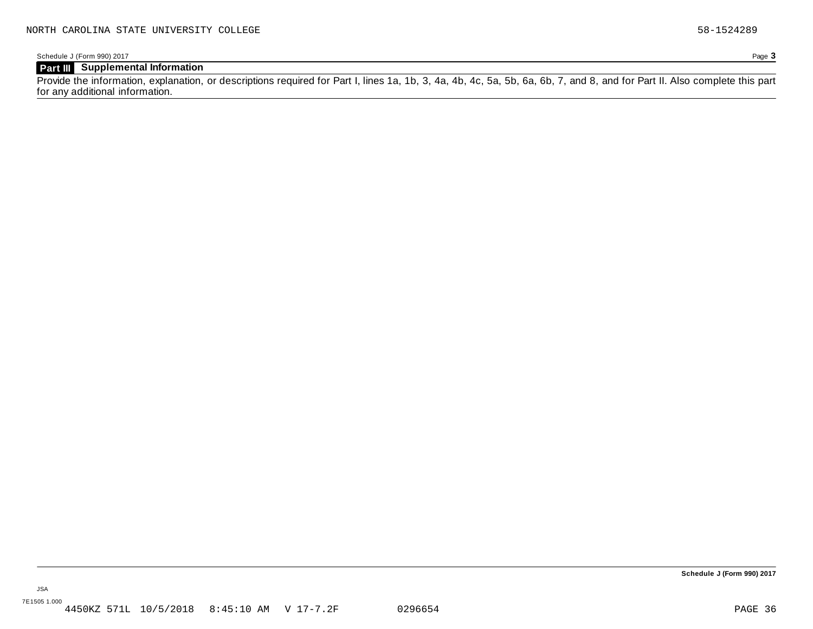## **Part III Supplemental Information**

Provide the information, explanation, or descriptions required for Part I, lines 1a, 1b, 3, 4a, 4b, 4c, 5a, 5b, 6a, 6b, 7, and 8, and for Part II. Also complete this part for any additional information.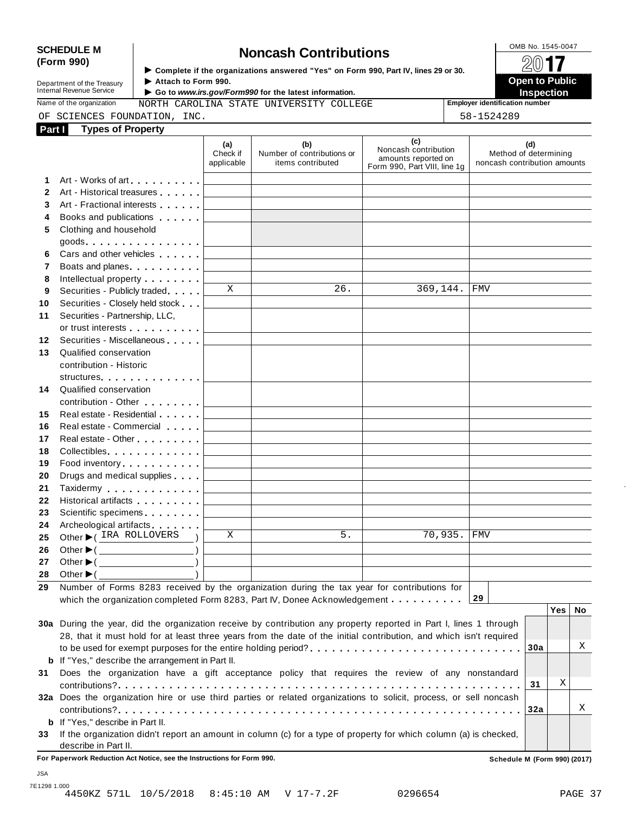# SCHEDULE M<br>
(Form 990) **Schedule Moncash Contributions**<br>  $\begin{array}{r} \hline \text{OMB No. 1545-0047} \\ \hline \text{Complete if the organizations answered "Yes" on Form 990 Part IV lines 29 or 30.} \end{array}$

**Department of the Treasury<br>Internal Revenue Service** 

**Examplete** if the organizations answered "Yes" on Form 990, Part Ⅳ, lines 29 or 30. 
<br>● Attach to Form 990. **Department of the Treasury** ▶ Attach to Form 990.<br>Internal Revenue Service ▶ Go to *www.irs.gov/Form990* for the latest information.<br>Nome of the organization and property. Given a support of the latest information.

Name of the organization **MORTH CAROLINA STATE UNIVERSITY COLLEGE Fig. 5 Employer identification number** 

| OF SCIENCES FOUNDATI |  |
|----------------------|--|
|                      |  |

ON, INC.  $58-1524289$ 

| Part I       | <b>Types of Property</b>                                                                                                                                                                                                         |                               |                                                        |                                                                                    |                                                              |
|--------------|----------------------------------------------------------------------------------------------------------------------------------------------------------------------------------------------------------------------------------|-------------------------------|--------------------------------------------------------|------------------------------------------------------------------------------------|--------------------------------------------------------------|
|              |                                                                                                                                                                                                                                  | (a)<br>Check if<br>applicable | (b)<br>Number of contributions or<br>items contributed | (c)<br>Noncash contribution<br>amounts reported on<br>Form 990, Part VIII, line 1g | (d)<br>Method of determining<br>noncash contribution amounts |
| 1            | Art - Works of art<br>1999 - Part Barry Barry Barry Barry Barry Barry Barry Barry Barry Barry Barry Barry Barry Barry Barry Barry Barry Barry Barry Barry Barry Barry Barry Barry Barry Barry Barry Barry Barry Barry Barry Barr |                               |                                                        |                                                                                    |                                                              |
| $\mathbf{2}$ | Art - Historical treasures                                                                                                                                                                                                       |                               |                                                        |                                                                                    |                                                              |
| 3            | Art - Fractional interests                                                                                                                                                                                                       |                               |                                                        |                                                                                    |                                                              |
| 4            | Books and publications <b>contains</b>                                                                                                                                                                                           |                               |                                                        |                                                                                    |                                                              |
| 5            | Clothing and household                                                                                                                                                                                                           |                               |                                                        |                                                                                    |                                                              |
|              | $goods$                                                                                                                                                                                                                          |                               |                                                        |                                                                                    |                                                              |
| 6            | Cars and other vehicles <b>Cars</b>                                                                                                                                                                                              |                               |                                                        |                                                                                    |                                                              |
| 7            | Boats and planes.                                                                                                                                                                                                                |                               |                                                        |                                                                                    |                                                              |
| 8            | Intellectual property <b>Algebra</b>                                                                                                                                                                                             |                               |                                                        |                                                                                    |                                                              |
| 9            | Securities - Publicly traded                                                                                                                                                                                                     | X                             | 26.                                                    | 369,144.                                                                           | <b>FMV</b>                                                   |
| 10           | Securities - Closely held stock                                                                                                                                                                                                  |                               |                                                        |                                                                                    |                                                              |
| 11           | Securities - Partnership, LLC,                                                                                                                                                                                                   |                               |                                                        |                                                                                    |                                                              |
|              | or trust interests experience that the set of the set of the set of the set of the set of the set of the set of the set of the set of the set of the set of the set of the set of the set of the set of the set of the set of    |                               |                                                        |                                                                                    |                                                              |
| 12           | Securities - Miscellaneous                                                                                                                                                                                                       |                               |                                                        |                                                                                    |                                                              |
| 13           | Qualified conservation                                                                                                                                                                                                           |                               |                                                        |                                                                                    |                                                              |
|              | contribution - Historic                                                                                                                                                                                                          |                               |                                                        |                                                                                    |                                                              |
|              | structures                                                                                                                                                                                                                       |                               |                                                        |                                                                                    |                                                              |
| 14           | Qualified conservation                                                                                                                                                                                                           |                               |                                                        |                                                                                    |                                                              |
|              | contribution - Other <b>Canadian American</b> Contribution - Other                                                                                                                                                               |                               |                                                        |                                                                                    |                                                              |
| 15           | Real estate - Residential                                                                                                                                                                                                        |                               |                                                        |                                                                                    |                                                              |
| 16           | Real estate - Commercial                                                                                                                                                                                                         |                               |                                                        |                                                                                    |                                                              |
| 17           | Real estate - Other <b>Call 2018</b>                                                                                                                                                                                             |                               |                                                        |                                                                                    |                                                              |
| 18           | Collectibles                                                                                                                                                                                                                     |                               |                                                        |                                                                                    |                                                              |
| 19           | Food inventory                                                                                                                                                                                                                   |                               |                                                        |                                                                                    |                                                              |
| 20           | Drugs and medical supplies                                                                                                                                                                                                       |                               |                                                        |                                                                                    |                                                              |
| 21           | Taxidermy Taxidermy                                                                                                                                                                                                              |                               |                                                        |                                                                                    |                                                              |
| 22           | Historical artifacts <b>All Accords</b>                                                                                                                                                                                          |                               |                                                        |                                                                                    |                                                              |
| 23           | Scientific specimens <b>Scientific specimens</b>                                                                                                                                                                                 |                               |                                                        |                                                                                    |                                                              |
| 24           | Archeological artifacts                                                                                                                                                                                                          |                               |                                                        |                                                                                    |                                                              |
| 25           | Other C IRA ROLLOVERS                                                                                                                                                                                                            | X                             | 5.                                                     | 70,935.                                                                            | <b>FMV</b>                                                   |
| 26           | Other ▶( <u></u>                                                                                                                                                                                                                 |                               |                                                        |                                                                                    |                                                              |
| 27           | Other $\blacktriangleright$ ( $\_\_\_\_\_\_\_\_$ )                                                                                                                                                                               |                               |                                                        |                                                                                    |                                                              |
| 28           | Other $\blacktriangleright$ (<br><u> 1989 - Johann Barnett, fransk politik (</u>                                                                                                                                                 |                               |                                                        |                                                                                    |                                                              |
| 29           | Number of Forms 8283 received by the organization during the tax year for contributions for                                                                                                                                      |                               |                                                        |                                                                                    |                                                              |
|              | which the organization completed Form 8283, Part IV, Donee Acknowledgement                                                                                                                                                       |                               |                                                        |                                                                                    | 29                                                           |
|              |                                                                                                                                                                                                                                  |                               |                                                        |                                                                                    | <b>Yes</b><br>No                                             |
|              | 30a During the year, did the organization receive by contribution any property reported in Part I, lines 1 through                                                                                                               |                               |                                                        |                                                                                    |                                                              |
|              | 28, that it must hold for at least three years from the date of the initial contribution, and which isn't required                                                                                                               |                               |                                                        |                                                                                    |                                                              |
|              |                                                                                                                                                                                                                                  |                               |                                                        |                                                                                    | Χ<br>30a                                                     |
|              | <b>b</b> If "Yes," describe the arrangement in Part II.                                                                                                                                                                          |                               |                                                        |                                                                                    |                                                              |
| 31           | Does the organization have a gift acceptance policy that requires the review of any nonstandard                                                                                                                                  |                               |                                                        |                                                                                    |                                                              |
|              |                                                                                                                                                                                                                                  |                               |                                                        |                                                                                    | Χ<br>31                                                      |
|              | 32a Does the organization hire or use third parties or related organizations to solicit, process, or sell noncash                                                                                                                |                               |                                                        |                                                                                    |                                                              |
|              |                                                                                                                                                                                                                                  |                               |                                                        |                                                                                    | Χ<br>32a                                                     |
|              | <b>b</b> If "Yes," describe in Part II.                                                                                                                                                                                          |                               |                                                        |                                                                                    |                                                              |
| 33           | If the organization didn't report an amount in column (c) for a type of property for which column (a) is checked,                                                                                                                |                               |                                                        |                                                                                    |                                                              |
|              | describe in Part II.                                                                                                                                                                                                             |                               |                                                        |                                                                                    |                                                              |
|              | For Paperwork Reduction Act Notice, see the Instructions for Form 990.                                                                                                                                                           |                               |                                                        |                                                                                    | Schedule M (Form 990) (2017)                                 |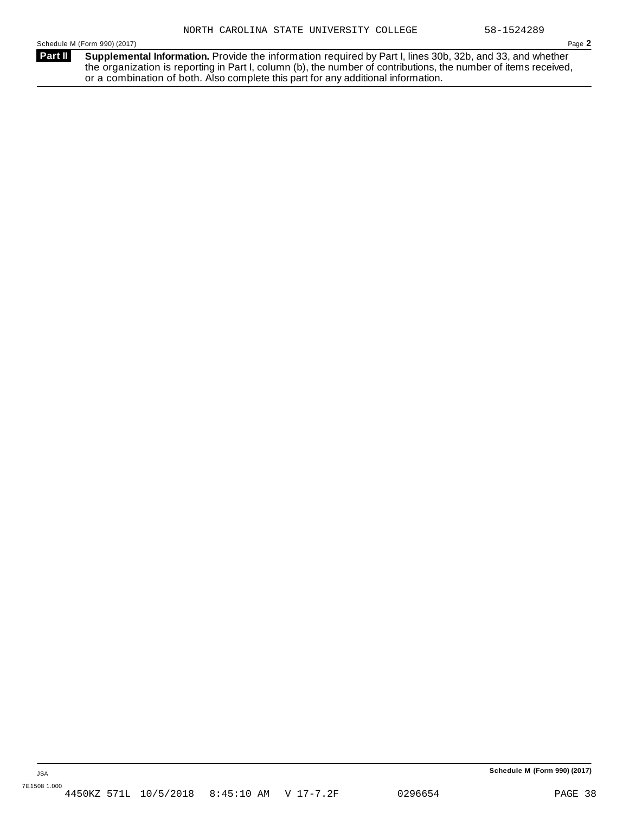**Supplemental Information.** Provide the information required by Part I, lines 30b, 32b, and 33, and whether the organization is reporting in Part I, column (b), the number of contributions, the number of items received, or a combination of both. Also complete this part for any additional information. **Part II**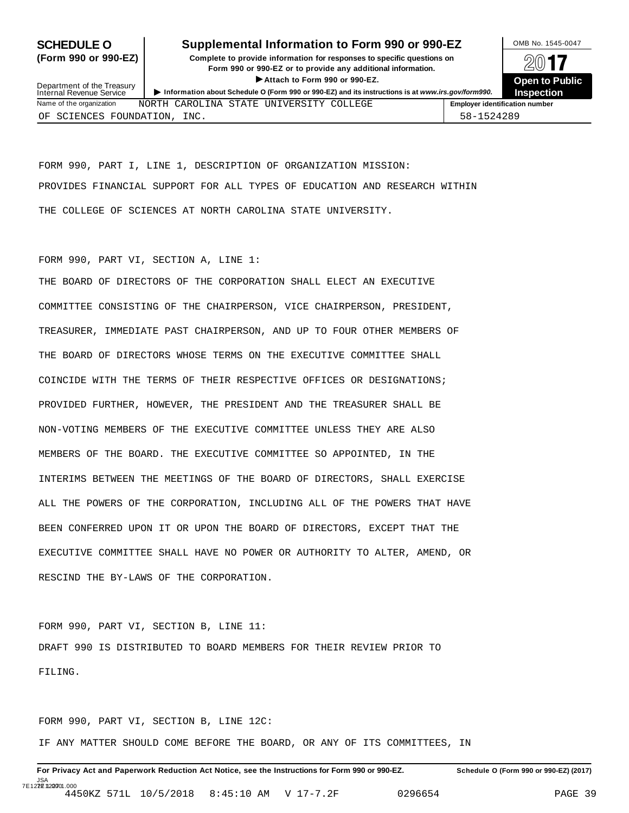## **SCHEDULE O** Supplemental Information to Form 990 or 990-EZ DMB No. 1545-0047

**(Form 990 or 990-EZ) Complete to provide information for responses to specific questions on** plete to provide information for responses to specific questions on  $\Box$   $\Box$   $\Box$ **EXECTED TO PUBLIC 2012 CONSIDER**<br> **EXECTED CONSIDER**<br> **EXECUTED CONSIDERATION CONSIDERATION CONSIDERATION CONSIDERATION CONSIDERATION CONSIDERATION CONSIDERATION CONSIDERATION CONSIDERATION CONS** Attach to Form 990 or 990-EZ.<br>Information about Schedule O (Form 990 or 990-EZ) and its instructions is at www.irs.gov/form990. Inspection



| Department of the Treasury<br>Internal Revenue Service |  | F ANGUL NG LULIL JUG UL JUG EEL         | Information about Schedule O (Form 990 or 990-EZ) and its instructions is at www.irs.gov/form990. |                                       | <b>ODGII IV FUL</b><br><b>Inspection</b> |
|--------------------------------------------------------|--|-----------------------------------------|---------------------------------------------------------------------------------------------------|---------------------------------------|------------------------------------------|
| Name of the organization                               |  | NORTH CAROLINA STATE UNIVERSITY COLLEGE |                                                                                                   | <b>Employer identification number</b> |                                          |
| OF SCIENCES FOUNDATION, INC.                           |  |                                         |                                                                                                   | 58-1524289                            |                                          |

FORM 990, PART I, LINE 1, DESCRIPTION OF ORGANIZATION MISSION: PROVIDES FINANCIAL SUPPORT FOR ALL TYPES OF EDUCATION AND RESEARCH WITHIN THE COLLEGE OF SCIENCES AT NORTH CAROLINA STATE UNIVERSITY.

#### FORM 990, PART VI, SECTION A, LINE 1:

THE BOARD OF DIRECTORS OF THE CORPORATION SHALL ELECT AN EXECUTIVE COMMITTEE CONSISTING OF THE CHAIRPERSON, VICE CHAIRPERSON, PRESIDENT, TREASURER, IMMEDIATE PAST CHAIRPERSON, AND UP TO FOUR OTHER MEMBERS OF THE BOARD OF DIRECTORS WHOSE TERMS ON THE EXECUTIVE COMMITTEE SHALL COINCIDE WITH THE TERMS OF THEIR RESPECTIVE OFFICES OR DESIGNATIONS; PROVIDED FURTHER, HOWEVER, THE PRESIDENT AND THE TREASURER SHALL BE NON-VOTING MEMBERS OF THE EXECUTIVE COMMITTEE UNLESS THEY ARE ALSO MEMBERS OF THE BOARD. THE EXECUTIVE COMMITTEE SO APPOINTED, IN THE INTERIMS BETWEEN THE MEETINGS OF THE BOARD OF DIRECTORS, SHALL EXERCISE ALL THE POWERS OF THE CORPORATION, INCLUDING ALL OF THE POWERS THAT HAVE BEEN CONFERRED UPON IT OR UPON THE BOARD OF DIRECTORS, EXCEPT THAT THE EXECUTIVE COMMITTEE SHALL HAVE NO POWER OR AUTHORITY TO ALTER, AMEND, OR RESCIND THE BY-LAWS OF THE CORPORATION.

FORM 990, PART VI, SECTION B, LINE 11: DRAFT 990 IS DISTRIBUTED TO BOARD MEMBERS FOR THEIR REVIEW PRIOR TO FILING.

FORM 990, PART VI, SECTION B, LINE 12C: IF ANY MATTER SHOULD COME BEFORE THE BOARD, OR ANY OF ITS COMMITTEES, IN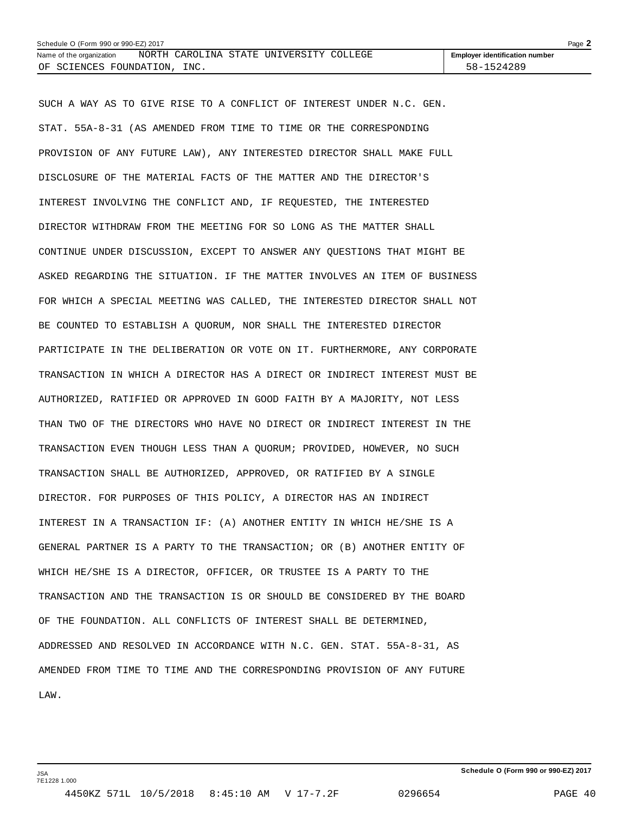| Schedule O (Form 990 or 990-EZ) 2017 |  |      |  |                                         |  | Page $\blacktriangle$                 |  |
|--------------------------------------|--|------|--|-----------------------------------------|--|---------------------------------------|--|
| Name of the organization             |  |      |  | NORTH CAROLINA STATE UNIVERSITY COLLEGE |  | <b>Employer identification number</b> |  |
| OF SCIENCES FOUNDATION,              |  | INC. |  |                                         |  | 58-1524289                            |  |

SUCH A WAY AS TO GIVE RISE TO A CONFLICT OF INTEREST UNDER N.C. GEN. STAT. 55A-8-31 (AS AMENDED FROM TIME TO TIME OR THE CORRESPONDING PROVISION OF ANY FUTURE LAW), ANY INTERESTED DIRECTOR SHALL MAKE FULL DISCLOSURE OF THE MATERIAL FACTS OF THE MATTER AND THE DIRECTOR'S INTEREST INVOLVING THE CONFLICT AND, IF REQUESTED, THE INTERESTED DIRECTOR WITHDRAW FROM THE MEETING FOR SO LONG AS THE MATTER SHALL CONTINUE UNDER DISCUSSION, EXCEPT TO ANSWER ANY QUESTIONS THAT MIGHT BE ASKED REGARDING THE SITUATION. IF THE MATTER INVOLVES AN ITEM OF BUSINESS FOR WHICH A SPECIAL MEETING WAS CALLED, THE INTERESTED DIRECTOR SHALL NOT BE COUNTED TO ESTABLISH A QUORUM, NOR SHALL THE INTERESTED DIRECTOR PARTICIPATE IN THE DELIBERATION OR VOTE ON IT. FURTHERMORE, ANY CORPORATE TRANSACTION IN WHICH A DIRECTOR HAS A DIRECT OR INDIRECT INTEREST MUST BE AUTHORIZED, RATIFIED OR APPROVED IN GOOD FAITH BY A MAJORITY, NOT LESS THAN TWO OF THE DIRECTORS WHO HAVE NO DIRECT OR INDIRECT INTEREST IN THE TRANSACTION EVEN THOUGH LESS THAN A QUORUM; PROVIDED, HOWEVER, NO SUCH TRANSACTION SHALL BE AUTHORIZED, APPROVED, OR RATIFIED BY A SINGLE DIRECTOR. FOR PURPOSES OF THIS POLICY, A DIRECTOR HAS AN INDIRECT INTEREST IN A TRANSACTION IF: (A) ANOTHER ENTITY IN WHICH HE/SHE IS A GENERAL PARTNER IS A PARTY TO THE TRANSACTION; OR (B) ANOTHER ENTITY OF WHICH HE/SHE IS A DIRECTOR, OFFICER, OR TRUSTEE IS A PARTY TO THE TRANSACTION AND THE TRANSACTION IS OR SHOULD BE CONSIDERED BY THE BOARD OF THE FOUNDATION. ALL CONFLICTS OF INTEREST SHALL BE DETERMINED, ADDRESSED AND RESOLVED IN ACCORDANCE WITH N.C. GEN. STAT. 55A-8-31, AS AMENDED FROM TIME TO TIME AND THE CORRESPONDING PROVISION OF ANY FUTURE LAW.

JSA 7E1228 1.000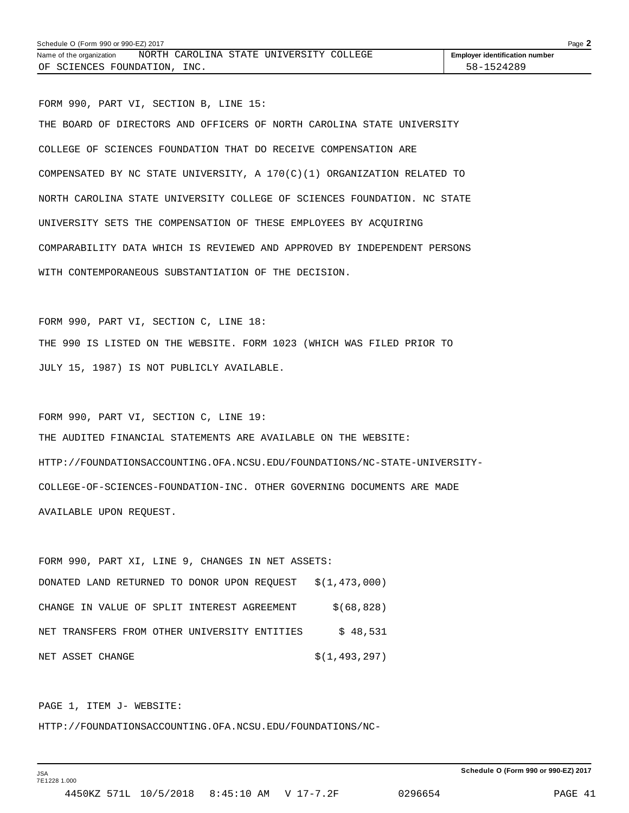FORM 990, PART VI, SECTION B, LINE 15: THE BOARD OF DIRECTORS AND OFFICERS OF NORTH CAROLINA STATE UNIVERSITY COLLEGE OF SCIENCES FOUNDATION THAT DO RECEIVE COMPENSATION ARE COMPENSATED BY NC STATE UNIVERSITY, A  $170(C)(1)$  ORGANIZATION RELATED TO NORTH CAROLINA STATE UNIVERSITY COLLEGE OF SCIENCES FOUNDATION. NC STATE UNIVERSITY SETS THE COMPENSATION OF THESE EMPLOYEES BY ACQUIRING COMPARABILITY DATA WHICH IS REVIEWED AND APPROVED BY INDEPENDENT PERSONS WITH CONTEMPORANEOUS SUBSTANTIATION OF THE DECISION.

FORM 990, PART VI, SECTION C, LINE 18: THE 990 IS LISTED ON THE WEBSITE. FORM 1023 (WHICH WAS FILED PRIOR TO JULY 15, 1987) IS NOT PUBLICLY AVAILABLE.

FORM 990, PART VI, SECTION C, LINE 19: THE AUDITED FINANCIAL STATEMENTS ARE AVAILABLE ON THE WEBSITE: HTTP://FOUNDATIONSACCOUNTING.OFA.NCSU.EDU/FOUNDATIONS/NC-STATE-UNIVERSITY-COLLEGE-OF-SCIENCES-FOUNDATION-INC. OTHER GOVERNING DOCUMENTS ARE MADE AVAILABLE UPON REQUEST.

FORM 990, PART XI, LINE 9, CHANGES IN NET ASSETS: DONATED LAND RETURNED TO DONOR UPON REQUEST \$(1,473,000) CHANGE IN VALUE OF SPLIT INTEREST AGREEMENT  $$(68,828)$ NET TRANSFERS FROM OTHER UNIVERSITY ENTITIES  $\frac{1}{5}$  48,531 NET ASSET CHANGE  $\zeta(1,493,297)$ 

PAGE 1, ITEM J- WEBSITE:

HTTP://FOUNDATIONSACCOUNTING.OFA.NCSU.EDU/FOUNDATIONS/NC-

**Schedule O (Form 990 or 990-EZ) 2017**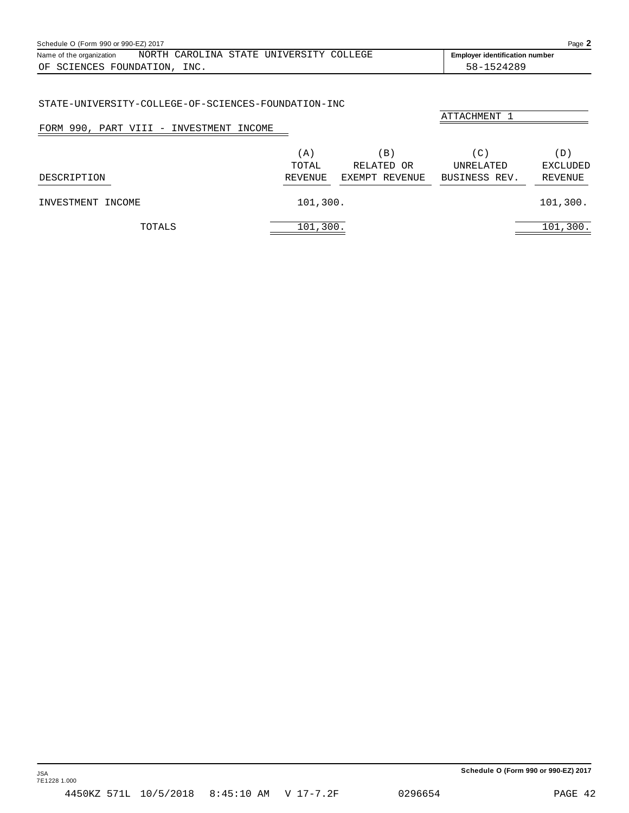<span id="page-42-0"></span>

| Schedule O (Form 990 or 990-EZ) 2017 |  |  |  |                                         |  | Page $\angle$                         |  |
|--------------------------------------|--|--|--|-----------------------------------------|--|---------------------------------------|--|
| Name of the organization             |  |  |  | NORTH CAROLINA STATE UNIVERSITY COLLEGE |  | <b>Employer identification number</b> |  |
| OF SCIENCES FOUNDATION, INC.         |  |  |  |                                         |  | 58-1524289                            |  |

#### STATE-UNIVERSITY-COLLEGE-OF-SCIENCES-FOUNDATION-INC

| FORM 990, PART VIII - INVESTMENT INCOME |                        |                                              | ATTACHMENT 1                      |                                   |
|-----------------------------------------|------------------------|----------------------------------------------|-----------------------------------|-----------------------------------|
| DESCRIPTION                             | A)<br>TOTAL<br>REVENUE | $\mathbf{B}$<br>RELATED OR<br>EXEMPT REVENUE | (C)<br>UNRELATED<br>BUSINESS REV. | (D)<br>EXCLUDED<br><b>REVENUE</b> |
| INVESTMENT INCOME                       | 101,300.               |                                              |                                   | 101,300.                          |
| TOTALS                                  | 101,300.               |                                              |                                   | 101, 300.                         |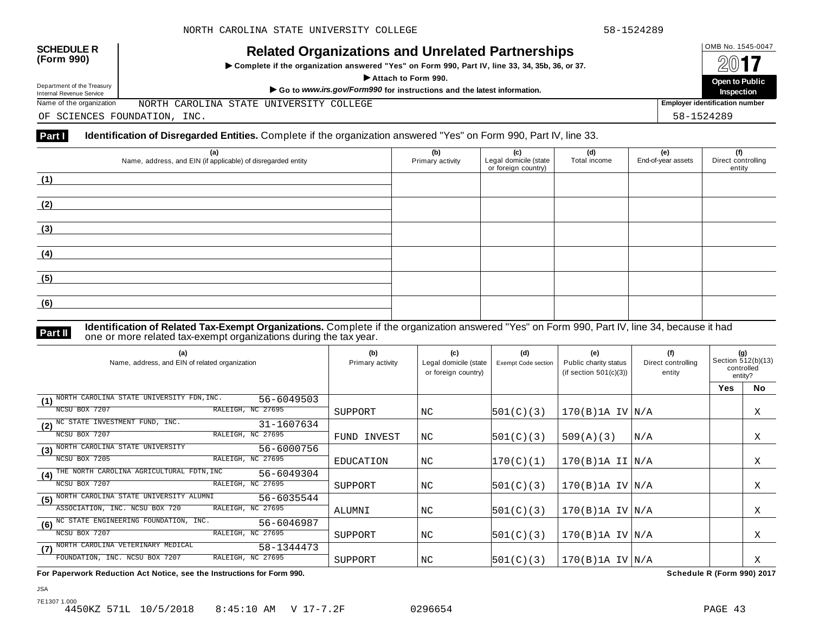

# OMB No. 1545-0047 **SCHEDULE R (Form 990) Related Organizations and Unrelated Partnerships**

 $\triangleright$  Complete if the organization answered "Yes" on Form 990, Part IV, line 33, 34, 35b, 36, or 37.



Department of the Treasury<br>Internal Revenue Service

Department of the Treasury Departo Public<br>Internal Revenue Service Market More to Public (Internal Revenue Service Market of Departo Public<br>Name of the organization MORTH CAROLINA STATE UNIVERSITY COLLEGE (INCOLLEGE PROPUS NORTH CAROLINA STATE UNIVERSITY COLLEGE

OF SCIENCES FOUNDATION, INC. 58-1524289

#### **Part I Identification of Disregarded Entities.** Complete if the organization answered "Yes" on Form 990, Part IV, line 33.

| (a)<br>Name, address, and EIN (if applicable) of disregarded entity | (b)<br>Primary activity | (c)<br>Legal domicile (state<br>or foreign country) | (d)<br>Total income | (e)<br>End-of-year assets | (f)<br>Direct controlling<br>entity |
|---------------------------------------------------------------------|-------------------------|-----------------------------------------------------|---------------------|---------------------------|-------------------------------------|
| (1)                                                                 |                         |                                                     |                     |                           |                                     |
| (2)                                                                 |                         |                                                     |                     |                           |                                     |
| (3)                                                                 |                         |                                                     |                     |                           |                                     |
| (4)                                                                 |                         |                                                     |                     |                           |                                     |
| (5)                                                                 |                         |                                                     |                     |                           |                                     |
| (6)                                                                 |                         |                                                     |                     |                           |                                     |

**Identification of Related Tax-Exempt Organizations.** Complete if the organization answered "Yes" on Form 990, Part IV, line 34, because it had **Part II** one or more related tax-exempt organizations during the tax year.

| (a)<br>Name, address, and EIN of related organization              | (b)<br>Primary activity | (c)<br>Legal domicile (state<br>or foreign country) | (d)<br>Exempt Code section | (e)<br>Public charity status<br>(if section $501(c)(3)$ ) | (f)<br>Direct controlling<br>entity | (g)<br>Section 512(b)(13)<br>controlled<br>entity? |           |
|--------------------------------------------------------------------|-------------------------|-----------------------------------------------------|----------------------------|-----------------------------------------------------------|-------------------------------------|----------------------------------------------------|-----------|
|                                                                    |                         |                                                     |                            |                                                           |                                     | Yes                                                | <b>No</b> |
| NORTH CAROLINA STATE UNIVERSITY FDN, INC.<br>56-6049503<br>(1)     |                         |                                                     |                            |                                                           |                                     |                                                    |           |
| NCSU BOX 7207<br>RALEIGH, NC 27695                                 | SUPPORT                 | ΝC                                                  | 501(C)(3)                  | $170(B)$ 1A IV $N/A$                                      |                                     |                                                    | Χ         |
| (2) NO STATE INVESTMENT FUND, INC.<br>31-1607634                   |                         |                                                     |                            |                                                           |                                     |                                                    |           |
| RALEIGH, NC 27695<br>NCSU BOX 7207                                 | FUND INVEST             | NC                                                  | 501(C)(3)                  | 509(A)(3)                                                 | N/A                                 |                                                    | Χ         |
| NORTH CAROLINA STATE UNIVERSITY<br>56-6000756<br>(3)               |                         |                                                     |                            |                                                           |                                     |                                                    |           |
| RALEIGH, NC 27695<br>NCSU BOX 7205                                 | <b>EDUCATION</b>        | NC                                                  | 170(C)(1)                  | $170(B)$ 1A II $\vert N/A \vert$                          |                                     |                                                    | Χ         |
| THE NORTH CAROLINA AGRICULTURAL FDTN, INC<br>56-6049304<br>(4)     |                         |                                                     |                            |                                                           |                                     |                                                    |           |
| RALEIGH, NC 27695<br>NCSU BOX 7207                                 | SUPPORT                 | NC                                                  | 501(C)(3)                  | 170(B)1A IV/N/A                                           |                                     |                                                    | Χ         |
| NORTH CAROLINA STATE UNIVERSITY ALUMNI<br>56-6035544<br>(5)        |                         |                                                     |                            |                                                           |                                     |                                                    |           |
| ASSOCIATION, INC. NCSU BOX 720<br>RALEIGH, NC 27695                | ALUMNI                  | NC                                                  | 501(C)(3)                  | 170(B)1A IV/N/A                                           |                                     |                                                    | Χ         |
| (6) <sup>NC</sup> STATE ENGINEERING FOUNDATION, INC.<br>56-6046987 |                         |                                                     |                            |                                                           |                                     |                                                    |           |
| NCSU BOX 7207<br>RALEIGH, NC 27695                                 | SUPPORT                 | NC                                                  | 501(C)(3)                  | $170(B)$ 1A IV $ N/A$                                     |                                     |                                                    | X         |
| NORTH CAROLINA VETERINARY MEDICAL<br>58-1344473<br>(7)             |                         |                                                     |                            |                                                           |                                     |                                                    |           |
| RALEIGH, NC 27695<br>FOUNDATION, INC. NCSU BOX 7207                | SUPPORT                 | ΝC                                                  | 501(C)(3)                  | $170(B)$ 1A IV $ N/A$                                     |                                     |                                                    | Χ         |

**For Paperwork Reduction Act Notice, see the Instructions for Form 990. Schedule R (Form 990) 2017**

7E1307 1.000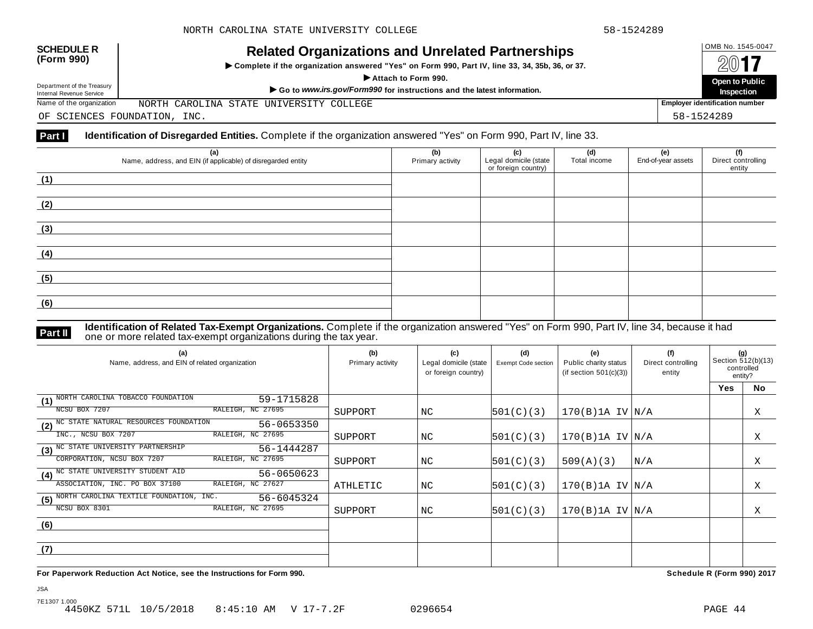

# OMB No. 1545-0047 **SCHEDULE R (Form 990) Related Organizations and Unrelated Partnerships**

 $\triangleright$  Complete if the organization answered "Yes" on Form 990, Part IV, line 33, 34, 35b, 36, or 37.



Department of the Treasury

Department of the Treasury Departo Public<br>Internal Revenue Service Market More to Public (Internal Revenue Service Market of Departo Public<br>Name of the organization MORTH CAROLINA STATE UNIVERSITY COLLEGE (INCOLLEGE PROPUS NORTH CAROLINA STATE UNIVERSITY COLLEGE

OF SCIENCES FOUNDATION, INC. 58-1524289

#### **Part I Identification of Disregarded Entities.** Complete if the organization answered "Yes" on Form 990, Part IV, line 33.

| (a)<br>Name, address, and EIN (if applicable) of disregarded entity | (b)<br>Primary activity | (c)<br>Legal domicile (state<br>or foreign country) | (d)<br>Total income | (e)<br>End-of-year assets | (f)<br>Direct controlling<br>entity |
|---------------------------------------------------------------------|-------------------------|-----------------------------------------------------|---------------------|---------------------------|-------------------------------------|
| (1)                                                                 |                         |                                                     |                     |                           |                                     |
| (2)                                                                 |                         |                                                     |                     |                           |                                     |
| (3)                                                                 |                         |                                                     |                     |                           |                                     |
| (4)                                                                 |                         |                                                     |                     |                           |                                     |
| (5)                                                                 |                         |                                                     |                     |                           |                                     |
| (6)                                                                 |                         |                                                     |                     |                           |                                     |

**Identification of Related Tax-Exempt Organizations.** Complete if the organization answered "Yes" on Form 990, Part IV, line 34, because it had **Part II** one or more related tax-exempt organizations during the tax year.

| (a)<br>Name, address, and EIN of related organization                             | (b)<br>Primary activity | (c)<br>Legal domicile (state<br>or foreign country) | (d)<br><b>Exempt Code section</b> | (e)<br>Public charity status<br>(if section $501(c)(3)$ ) | (f)<br>Direct controlling<br>entity | (g)<br>Section 512(b)(13)<br>controlled<br>entity? |           |
|-----------------------------------------------------------------------------------|-------------------------|-----------------------------------------------------|-----------------------------------|-----------------------------------------------------------|-------------------------------------|----------------------------------------------------|-----------|
|                                                                                   |                         |                                                     |                                   |                                                           |                                     | <b>Yes</b>                                         | <b>No</b> |
| NORTH CAROLINA TOBACCO FOUNDATION<br>59-1715828<br>(1)                            |                         |                                                     |                                   |                                                           |                                     |                                                    |           |
| RALEIGH, NC 27695<br>NCSU BOX 7207                                                | SUPPORT                 | NC                                                  | 501(C)(3)                         | $170(B)$ 1A IV $N/A$                                      |                                     |                                                    | Χ         |
| (2) NC STATE NATURAL RESOURCES FOUNDATION<br>56-0653350                           |                         |                                                     |                                   |                                                           |                                     |                                                    |           |
| RALEIGH, NC 27695<br>INC., NCSU BOX 7207                                          | SUPPORT                 | NC.                                                 | 501(C)(3)                         | $170(B)$ 1A IV $N/A$                                      |                                     |                                                    | Χ         |
| $\overline{\textbf{(3)}^{\text{NC}} }$ STATE UNIVERSITY PARTNERSHIP<br>56-1444287 |                         |                                                     |                                   |                                                           |                                     |                                                    |           |
| RALEIGH, NC 27695<br>CORPORATION, NCSU BOX 7207                                   | SUPPORT                 | NC                                                  | 501(C)(3)                         | 509(A)(3)                                                 | N/A                                 |                                                    | X         |
| (4) <sup>NC</sup> STATE UNIVERSITY STUDENT AID<br>56-0650623                      |                         |                                                     |                                   |                                                           |                                     |                                                    |           |
| RALEIGH, NC 27627<br>ASSOCIATION, INC. PO BOX 37100                               | ATHLETIC                | NC                                                  | 501(C)(3)                         | $170(B)$ 1A IV $N/A$                                      |                                     |                                                    | Χ         |
| (5) NORTH CAROLINA TEXTILE FOUNDATION, INC.<br>56-6045324                         |                         |                                                     |                                   |                                                           |                                     |                                                    |           |
| NCSU BOX 8301<br>RALEIGH, NC 27695                                                | SUPPORT                 | NC                                                  | 501(C)(3)                         | $170(B)$ 1A IV $N/A$                                      |                                     |                                                    | Χ         |
| (6)                                                                               |                         |                                                     |                                   |                                                           |                                     |                                                    |           |
|                                                                                   |                         |                                                     |                                   |                                                           |                                     |                                                    |           |
| (7)                                                                               |                         |                                                     |                                   |                                                           |                                     |                                                    |           |
|                                                                                   |                         |                                                     |                                   |                                                           |                                     |                                                    |           |

**For Paperwork Reduction Act Notice, see the Instructions for Form 990. Schedule R (Form 990) 2017**

JSA

7E1307 1.000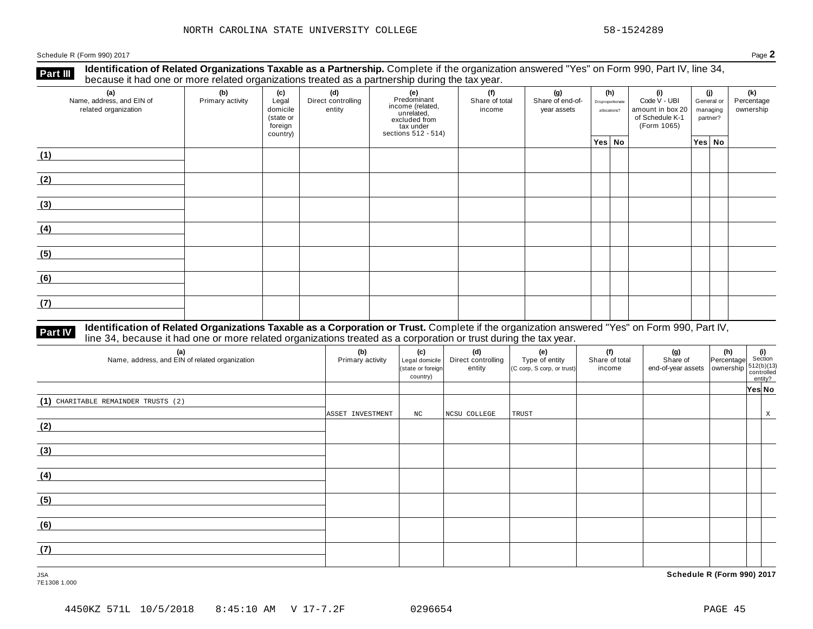**Identification of Related Organizations Taxable as a Partnership.** Complete if the organization answered "Yes" on Form 990, Part IV, line 34, **because it had one or more related organizations Taxable as a Partnership.** Complete if the organization of Related organizations treated as a partnership during the tax year.

| (a)<br>Name, address, and EIN of<br>related organization | ັັັ<br>(b)<br>Primary activity | (c)<br>Legal<br>domicile<br>(state or<br>foreign<br>country) | (d)<br>Direct controlling<br>entity | .<br>ັ<br>(e)<br>Predominant<br>Frequentities<br>income (related,<br>unrelated,<br>excluded from<br>tax under<br>sections 512 - 514) | (f)<br>Share of total<br>income | (g)<br>Share of end-of-<br>year assets | (h)<br>Disproportionate<br>allocations? | (i)<br>Code V - UBI<br>amount in box 20<br>of Schedule K-1<br>(Form 1065) | (j)<br>General or<br>managing<br>partner? |  | (k)<br>Percentage<br>ownership |
|----------------------------------------------------------|--------------------------------|--------------------------------------------------------------|-------------------------------------|--------------------------------------------------------------------------------------------------------------------------------------|---------------------------------|----------------------------------------|-----------------------------------------|---------------------------------------------------------------------------|-------------------------------------------|--|--------------------------------|
|                                                          |                                |                                                              |                                     |                                                                                                                                      |                                 |                                        | Yes No                                  |                                                                           | $ Yes $ No                                |  |                                |
| (1)                                                      |                                |                                                              |                                     |                                                                                                                                      |                                 |                                        |                                         |                                                                           |                                           |  |                                |
| (2)                                                      |                                |                                                              |                                     |                                                                                                                                      |                                 |                                        |                                         |                                                                           |                                           |  |                                |
| (3)                                                      |                                |                                                              |                                     |                                                                                                                                      |                                 |                                        |                                         |                                                                           |                                           |  |                                |
| (4)                                                      |                                |                                                              |                                     |                                                                                                                                      |                                 |                                        |                                         |                                                                           |                                           |  |                                |
| (5)                                                      |                                |                                                              |                                     |                                                                                                                                      |                                 |                                        |                                         |                                                                           |                                           |  |                                |
| (6)                                                      |                                |                                                              |                                     |                                                                                                                                      |                                 |                                        |                                         |                                                                           |                                           |  |                                |
| (7)                                                      |                                |                                                              |                                     |                                                                                                                                      |                                 |                                        |                                         |                                                                           |                                           |  |                                |

# **Part IV** Identification of Related Organizations Taxable as a Corporation or Trust. Complete if the organization answered "Yes" on Form 990, Part IV,<br>line 34, because it had one or more related organizations treated as a

| (a)<br>Name, address, and EIN of related organization | (b)<br>Primary activity | (c)<br>Legal domicile<br>(state or foreign<br>country) | (d)<br>Direct controlling<br>entity | (e)<br>Type of entity<br>(C corp, S corp, or trust) | (f)<br>Share of total<br>income | (g)<br>Share of<br>end-of-year assets $\left  \begin{array}{c} 0.000180 \\ 0.00000 \\ 0.000000 \\ 0.000000 \\ \end{array} \right $ = 512(b)(13) | $\begin{vmatrix} (h) \ \text{Percentage} \end{vmatrix}$ Section | entity? |   |
|-------------------------------------------------------|-------------------------|--------------------------------------------------------|-------------------------------------|-----------------------------------------------------|---------------------------------|-------------------------------------------------------------------------------------------------------------------------------------------------|-----------------------------------------------------------------|---------|---|
|                                                       |                         |                                                        |                                     |                                                     |                                 |                                                                                                                                                 |                                                                 | Yes No  |   |
| (1) CHARITABLE REMAINDER TRUSTS (2)                   |                         |                                                        |                                     |                                                     |                                 |                                                                                                                                                 |                                                                 |         |   |
|                                                       | ASSET INVESTMENT        | $_{\mathrm{NC}}$                                       | NCSU COLLEGE                        | TRUST                                               |                                 |                                                                                                                                                 |                                                                 |         | X |
| (2)                                                   |                         |                                                        |                                     |                                                     |                                 |                                                                                                                                                 |                                                                 |         |   |
|                                                       |                         |                                                        |                                     |                                                     |                                 |                                                                                                                                                 |                                                                 |         |   |
| (3)                                                   |                         |                                                        |                                     |                                                     |                                 |                                                                                                                                                 |                                                                 |         |   |
|                                                       |                         |                                                        |                                     |                                                     |                                 |                                                                                                                                                 |                                                                 |         |   |
| (4)                                                   |                         |                                                        |                                     |                                                     |                                 |                                                                                                                                                 |                                                                 |         |   |
|                                                       |                         |                                                        |                                     |                                                     |                                 |                                                                                                                                                 |                                                                 |         |   |
| (5)                                                   |                         |                                                        |                                     |                                                     |                                 |                                                                                                                                                 |                                                                 |         |   |
| (6)                                                   |                         |                                                        |                                     |                                                     |                                 |                                                                                                                                                 |                                                                 |         |   |
|                                                       |                         |                                                        |                                     |                                                     |                                 |                                                                                                                                                 |                                                                 |         |   |
| (7)                                                   |                         |                                                        |                                     |                                                     |                                 |                                                                                                                                                 |                                                                 |         |   |
|                                                       |                         |                                                        |                                     |                                                     |                                 |                                                                                                                                                 |                                                                 |         |   |

7E1308 1.000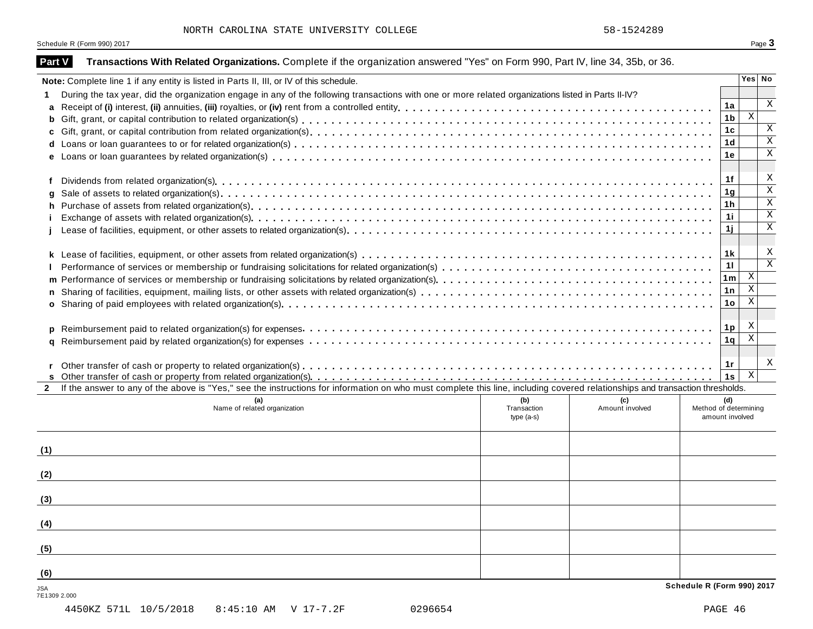| Part V              | Transactions With Related Organizations. Complete if the organization answered "Yes" on Form 990, Part IV, line 34, 35b, or 36.                                              |                |                           |                         |
|---------------------|------------------------------------------------------------------------------------------------------------------------------------------------------------------------------|----------------|---------------------------|-------------------------|
|                     | Note: Complete line 1 if any entity is listed in Parts II, III, or IV of this schedule.                                                                                      |                | Yes No                    |                         |
|                     | During the tax year, did the organization engage in any of the following transactions with one or more related organizations listed in Parts II-IV?                          |                |                           |                         |
| a                   |                                                                                                                                                                              | 1a             |                           | X                       |
| b                   |                                                                                                                                                                              | 1 <sub>b</sub> | $\mathbf{X}$              |                         |
| c                   |                                                                                                                                                                              | 1 <sub>c</sub> |                           | Χ                       |
|                     |                                                                                                                                                                              | 1 <sub>d</sub> |                           | $\overline{\mathbf{x}}$ |
|                     |                                                                                                                                                                              | 1e             |                           | $\overline{\mathbf{x}}$ |
| f                   |                                                                                                                                                                              | 1f             |                           | X                       |
|                     |                                                                                                                                                                              | 1 <sub>g</sub> |                           | $\overline{\mathbf{x}}$ |
| h                   |                                                                                                                                                                              | 1 <sub>h</sub> |                           | $\overline{\mathbf{x}}$ |
|                     |                                                                                                                                                                              | 11             |                           | $\overline{\mathbf{x}}$ |
|                     |                                                                                                                                                                              | 1j             |                           | $\mathbf X$             |
|                     |                                                                                                                                                                              |                |                           | X                       |
|                     |                                                                                                                                                                              | 1k             |                           | $\overline{\mathbf{x}}$ |
|                     |                                                                                                                                                                              | 11             | $\mathbf{X}$              |                         |
| m                   |                                                                                                                                                                              | 1m             | $\overline{\mathbf{x}}$   |                         |
|                     |                                                                                                                                                                              | 1n             | $\overline{\mathbf{x}}$   |                         |
| $\mathbf{o}$        |                                                                                                                                                                              | 1 <sub>o</sub> |                           |                         |
| p                   |                                                                                                                                                                              | 1 <sub>p</sub> | $\boldsymbol{\mathrm{X}}$ |                         |
| a                   |                                                                                                                                                                              | 1 <sub>q</sub> | $\overline{\mathbf{x}}$   |                         |
|                     |                                                                                                                                                                              |                |                           | X                       |
|                     |                                                                                                                                                                              | 1r<br>1s       | $\mathbf{X}$              |                         |
| $\mathbf{2}$        | If the answer to any of the above is "Yes," see the instructions for information on who must complete this line, including covered relationships and transaction thresholds. |                |                           |                         |
|                     | (a)<br>(b)<br>(c)                                                                                                                                                            | (d)            |                           |                         |
|                     | Amount involved<br>Name of related organization<br>Transaction<br>Method of determining<br>amount involved<br>type $(a-s)$                                                   |                |                           |                         |
|                     |                                                                                                                                                                              |                |                           |                         |
| (1)                 |                                                                                                                                                                              |                |                           |                         |
| (2)                 |                                                                                                                                                                              |                |                           |                         |
| (3)                 |                                                                                                                                                                              |                |                           |                         |
|                     |                                                                                                                                                                              |                |                           |                         |
| (4)                 |                                                                                                                                                                              |                |                           |                         |
| (5)                 |                                                                                                                                                                              |                |                           |                         |
| (6)                 |                                                                                                                                                                              |                |                           |                         |
| JSA<br>7E1309 2.000 | Schedule R (Form 990) 2017                                                                                                                                                   |                |                           |                         |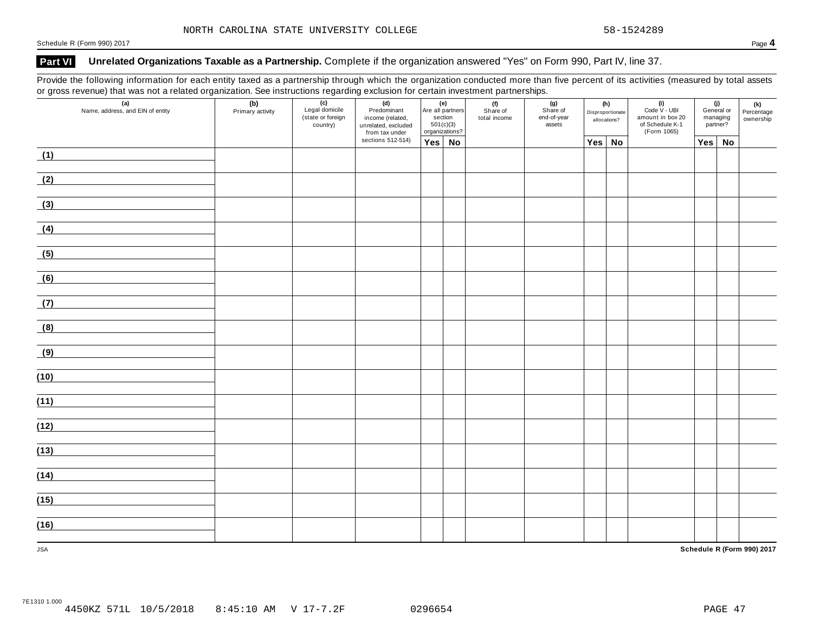## **Part VI Unrelated Organizations Taxable as a Partnership.** Complete if the organization answered "Yes" on Form 990, Part IV, line 37.

Provide the following information for each entity taxed as a partnership through which the organization conducted more than five percent of its activities (measured by total assets or gross revenue) that was not a related organization. See instructions regarding exclusion for certain investment partnerships.

| (a)<br>Name, address, and EIN of entity | (b)<br>Primary activity | (c)<br>Legal domicile<br>(state or foreign<br>country) |                                     | (e)<br>Are all partners<br>section<br>501(c)(3)<br>organizations? |  | (f)<br>Share of<br>total income | (g)<br>Share of<br>end-of-year<br>assets | (h)<br>Disproportionate<br>allocations? | $(i)$<br>Code $\vee$ - UBI<br>amount in box 20<br>of Schedule K-1<br>(Form 1065) | (j)<br>General or<br>managing<br>partner? |    | (k)<br>Percentage<br>ownership |
|-----------------------------------------|-------------------------|--------------------------------------------------------|-------------------------------------|-------------------------------------------------------------------|--|---------------------------------|------------------------------------------|-----------------------------------------|----------------------------------------------------------------------------------|-------------------------------------------|----|--------------------------------|
|                                         |                         |                                                        | from tax under<br>sections 512-514) | $Yes \mid No$                                                     |  |                                 |                                          | Yes No                                  |                                                                                  | Yes                                       | No |                                |
| (1)                                     |                         |                                                        |                                     |                                                                   |  |                                 |                                          |                                         |                                                                                  |                                           |    |                                |
| (2)                                     |                         |                                                        |                                     |                                                                   |  |                                 |                                          |                                         |                                                                                  |                                           |    |                                |
| (3)                                     |                         |                                                        |                                     |                                                                   |  |                                 |                                          |                                         |                                                                                  |                                           |    |                                |
| (4)                                     |                         |                                                        |                                     |                                                                   |  |                                 |                                          |                                         |                                                                                  |                                           |    |                                |
| (5)                                     |                         |                                                        |                                     |                                                                   |  |                                 |                                          |                                         |                                                                                  |                                           |    |                                |
| (6)                                     |                         |                                                        |                                     |                                                                   |  |                                 |                                          |                                         |                                                                                  |                                           |    |                                |
| (7)                                     |                         |                                                        |                                     |                                                                   |  |                                 |                                          |                                         |                                                                                  |                                           |    |                                |
| (8)                                     |                         |                                                        |                                     |                                                                   |  |                                 |                                          |                                         |                                                                                  |                                           |    |                                |
| (9)                                     |                         |                                                        |                                     |                                                                   |  |                                 |                                          |                                         |                                                                                  |                                           |    |                                |
| (10)                                    |                         |                                                        |                                     |                                                                   |  |                                 |                                          |                                         |                                                                                  |                                           |    |                                |
| (11)                                    |                         |                                                        |                                     |                                                                   |  |                                 |                                          |                                         |                                                                                  |                                           |    |                                |
| (12)                                    |                         |                                                        |                                     |                                                                   |  |                                 |                                          |                                         |                                                                                  |                                           |    |                                |
| (13)                                    |                         |                                                        |                                     |                                                                   |  |                                 |                                          |                                         |                                                                                  |                                           |    |                                |
| (14)                                    |                         |                                                        |                                     |                                                                   |  |                                 |                                          |                                         |                                                                                  |                                           |    |                                |
| (15)                                    |                         |                                                        |                                     |                                                                   |  |                                 |                                          |                                         |                                                                                  |                                           |    |                                |
| (16)                                    |                         |                                                        |                                     |                                                                   |  |                                 |                                          |                                         |                                                                                  |                                           |    |                                |
| <b>JSA</b>                              |                         |                                                        |                                     |                                                                   |  |                                 |                                          |                                         |                                                                                  |                                           |    | Schedule R (Form 990) 2017     |